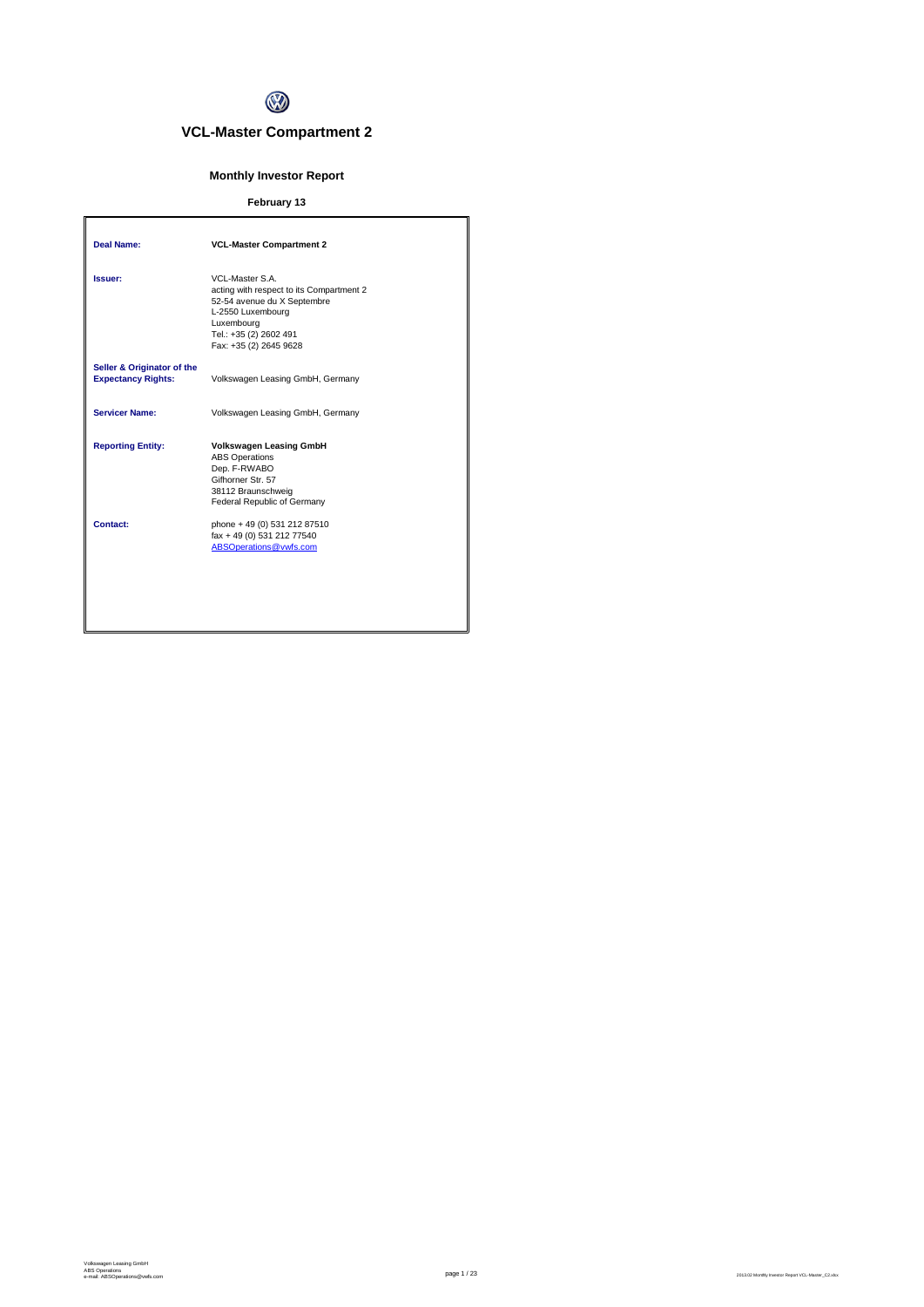

## **VCL-Master Compartment 2**

## **Monthly Investor Report**

## **February 13**

| Deal Name:                                              | <b>VCL-Master Compartment 2</b>                                                                                                                                                   |
|---------------------------------------------------------|-----------------------------------------------------------------------------------------------------------------------------------------------------------------------------------|
| Issuer:                                                 | VCL-Master S.A.<br>acting with respect to its Compartment 2<br>52-54 avenue du X Septembre<br>L-2550 Luxembourg<br>Luxembourg<br>Tel.: +35 (2) 2602 491<br>Fax: +35 (2) 2645 9628 |
| Seller & Originator of the<br><b>Expectancy Rights:</b> | Volkswagen Leasing GmbH, Germany                                                                                                                                                  |
| <b>Servicer Name:</b>                                   | Volkswagen Leasing GmbH, Germany                                                                                                                                                  |
| <b>Reporting Entity:</b>                                | <b>Volkswagen Leasing GmbH</b><br><b>ABS Operations</b><br>Dep. F-RWABO<br>Gifhorner Str. 57<br>38112 Braunschweig<br>Federal Republic of Germany                                 |
| Contact:                                                | phone + 49 (0) 531 212 87510<br>fax + 49 (0) 531 212 77540<br>ABSOperations@vwfs.com                                                                                              |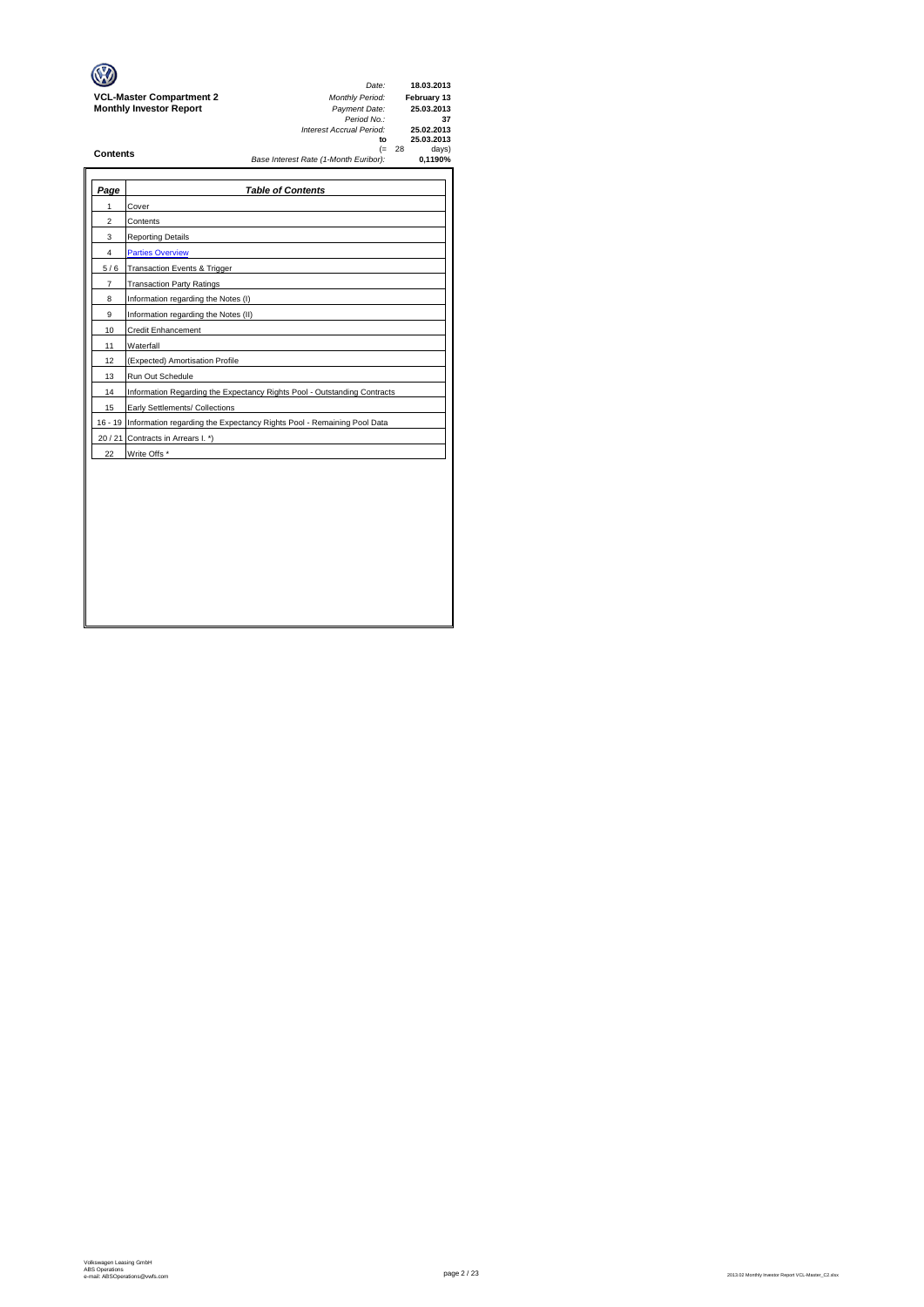|                                 | Date:                                 | 18.03.2013    |
|---------------------------------|---------------------------------------|---------------|
| <b>VCL-Master Compartment 2</b> | <b>Monthly Period:</b>                | February 13   |
| <b>Monthly Investor Report</b>  | Payment Date:                         | 25.03.2013    |
|                                 | Period No.:                           | 37            |
|                                 | Interest Accrual Period:              | 25.02.2013    |
|                                 | to                                    | 25.03.2013    |
| <b>Contents</b>                 | (≕                                    | days)<br>- 28 |
|                                 | Base Interest Rate (1-Month Euribor): | 0.1190%       |
|                                 |                                       |               |
|                                 |                                       |               |

| Page           | <b>Table of Contents</b>                                                       |
|----------------|--------------------------------------------------------------------------------|
| 1              | Cover                                                                          |
| 2              | Contents                                                                       |
| 3              | <b>Reporting Details</b>                                                       |
| 4              | <b>Parties Overview</b>                                                        |
| 5/6            | Transaction Events & Trigger                                                   |
| $\overline{7}$ | <b>Transaction Party Ratings</b>                                               |
| 8              | Information regarding the Notes (I)                                            |
| 9              | Information regarding the Notes (II)                                           |
| 10             | Credit Enhancement                                                             |
| 11             | Waterfall                                                                      |
| 12             | (Expected) Amortisation Profile                                                |
| 13             | Run Out Schedule                                                               |
| 14             | Information Regarding the Expectancy Rights Pool - Outstanding Contracts       |
| 15             | Early Settlements/ Collections                                                 |
|                | 16 - 19 Information regarding the Expectancy Rights Pool - Remaining Pool Data |
| 20/21          | Contracts in Arrears I. *)                                                     |
| 22             | Write Offs *                                                                   |
|                |                                                                                |
|                |                                                                                |
|                |                                                                                |
|                |                                                                                |
|                |                                                                                |
|                |                                                                                |
|                |                                                                                |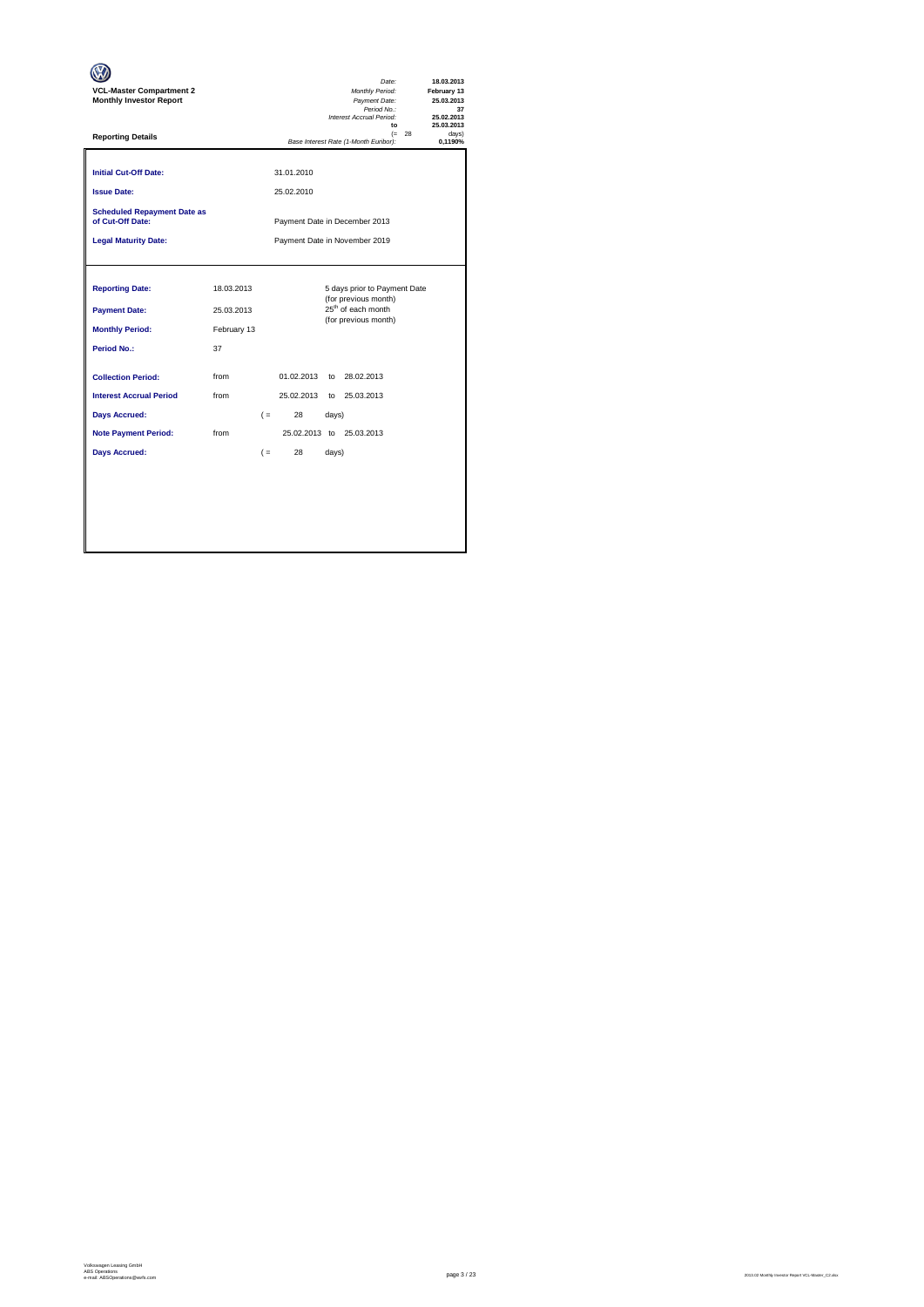| <b>VCL-Master Compartment 2</b><br><b>Monthly Investor Report</b>                                                                          |                                               |                               |                                      |                | Date:<br>Monthly Period:<br>Payment Date:<br>Period No.:<br>Interest Accrual Period:<br>$\mathbf{f}$           |          | 18.03.2013<br>February 13<br>25.03.2013<br>37<br>25.02.2013<br>25.03.2013 |  |  |
|--------------------------------------------------------------------------------------------------------------------------------------------|-----------------------------------------------|-------------------------------|--------------------------------------|----------------|----------------------------------------------------------------------------------------------------------------|----------|---------------------------------------------------------------------------|--|--|
| <b>Reporting Details</b>                                                                                                                   |                                               |                               |                                      |                | Base Interest Rate (1-Month Euribor):                                                                          | $(= 28)$ | davs)<br>0.1190%                                                          |  |  |
| <b>Initial Cut-Off Date:</b><br><b>Issue Date:</b>                                                                                         |                                               |                               | 31.01.2010<br>25.02.2010             |                |                                                                                                                |          |                                                                           |  |  |
| <b>Scheduled Repayment Date as</b><br>of Cut-Off Date:                                                                                     |                                               |                               |                                      |                | Payment Date in December 2013                                                                                  |          |                                                                           |  |  |
| <b>Legal Maturity Date:</b>                                                                                                                |                                               | Payment Date in November 2019 |                                      |                |                                                                                                                |          |                                                                           |  |  |
| <b>Reporting Date:</b><br><b>Payment Date:</b><br><b>Monthly Period:</b><br>Period No.:                                                    | 18.03.2013<br>25.03.2013<br>February 13<br>37 |                               |                                      |                | 5 days prior to Payment Date<br>(for previous month)<br>25 <sup>th</sup> of each month<br>(for previous month) |          |                                                                           |  |  |
| <b>Collection Period:</b><br><b>Interest Accrual Period</b><br><b>Days Accrued:</b><br><b>Note Payment Period:</b><br><b>Days Accrued:</b> | from<br>from<br>from                          | $($ =<br>$($ =                | 01.02.2013<br>25.02.2013<br>28<br>28 | days)<br>days) | to 28.02.2013<br>to 25.03.2013<br>25.02.2013 to 25.03.2013                                                     |          |                                                                           |  |  |
|                                                                                                                                            |                                               |                               |                                      |                |                                                                                                                |          |                                                                           |  |  |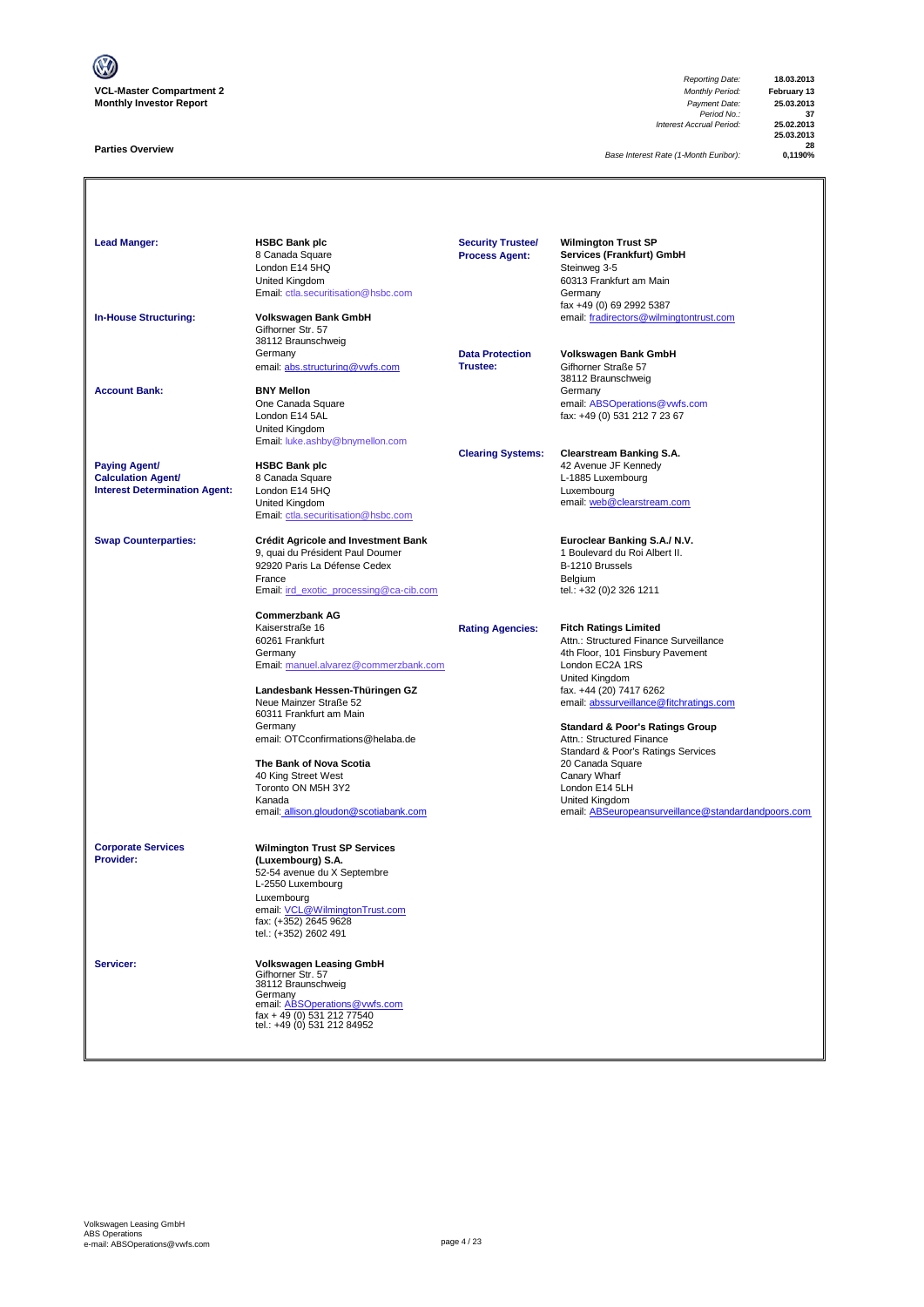

### **Parties Overview**

*Reporting Date:* **18.03.2013** *Payment Date:* **25.03.2013**<br> *Period No.:* 37<br> *Accrual Period:* 25.02.2013 *Interest Accrual Period:* **25.02.2013**

**25.03.2013 28**

*Base Interest Rate (1-Month Euribor):* **0,1190%**

Lead Manger:<br> **HSBC Bank plc**<br>
8 Canada Square<br>
London E14 5HO<br>
London E14 5HO<br> **Homage Steinweg 3-5**<br>
Steinweg 3-5 Services (Frankfurt) GmbH London E14 5HQ Steinweg 3-5 Summay 2<br>60313 Frankfurt am Main<br>Germany [Email: ctla.securitisation@hsbc.com](mailto:ctla.securitisation@hsbc.com) fax +49 (0) 69 2992 5387 **In-House Structuring: Volkswagen Bank GmbH** email: fradirectors@wilmingtontrust.com Gifhorner Str. 57 38112 Braunschweig<br>Germany **Data Protection Volkswagen Bank GmbH**<br>**Trustee:** Gifhorner Straße 57 email: abs.structuring@vwfs.com 38112 Braunschweig **Account Bank: BNY Mellon**<br>
One Canada Square One Canada Square email: ABSOperations@vwfs.com London E14 5AL fax: +49 (0) 531 212 7 23 67 United Kingdom [Email: luke.ashby@bnymellon.com](mailto:ctla.securitisation@hsbc.com) **Clearing Systems: Clearstream Banking S.A. Paying Agent/ HSBC Bank plc All and Account 1999 12 Avenue JF Kennedy Calculation Agent/** 8 Canada Square **Calculation Agent/ Business Agent/ Business Agent/ Canada Square Calculation Agent/ Canada Square Calculation Agent/ Canada Square Canada Square Calculation Agent/ Interest Determination Agent:** London E14 5HQ<br>United Kingdom United Kingdom email: <u>web @clearstream.com</u> [Email: ctla.securitisation@hsbc.com](mailto:ctla.securitisation@hsbc.com) **Swap Counterparties: Crédit Agricole and Investment Bank Euroclear Banking S.A./ N.V.**<br>9, quai du Président Paul Doumer **1996** 1 Boulevard du Roi Albert II. 9, quai du Président Paul Doumer 1 au 1000 et du Roi du Roi Albert II.<br>1 Boulevard du Franç II.<br>1 B-1210 Brussels 92920 Paris La Défense Cedex B-1210 Brussels<br>
France Belgium<br>
Email: <u>ird exotic processing@ca-cib.com</u> B-1211 entities tel.: +32 (0)2 326 1211 France Belgium [Email: ird\\_exotic\\_processing@ca-cib.com](mailto:ctla.securitisation@hsbc.com) tel.: +32 (0)2 326 1211 **Commerzbank AG** Kaiserstraße 16 **Rating Agencies: Fitch Ratings Limited** 60261 Frankfurt Attn.: Structured Finance Surveillance 4th Floor, 101 Finsbury Pavement [Email: manuel.alvarez@commerzbank.com](mailto:ctla.securitisation@hsbc.com) London EC2A 1RS United Kingdom<br>fax. +44 (20) 7417 6262 **Landesbank Hessen-Thüringen GZ**<br>Neue Mainzer Straße 52 [email: abssurveillance@fitchratings.com](mailto:abssurveillance@fitchratings.com) 60311 Frankfurt am Main **Standard & Poor's Ratings Group**<br>Attn.: Structured Finance email: OTCconfirmations@helaba.de Standard & Poor's Ratings Services<br>20 Canada Square **The Bank of Nova Scotia** 20 Canada Square 20 Canada Square 20 Canada Square 20 Canada Square 20 Canada Square 20 Canada Square 20 Canada Square 20 Canada Square 20 Canada Square 20 Canada Square 20 Canada Square 20 Canada 40 King Street West Canary Wharf Canary Wharf Canary What Canary What Canary What Canary What Canary What Canary What Canary What Canary What Canary What Canary What Canary What Canary Canary Canary Canary Canary Canary Ca Toronto ON M5H 3Y2 Kanada<br>
Expansification of the Company of the United Kingdom<br>
Expansification of the Seurope of the Company of the Company of the Company<br>
Person of the Company of the Company of the Company of the Company of the Company o email: allison.gloudon@scotiabank.com email: ABSeuropeansurveillance@standardandpoors.com **Corporate Services Wilmington Trust SP Services Provider: (Luxembourg) S.A.** 52-54 avenue du X Septembre L-2550 Luxembourg Luxembourg email: VCL@WilmingtonTrust.com fax: (+352) 2645 9628 tel.: (+352) 2602 491 **Servicer: Volkswagen Leasing GmbH** Gifhorner Str. 57 38112 Braunschweig Germany<br>email: <u>ABSOperations@vwfs.com</u><br>fax + 49 (0) 531 212 77540<br>tel.: +49 (0) 531 212 84952 **Security Trustee/ Process Agent:**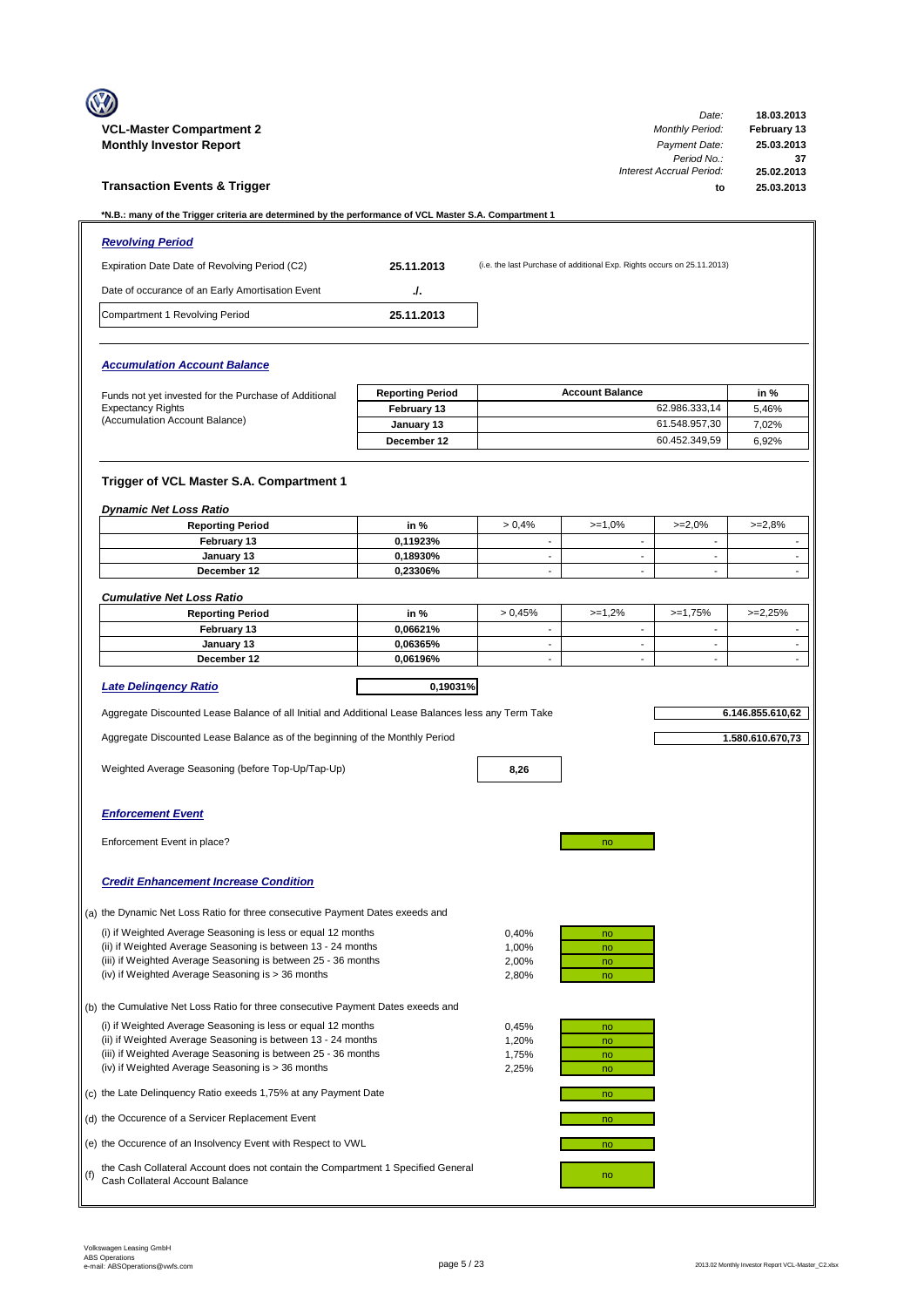|     | <b>VCL-Master Compartment 2</b><br><b>Monthly Investor Report</b>                                                                                                                                                                                  |                                  |                                                      |                                                                         | Date:<br><b>Monthly Period:</b><br>Payment Date:<br>Period No.: | 18.03.2013<br>February 13<br>25.03.2013<br>37 |
|-----|----------------------------------------------------------------------------------------------------------------------------------------------------------------------------------------------------------------------------------------------------|----------------------------------|------------------------------------------------------|-------------------------------------------------------------------------|-----------------------------------------------------------------|-----------------------------------------------|
|     | <b>Transaction Events &amp; Trigger</b>                                                                                                                                                                                                            |                                  |                                                      |                                                                         | Interest Accrual Period:<br>to                                  | 25.02.2013<br>25.03.2013                      |
|     | *N.B.: many of the Trigger criteria are determined by the performance of VCL Master S.A. Compartment 1                                                                                                                                             |                                  |                                                      |                                                                         |                                                                 |                                               |
|     | <b>Revolving Period</b>                                                                                                                                                                                                                            |                                  |                                                      |                                                                         |                                                                 |                                               |
|     | Expiration Date Date of Revolving Period (C2)                                                                                                                                                                                                      | 25.11.2013                       |                                                      | (i.e. the last Purchase of additional Exp. Rights occurs on 25.11.2013) |                                                                 |                                               |
|     | Date of occurance of an Early Amortisation Event                                                                                                                                                                                                   | J.                               |                                                      |                                                                         |                                                                 |                                               |
|     | Compartment 1 Revolving Period                                                                                                                                                                                                                     | 25.11.2013                       |                                                      |                                                                         |                                                                 |                                               |
|     | <b>Accumulation Account Balance</b>                                                                                                                                                                                                                |                                  |                                                      |                                                                         |                                                                 |                                               |
|     | Funds not yet invested for the Purchase of Additional                                                                                                                                                                                              | <b>Reporting Period</b>          |                                                      | <b>Account Balance</b>                                                  |                                                                 | in %                                          |
|     | <b>Expectancy Rights</b>                                                                                                                                                                                                                           | February 13                      |                                                      |                                                                         | 62.986.333,14                                                   | 5,46%                                         |
|     | (Accumulation Account Balance)                                                                                                                                                                                                                     | January 13                       |                                                      |                                                                         | 61.548.957.30<br>60.452.349,59                                  | 7,02%<br>6.92%                                |
|     |                                                                                                                                                                                                                                                    | December 12                      |                                                      |                                                                         |                                                                 |                                               |
|     | Trigger of VCL Master S.A. Compartment 1                                                                                                                                                                                                           |                                  |                                                      |                                                                         |                                                                 |                                               |
|     | <b>Dynamic Net Loss Ratio</b><br><b>Reporting Period</b>                                                                                                                                                                                           | in %                             | > 0.4%                                               | $>=1,0%$                                                                | $>=2,0%$                                                        | $>=2,8%$                                      |
|     | February 13                                                                                                                                                                                                                                        | 0,11923%                         | $\mathbf{r}$                                         | $\sim$                                                                  | $\mathbf{r}$                                                    |                                               |
|     | January 13                                                                                                                                                                                                                                         | 0,18930%                         | $\overline{\phantom{m}}$                             | $\overline{\phantom{a}}$                                                | $\overline{\phantom{a}}$                                        |                                               |
|     | December 12                                                                                                                                                                                                                                        | 0,23306%                         | $\overline{\phantom{a}}$                             | $\sim$                                                                  | $\overline{\phantom{a}}$                                        |                                               |
|     | <b>Cumulative Net Loss Ratio</b>                                                                                                                                                                                                                   |                                  |                                                      |                                                                         |                                                                 |                                               |
|     | <b>Reporting Period</b>                                                                                                                                                                                                                            | in %                             | > 0.45%                                              | $>=1,2%$                                                                | $>=1,75%$                                                       | $>=2,25%$                                     |
|     | February 13                                                                                                                                                                                                                                        | 0,06621%                         | $\sim$                                               | $\sim$                                                                  | $\sim$                                                          |                                               |
|     | January 13<br>December 12                                                                                                                                                                                                                          | 0.06365%<br>0,06196%             | $\overline{\phantom{a}}$<br>$\overline{\phantom{m}}$ | $\overline{\phantom{a}}$<br>$\blacksquare$                              | $\blacksquare$<br>$\blacksquare$                                | ٠                                             |
|     | <b>Late Delingency Ratio</b>                                                                                                                                                                                                                       | 0,19031%                         |                                                      |                                                                         |                                                                 |                                               |
|     | Aggregate Discounted Lease Balance of all Initial and Additional Lease Balances less any Term Take                                                                                                                                                 |                                  |                                                      |                                                                         |                                                                 | 6.146.855.610,62                              |
|     | Aggregate Discounted Lease Balance as of the beginning of the Monthly Period                                                                                                                                                                       |                                  |                                                      |                                                                         |                                                                 | 1.580.610.670,73                              |
|     |                                                                                                                                                                                                                                                    |                                  |                                                      |                                                                         |                                                                 |                                               |
|     | Weighted Average Seasoning (before Top-Up/Tap-Up)                                                                                                                                                                                                  |                                  | 8,26                                                 |                                                                         |                                                                 |                                               |
|     | <b>Enforcement Event</b>                                                                                                                                                                                                                           |                                  |                                                      |                                                                         |                                                                 |                                               |
|     | Enforcement Event in place?                                                                                                                                                                                                                        |                                  |                                                      | no                                                                      |                                                                 |                                               |
|     | <b>Credit Enhancement Increase Condition</b>                                                                                                                                                                                                       |                                  |                                                      |                                                                         |                                                                 |                                               |
|     | (a) the Dynamic Net Loss Ratio for three consecutive Payment Dates exeeds and                                                                                                                                                                      |                                  |                                                      |                                                                         |                                                                 |                                               |
|     | (i) if Weighted Average Seasoning is less or equal 12 months<br>(ii) if Weighted Average Seasoning is between 13 - 24 months<br>(iii) if Weighted Average Seasoning is between 25 - 36 months<br>(iv) if Weighted Average Seasoning is > 36 months | 0,40%<br>1,00%<br>2,00%<br>2,80% | no<br>no<br>no<br>no                                 |                                                                         |                                                                 |                                               |
|     | (b) the Cumulative Net Loss Ratio for three consecutive Payment Dates exeeds and                                                                                                                                                                   |                                  |                                                      |                                                                         |                                                                 |                                               |
|     | (i) if Weighted Average Seasoning is less or equal 12 months<br>(ii) if Weighted Average Seasoning is between 13 - 24 months<br>(iii) if Weighted Average Seasoning is between 25 - 36 months<br>(iv) if Weighted Average Seasoning is > 36 months |                                  | 0,45%<br>1,20%<br>1,75%<br>2,25%                     | no<br>no<br>no<br>no                                                    |                                                                 |                                               |
|     | (c) the Late Delinquency Ratio exeeds 1,75% at any Payment Date                                                                                                                                                                                    |                                  |                                                      | no                                                                      |                                                                 |                                               |
|     | (d) the Occurence of a Servicer Replacement Event                                                                                                                                                                                                  |                                  |                                                      | no                                                                      |                                                                 |                                               |
|     | (e) the Occurence of an Insolvency Event with Respect to VWL                                                                                                                                                                                       |                                  |                                                      | no                                                                      |                                                                 |                                               |
| (f) | the Cash Collateral Account does not contain the Compartment 1 Specified General<br>Cash Collateral Account Balance                                                                                                                                |                                  |                                                      | no                                                                      |                                                                 |                                               |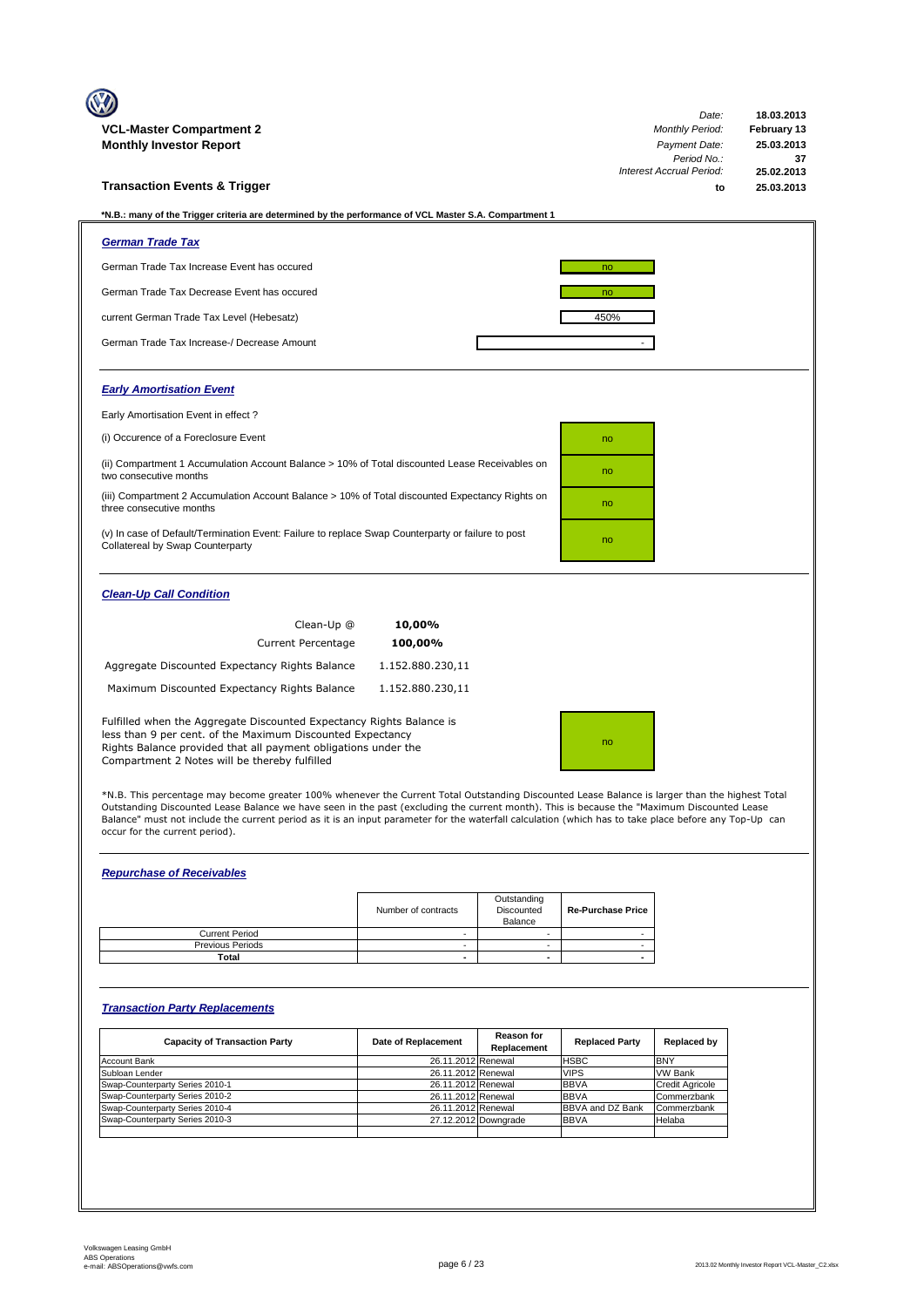| <b>VCL-Master Compartment 2</b>                                                                                                                                                                                                                       |                  | Date:<br><b>Monthly Period:</b> | 18.03.2013<br>February 13 |
|-------------------------------------------------------------------------------------------------------------------------------------------------------------------------------------------------------------------------------------------------------|------------------|---------------------------------|---------------------------|
| <b>Monthly Investor Report</b>                                                                                                                                                                                                                        | Payment Date:    | 25.03.2013                      |                           |
|                                                                                                                                                                                                                                                       |                  | Period No.:                     | 37                        |
|                                                                                                                                                                                                                                                       |                  | <b>Interest Accrual Period:</b> | 25.02.2013                |
| <b>Transaction Events &amp; Trigger</b>                                                                                                                                                                                                               |                  | to                              | 25.03.2013                |
| *N.B.: many of the Trigger criteria are determined by the performance of VCL Master S.A. Compartment 1                                                                                                                                                |                  |                                 |                           |
| <b>German Trade Tax</b>                                                                                                                                                                                                                               |                  |                                 |                           |
| German Trade Tax Increase Event has occured                                                                                                                                                                                                           |                  | no                              |                           |
| German Trade Tax Decrease Event has occured                                                                                                                                                                                                           |                  | no                              |                           |
| current German Trade Tax Level (Hebesatz)                                                                                                                                                                                                             |                  | 450%                            |                           |
| German Trade Tax Increase-/ Decrease Amount                                                                                                                                                                                                           |                  |                                 |                           |
| <b>Early Amortisation Event</b>                                                                                                                                                                                                                       |                  |                                 |                           |
| Early Amortisation Event in effect?                                                                                                                                                                                                                   |                  |                                 |                           |
| (i) Occurence of a Foreclosure Event                                                                                                                                                                                                                  |                  | no                              |                           |
| (ii) Compartment 1 Accumulation Account Balance > 10% of Total discounted Lease Receivables on<br>two consecutive months                                                                                                                              |                  | no                              |                           |
| (iii) Compartment 2 Accumulation Account Balance > 10% of Total discounted Expectancy Rights on<br>three consecutive months                                                                                                                           |                  | no                              |                           |
| (v) In case of Default/Termination Event: Failure to replace Swap Counterparty or failure to post<br>Collatereal by Swap Counterparty                                                                                                                 |                  | no                              |                           |
| <b>Clean-Up Call Condition</b>                                                                                                                                                                                                                        |                  |                                 |                           |
| Clean-Up @                                                                                                                                                                                                                                            | 10,00%           |                                 |                           |
| <b>Current Percentage</b>                                                                                                                                                                                                                             | 100,00%          |                                 |                           |
| Aggregate Discounted Expectancy Rights Balance                                                                                                                                                                                                        | 1.152.880.230,11 |                                 |                           |
| Maximum Discounted Expectancy Rights Balance                                                                                                                                                                                                          | 1.152.880.230,11 |                                 |                           |
| Fulfilled when the Aggregate Discounted Expectancy Rights Balance is<br>less than 9 per cent. of the Maximum Discounted Expectancy<br>Rights Balance provided that all payment obligations under the<br>Compartment 2 Notes will be thereby fulfilled |                  | no                              |                           |
|                                                                                                                                                                                                                                                       |                  |                                 |                           |

\*N.B. This percentage may become greater 100% whenever the Current Total Outstanding Discounted Lease Balance is larger than the highest Total<br>Outstanding Discounted Lease Balance we have seen in the past (excluding the cu occur for the current period).

## *Repurchase of Receivables*

|                         | Number of contracts | Outstanding<br>Discounted<br>Balance | <b>Re-Purchase Price</b> |
|-------------------------|---------------------|--------------------------------------|--------------------------|
| <b>Current Period</b>   |                     |                                      |                          |
| <b>Previous Periods</b> |                     |                                      |                          |
| Total                   | -                   | $\overline{\phantom{0}}$             |                          |

## *Transaction Party Replacements*

| <b>Capacity of Transaction Party</b> | Date of Replacement | <b>Reason for</b><br>Replacement | <b>Replaced Party</b>   | Replaced by            |
|--------------------------------------|---------------------|----------------------------------|-------------------------|------------------------|
| <b>Account Bank</b>                  | 26.11.2012 Renewal  |                                  | <b>HSBC</b>             | <b>BNY</b>             |
| Subloan Lender                       | 26.11.2012 Renewal  |                                  | <b>VIPS</b>             | <b>VW Bank</b>         |
| Swap-Counterparty Series 2010-1      | 26.11.2012 Renewal  |                                  | <b>BBVA</b>             | <b>Credit Agricole</b> |
| Swap-Counterparty Series 2010-2      | 26.11.2012 Renewal  |                                  | <b>BBVA</b>             | Commerzbank            |
| Swap-Counterparty Series 2010-4      | 26.11.2012 Renewal  |                                  | <b>BBVA and DZ Bank</b> | Commerzbank            |
| Swap-Counterparty Series 2010-3      |                     | 27.12.2012 Downgrade             | <b>BBVA</b>             | Helaba                 |
|                                      |                     |                                  |                         |                        |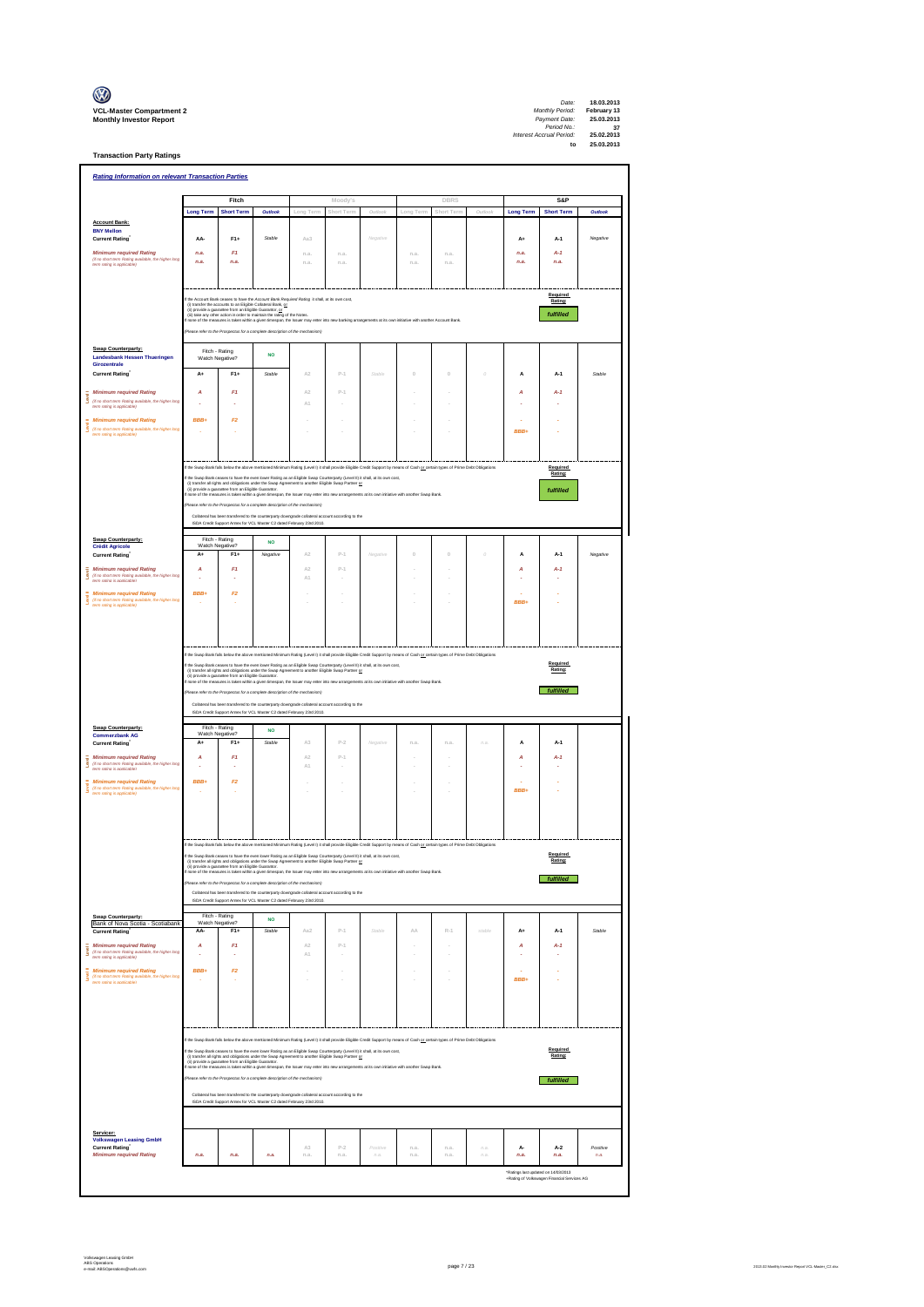| $\mathbb{C}$                                                      |
|-------------------------------------------------------------------|
| <b>VCL-Master Compartment</b> :<br><b>Monthly Investor Report</b> |

**Transaction Party Ratings**

*Date:* Compartment 2<br>VCL-Master Compartment 2<br>*Payment Date:* 25.03.2013<br>*Period No.:* 25.03.2013<br>*Period No.:* 25.03.2013<br>*Period No.:* 25.03.2013<br>*Detects Accual Period.*<br>25.03.2013

| <b>Rating Information on relevant Transaction Parties</b>                                                                |                                                                                                                                                                                                                                                                                                                                                                         |                                                                                                      |                                                                                                                                                                                                                                      |               |                                          |                                                                                                                                                                                                                                                                                                             |                       |             |          |                                             |                     |          |  |  |
|--------------------------------------------------------------------------------------------------------------------------|-------------------------------------------------------------------------------------------------------------------------------------------------------------------------------------------------------------------------------------------------------------------------------------------------------------------------------------------------------------------------|------------------------------------------------------------------------------------------------------|--------------------------------------------------------------------------------------------------------------------------------------------------------------------------------------------------------------------------------------|---------------|------------------------------------------|-------------------------------------------------------------------------------------------------------------------------------------------------------------------------------------------------------------------------------------------------------------------------------------------------------------|-----------------------|-------------|----------|---------------------------------------------|---------------------|----------|--|--|
|                                                                                                                          |                                                                                                                                                                                                                                                                                                                                                                         | Fitch                                                                                                |                                                                                                                                                                                                                                      |               | Moody's                                  |                                                                                                                                                                                                                                                                                                             |                       | DBRS        |          |                                             | S&P                 |          |  |  |
|                                                                                                                          | <b>Long Term</b>                                                                                                                                                                                                                                                                                                                                                        | <b>Short Term</b>                                                                                    | Outlook                                                                                                                                                                                                                              | Long Term     | Short Term                               | Outle                                                                                                                                                                                                                                                                                                       | Long Term             | Short Ten   | $\cap$   | <b>Long Term</b>                            | <b>Short Term</b>   | Outlook  |  |  |
| <b>Account Bank:</b><br><b>BNY Mellon</b>                                                                                |                                                                                                                                                                                                                                                                                                                                                                         |                                                                                                      |                                                                                                                                                                                                                                      |               |                                          |                                                                                                                                                                                                                                                                                                             |                       |             |          |                                             |                     |          |  |  |
| <b>Current Rating</b>                                                                                                    | AA-                                                                                                                                                                                                                                                                                                                                                                     | $F1+$                                                                                                | Stable                                                                                                                                                                                                                               | Aa3           |                                          | Negative                                                                                                                                                                                                                                                                                                    |                       |             |          | $A+$                                        | A-1                 | Negative |  |  |
| <b>Minimum required Rating</b><br>(if no short term Rating available, the higher long<br>term rating is applicable)      | n.a.<br>n.a.                                                                                                                                                                                                                                                                                                                                                            | F1<br>n.a.                                                                                           |                                                                                                                                                                                                                                      | n.a<br>n.a.   | n.a<br>n.a                               |                                                                                                                                                                                                                                                                                                             | n.a<br>n.a            | n.a<br>n.a. |          | n.a.<br>n.a.                                | $A-1$<br>n.a.       |          |  |  |
|                                                                                                                          |                                                                                                                                                                                                                                                                                                                                                                         |                                                                                                      |                                                                                                                                                                                                                                      |               |                                          |                                                                                                                                                                                                                                                                                                             |                       |             |          |                                             |                     |          |  |  |
|                                                                                                                          |                                                                                                                                                                                                                                                                                                                                                                         |                                                                                                      |                                                                                                                                                                                                                                      |               |                                          |                                                                                                                                                                                                                                                                                                             |                       |             |          |                                             | Required            |          |  |  |
|                                                                                                                          | the Account Bank ceases to have the Account Bank Required Rating it shall, at its own cost,<br>Rating:<br>(i) transfer the accounts to an Eligible Collateral Bank, or<br>(i) provide a guarantee from an Eligible Guarantor, or<br>(ii) provide a guarantee from an Eligible Guarantor, or<br>(ii) take any other action in order to maintain the rating of the Notes. |                                                                                                      |                                                                                                                                                                                                                                      |               |                                          |                                                                                                                                                                                                                                                                                                             |                       |             |          |                                             |                     |          |  |  |
|                                                                                                                          |                                                                                                                                                                                                                                                                                                                                                                         |                                                                                                      |                                                                                                                                                                                                                                      |               |                                          | f none of the measures is taken within a given timespan, the Issuer may enter into new banking arrangements at its own initiative with another Account Bank                                                                                                                                                 |                       |             |          |                                             | fulfilled           |          |  |  |
|                                                                                                                          |                                                                                                                                                                                                                                                                                                                                                                         |                                                                                                      | lease refer to the Prospectus for a complete description of the mechanism)                                                                                                                                                           |               |                                          |                                                                                                                                                                                                                                                                                                             |                       |             |          |                                             |                     |          |  |  |
| Swap Counterparty:                                                                                                       |                                                                                                                                                                                                                                                                                                                                                                         | Fitch - Rating                                                                                       | <b>NO</b>                                                                                                                                                                                                                            |               |                                          |                                                                                                                                                                                                                                                                                                             |                       |             |          |                                             |                     |          |  |  |
| <b>Landesbank Hessen Thueringen</b><br>Girozentrale                                                                      |                                                                                                                                                                                                                                                                                                                                                                         | Watch Negative?                                                                                      |                                                                                                                                                                                                                                      |               |                                          |                                                                                                                                                                                                                                                                                                             |                       |             |          |                                             |                     |          |  |  |
| <b>Current Rating</b>                                                                                                    | A+                                                                                                                                                                                                                                                                                                                                                                      | $F1+$                                                                                                | Stable                                                                                                                                                                                                                               | A2            | $P-1$                                    | Stable                                                                                                                                                                                                                                                                                                      | $\circ$               | $\circ$     | $\theta$ | A                                           | A-1                 | Stable   |  |  |
| <b>Minimum required Rating</b><br>š<br>(if no short term Rating available, the higher long                               | A                                                                                                                                                                                                                                                                                                                                                                       | F1                                                                                                   |                                                                                                                                                                                                                                      | A2<br>A1      | $P-1$                                    |                                                                                                                                                                                                                                                                                                             |                       |             |          | А                                           | $A-1$               |          |  |  |
| term rating is applicable)                                                                                               |                                                                                                                                                                                                                                                                                                                                                                         |                                                                                                      |                                                                                                                                                                                                                                      |               |                                          |                                                                                                                                                                                                                                                                                                             |                       |             |          |                                             |                     |          |  |  |
| <b>Minimum required Rating</b><br>š<br>(if no short term Rating available, the higher long                               | <b>BBB+</b>                                                                                                                                                                                                                                                                                                                                                             | F2                                                                                                   |                                                                                                                                                                                                                                      |               |                                          |                                                                                                                                                                                                                                                                                                             |                       |             |          | BBB+                                        |                     |          |  |  |
| term rating is applicable)                                                                                               |                                                                                                                                                                                                                                                                                                                                                                         |                                                                                                      |                                                                                                                                                                                                                                      |               |                                          |                                                                                                                                                                                                                                                                                                             |                       |             |          |                                             |                     |          |  |  |
|                                                                                                                          |                                                                                                                                                                                                                                                                                                                                                                         |                                                                                                      |                                                                                                                                                                                                                                      |               |                                          |                                                                                                                                                                                                                                                                                                             |                       |             |          |                                             |                     |          |  |  |
|                                                                                                                          |                                                                                                                                                                                                                                                                                                                                                                         |                                                                                                      |                                                                                                                                                                                                                                      |               |                                          | If the Swap Bank falls below the above mentioned Minimum Rating (Level I) it shall provide Eligible Credit Support by means of Cash or certain types of Prime Debt Obligations<br>the Swap Bank ceases to have the even lower Rating as an Eligible Swap Counterparty (Level II) it shall, at its own cost, |                       |             |          |                                             | Required<br>Rating: |          |  |  |
|                                                                                                                          |                                                                                                                                                                                                                                                                                                                                                                         |                                                                                                      |                                                                                                                                                                                                                                      |               |                                          | (i) transfer all rights and obligations under the Swap Agreement to another Eligible Swap Partner <u>or</u><br>(ii) provides a guarantee from an Eligible Quanantor.<br>I none of the measures is taken within a given timespan, the Issu                                                                   |                       |             |          |                                             | fulfilled           |          |  |  |
|                                                                                                                          |                                                                                                                                                                                                                                                                                                                                                                         |                                                                                                      | sfer to the Prospectus for a complete description of the mechanism)                                                                                                                                                                  |               |                                          |                                                                                                                                                                                                                                                                                                             |                       |             |          |                                             |                     |          |  |  |
|                                                                                                                          |                                                                                                                                                                                                                                                                                                                                                                         |                                                                                                      | Collateral has been transfered to the counterparty downcrade collateral account according to the<br>ISDA Credit Support Annex for VCL Master C2 dated February 23rd 2010.                                                            |               |                                          |                                                                                                                                                                                                                                                                                                             |                       |             |          |                                             |                     |          |  |  |
| Swap Counterparty:                                                                                                       |                                                                                                                                                                                                                                                                                                                                                                         | Fitch - Rating                                                                                       | <b>NO</b>                                                                                                                                                                                                                            |               |                                          |                                                                                                                                                                                                                                                                                                             |                       |             |          |                                             |                     |          |  |  |
| <b>Crédit Agricole</b><br><b>Current Rating</b>                                                                          | Watch Negative?<br>A+                                                                                                                                                                                                                                                                                                                                                   | $F1+$                                                                                                | Negative                                                                                                                                                                                                                             | A2            | $P-1$                                    | Negative                                                                                                                                                                                                                                                                                                    | $\circ$               | $\circ$     | $\theta$ | A                                           | $A-1$               | Negative |  |  |
| <b>Minimum required Rating</b>                                                                                           | А                                                                                                                                                                                                                                                                                                                                                                       | F1                                                                                                   |                                                                                                                                                                                                                                      | A2            | $P-1$                                    |                                                                                                                                                                                                                                                                                                             |                       |             |          | A                                           | $A-1$               |          |  |  |
| š<br>(If no short term Rating available, the higher long<br>term rating is acclicable)                                   |                                                                                                                                                                                                                                                                                                                                                                         |                                                                                                      |                                                                                                                                                                                                                                      | $\mathbb{A}1$ |                                          |                                                                                                                                                                                                                                                                                                             |                       |             |          |                                             |                     |          |  |  |
| <b>Minimum required Rating</b><br>š<br>(if no short term Rating available, the higher long                               | <b>RRR</b>                                                                                                                                                                                                                                                                                                                                                              | F <sub>2</sub>                                                                                       |                                                                                                                                                                                                                                      |               |                                          |                                                                                                                                                                                                                                                                                                             |                       |             |          | BBB+                                        |                     |          |  |  |
| term rating is applicable)                                                                                               |                                                                                                                                                                                                                                                                                                                                                                         |                                                                                                      |                                                                                                                                                                                                                                      |               |                                          |                                                                                                                                                                                                                                                                                                             |                       |             |          |                                             |                     |          |  |  |
|                                                                                                                          |                                                                                                                                                                                                                                                                                                                                                                         |                                                                                                      |                                                                                                                                                                                                                                      |               |                                          |                                                                                                                                                                                                                                                                                                             |                       |             |          |                                             |                     |          |  |  |
|                                                                                                                          |                                                                                                                                                                                                                                                                                                                                                                         |                                                                                                      |                                                                                                                                                                                                                                      |               |                                          |                                                                                                                                                                                                                                                                                                             |                       |             |          |                                             |                     |          |  |  |
|                                                                                                                          |                                                                                                                                                                                                                                                                                                                                                                         |                                                                                                      |                                                                                                                                                                                                                                      |               |                                          | f the Swap Bank falls below the above mentioned Minimum Rating (Level I) it shall provide Eligible Credit Support by means of Cash or certain types of Prime Debt Obligations                                                                                                                               |                       |             |          |                                             | Required            |          |  |  |
|                                                                                                                          | none of the m                                                                                                                                                                                                                                                                                                                                                           |                                                                                                      |                                                                                                                                                                                                                                      |               |                                          | If the Swap Bank ceases to have the even lower Rating as an Eligible Swap Counterparty (Level II) it shall, at its own cost,<br>(i) transfer all rights and obligations under the Swap Agreement to another Eligible Swap Partner                                                                           |                       |             |          |                                             | Rating:             |          |  |  |
|                                                                                                                          |                                                                                                                                                                                                                                                                                                                                                                         |                                                                                                      | se refer to the Prospectus for a complete description of the mechanism)                                                                                                                                                              |               |                                          | easures is taken within a given timespan, the Issuer may enter into new arrangements at its own initiative with another Swap Bank                                                                                                                                                                           |                       |             |          |                                             | fulfilled           |          |  |  |
|                                                                                                                          |                                                                                                                                                                                                                                                                                                                                                                         |                                                                                                      | Collateral has been transfered to the counterparty downgrade collateral account according to the<br>ISDA Credit Support Annex for VCL Master C2 dated February 23rd 2010.                                                            |               |                                          |                                                                                                                                                                                                                                                                                                             |                       |             |          |                                             |                     |          |  |  |
| Swap Counterparty:                                                                                                       |                                                                                                                                                                                                                                                                                                                                                                         | Fitch - Rating                                                                                       | <b>NO</b>                                                                                                                                                                                                                            |               |                                          |                                                                                                                                                                                                                                                                                                             |                       |             |          |                                             |                     |          |  |  |
| <b>Commerzbank AG</b><br><b>Current Rating</b>                                                                           | Watch Negative?<br>A۰                                                                                                                                                                                                                                                                                                                                                   | F14                                                                                                  | Stable                                                                                                                                                                                                                               | A3            | $p_{-2}$                                 | Negative                                                                                                                                                                                                                                                                                                    | n.a                   | n.a         | na       | A                                           | A-1                 |          |  |  |
| <b>Minimum required Rating</b>                                                                                           | A                                                                                                                                                                                                                                                                                                                                                                       | F1                                                                                                   |                                                                                                                                                                                                                                      | A2            | $P-1$                                    |                                                                                                                                                                                                                                                                                                             |                       |             |          | A                                           | $A-1$               |          |  |  |
| (if no short term Rating available, the higher long<br>term rating is applicable)                                        |                                                                                                                                                                                                                                                                                                                                                                         |                                                                                                      |                                                                                                                                                                                                                                      | $\mathbb{A}1$ |                                          |                                                                                                                                                                                                                                                                                                             |                       |             |          |                                             |                     |          |  |  |
| <b>Minimum required Rating</b><br>š<br>(If no short term Rating available, the higher long<br>term rating is applicable) | <b>RRR</b>                                                                                                                                                                                                                                                                                                                                                              | F2                                                                                                   |                                                                                                                                                                                                                                      |               |                                          |                                                                                                                                                                                                                                                                                                             |                       |             |          | BBB+                                        |                     |          |  |  |
|                                                                                                                          |                                                                                                                                                                                                                                                                                                                                                                         |                                                                                                      |                                                                                                                                                                                                                                      |               |                                          |                                                                                                                                                                                                                                                                                                             |                       |             |          |                                             |                     |          |  |  |
|                                                                                                                          |                                                                                                                                                                                                                                                                                                                                                                         |                                                                                                      |                                                                                                                                                                                                                                      |               |                                          |                                                                                                                                                                                                                                                                                                             |                       |             |          |                                             |                     |          |  |  |
|                                                                                                                          |                                                                                                                                                                                                                                                                                                                                                                         |                                                                                                      |                                                                                                                                                                                                                                      |               |                                          |                                                                                                                                                                                                                                                                                                             |                       |             |          |                                             |                     |          |  |  |
|                                                                                                                          |                                                                                                                                                                                                                                                                                                                                                                         |                                                                                                      |                                                                                                                                                                                                                                      |               |                                          | If the Swap Bank falls below the above mentioned Minimum Rating (Level I) it shall provide Eligible Credit Support by means of Cash or certain types of Prime Debt Obligations                                                                                                                              |                       |             |          |                                             | Required            |          |  |  |
|                                                                                                                          | transfer all rights and obliga                                                                                                                                                                                                                                                                                                                                          | (ii) provide a guarantee from an Eligible Guaranter.                                                 | ne and the Swap Agre                                                                                                                                                                                                                 |               | ment to another Eligible Swap Partner or | If the Swap Bank ceases to have the even lower Rating as an Eligible Swap Counterparty (Level II) it shall, at its own cost,                                                                                                                                                                                |                       |             |          |                                             | Rating:             |          |  |  |
|                                                                                                                          |                                                                                                                                                                                                                                                                                                                                                                         |                                                                                                      | ase refer to the Prospectus for a complete description of the mechanism)                                                                                                                                                             |               |                                          | f none of the measures is taken within a given timespan, the Issuer may enter into new arrangements at its own initiative with another Swap Bank                                                                                                                                                            |                       |             |          |                                             | fulfilled           |          |  |  |
|                                                                                                                          |                                                                                                                                                                                                                                                                                                                                                                         |                                                                                                      | Collateral has been transfered to the counterparty downgrade collateral account according to the<br>ISDA Credit Support Annex for VCL Master C2 dated February 23rd 2010.                                                            |               |                                          |                                                                                                                                                                                                                                                                                                             |                       |             |          |                                             |                     |          |  |  |
| Swap Counterparty:                                                                                                       |                                                                                                                                                                                                                                                                                                                                                                         | Fitch - Rating                                                                                       |                                                                                                                                                                                                                                      |               |                                          |                                                                                                                                                                                                                                                                                                             |                       |             |          |                                             |                     |          |  |  |
| Bank of Nova Scotia - Scotiabank<br><b>Current Rating</b>                                                                | AA-                                                                                                                                                                                                                                                                                                                                                                     | Watch Negative?<br>$F1+$                                                                             | <b>NO</b><br><b>Stable</b>                                                                                                                                                                                                           | Aa2           | $p_{-1}$                                 | Stable                                                                                                                                                                                                                                                                                                      | $\triangle \triangle$ | $R-1$       | stable   | A+                                          | A-1                 | Stable   |  |  |
| <b>Minimum required Rating</b>                                                                                           | A                                                                                                                                                                                                                                                                                                                                                                       | F1                                                                                                   |                                                                                                                                                                                                                                      | A2            | $P-1$                                    |                                                                                                                                                                                                                                                                                                             |                       |             |          | A                                           | $A-1$               |          |  |  |
| Ī<br>(if no short term Rating available, the higher long<br>term rating is applicable)                                   | J.                                                                                                                                                                                                                                                                                                                                                                      | ÷.                                                                                                   |                                                                                                                                                                                                                                      | A1            |                                          |                                                                                                                                                                                                                                                                                                             |                       |             |          |                                             |                     |          |  |  |
| <b>Minimum required Rating</b><br>š<br>(if no short term Rating available, the higher long                               | BBB+                                                                                                                                                                                                                                                                                                                                                                    | F2                                                                                                   |                                                                                                                                                                                                                                      |               |                                          |                                                                                                                                                                                                                                                                                                             |                       | i,<br>i,    |          | BBB+                                        |                     |          |  |  |
| term rating is applicable)                                                                                               |                                                                                                                                                                                                                                                                                                                                                                         |                                                                                                      |                                                                                                                                                                                                                                      |               |                                          |                                                                                                                                                                                                                                                                                                             |                       |             |          |                                             |                     |          |  |  |
|                                                                                                                          |                                                                                                                                                                                                                                                                                                                                                                         |                                                                                                      |                                                                                                                                                                                                                                      |               |                                          |                                                                                                                                                                                                                                                                                                             |                       |             |          |                                             |                     |          |  |  |
|                                                                                                                          |                                                                                                                                                                                                                                                                                                                                                                         |                                                                                                      |                                                                                                                                                                                                                                      |               |                                          |                                                                                                                                                                                                                                                                                                             |                       |             |          |                                             |                     |          |  |  |
|                                                                                                                          |                                                                                                                                                                                                                                                                                                                                                                         |                                                                                                      |                                                                                                                                                                                                                                      |               |                                          | If the Swap Bank falls below the above mentioned Minimum Rating (Level I) it shall provide Eligible Credit Support by means of Cash or ostain types of Prime Debt Obligations                                                                                                                               |                       |             |          |                                             |                     |          |  |  |
|                                                                                                                          |                                                                                                                                                                                                                                                                                                                                                                         |                                                                                                      |                                                                                                                                                                                                                                      |               |                                          | the Swap Bank ceases to have the even lower Rating as an Eligible Swap Counterparty (Level II) it shall, at its own cost,                                                                                                                                                                                   |                       |             |          |                                             | Required<br>Rating: |          |  |  |
|                                                                                                                          |                                                                                                                                                                                                                                                                                                                                                                         |                                                                                                      |                                                                                                                                                                                                                                      |               |                                          |                                                                                                                                                                                                                                                                                                             |                       |             |          |                                             |                     |          |  |  |
|                                                                                                                          |                                                                                                                                                                                                                                                                                                                                                                         | (i) transfer all rights and obligations under the Swap Agreement to another Eligible Swap Partner or | (ii) provide a guarante from an Eligible Guaranter.<br>(ii) provide a guarantee from an Eligible Guaranter.<br>If none of the measures is taken within a given timespan, the Issuer may enter into new annangements at its own initi |               |                                          |                                                                                                                                                                                                                                                                                                             |                       |             |          |                                             |                     |          |  |  |
|                                                                                                                          |                                                                                                                                                                                                                                                                                                                                                                         |                                                                                                      | (Please refer to the Prospectus for a complete description of the mechanism)                                                                                                                                                         |               |                                          |                                                                                                                                                                                                                                                                                                             |                       |             |          |                                             | fulfilled           |          |  |  |
|                                                                                                                          |                                                                                                                                                                                                                                                                                                                                                                         |                                                                                                      | Collateral has been transfered to the counterparty downgrade collateral account according to the<br>ISDA Credit Support Annex for VCL Master C2 dated February 23rd 2010.                                                            |               |                                          |                                                                                                                                                                                                                                                                                                             |                       |             |          |                                             |                     |          |  |  |
|                                                                                                                          |                                                                                                                                                                                                                                                                                                                                                                         |                                                                                                      |                                                                                                                                                                                                                                      |               |                                          |                                                                                                                                                                                                                                                                                                             |                       |             |          |                                             |                     |          |  |  |
| Servicer:                                                                                                                |                                                                                                                                                                                                                                                                                                                                                                         |                                                                                                      |                                                                                                                                                                                                                                      |               |                                          |                                                                                                                                                                                                                                                                                                             |                       |             |          |                                             |                     |          |  |  |
| <b>Volkswagen Leasing GmbH</b><br><b>Current Rating</b>                                                                  |                                                                                                                                                                                                                                                                                                                                                                         |                                                                                                      |                                                                                                                                                                                                                                      | $\triangle$ 3 | p.2                                      | Positive                                                                                                                                                                                                                                                                                                    | n.a                   | n.a.        | n.a.     | A-                                          | $A-2$               | Positive |  |  |
| <b>Minimum required Rating</b>                                                                                           | n.a.                                                                                                                                                                                                                                                                                                                                                                    | n.a.                                                                                                 | n.a.                                                                                                                                                                                                                                 | n.a.          | n.a.                                     | $\it n.a.$                                                                                                                                                                                                                                                                                                  | n.a                   | n.a.        | n.a.     | n.a.<br>"Ratings last updated on 14/03/2013 | n.a.                | n.a.     |  |  |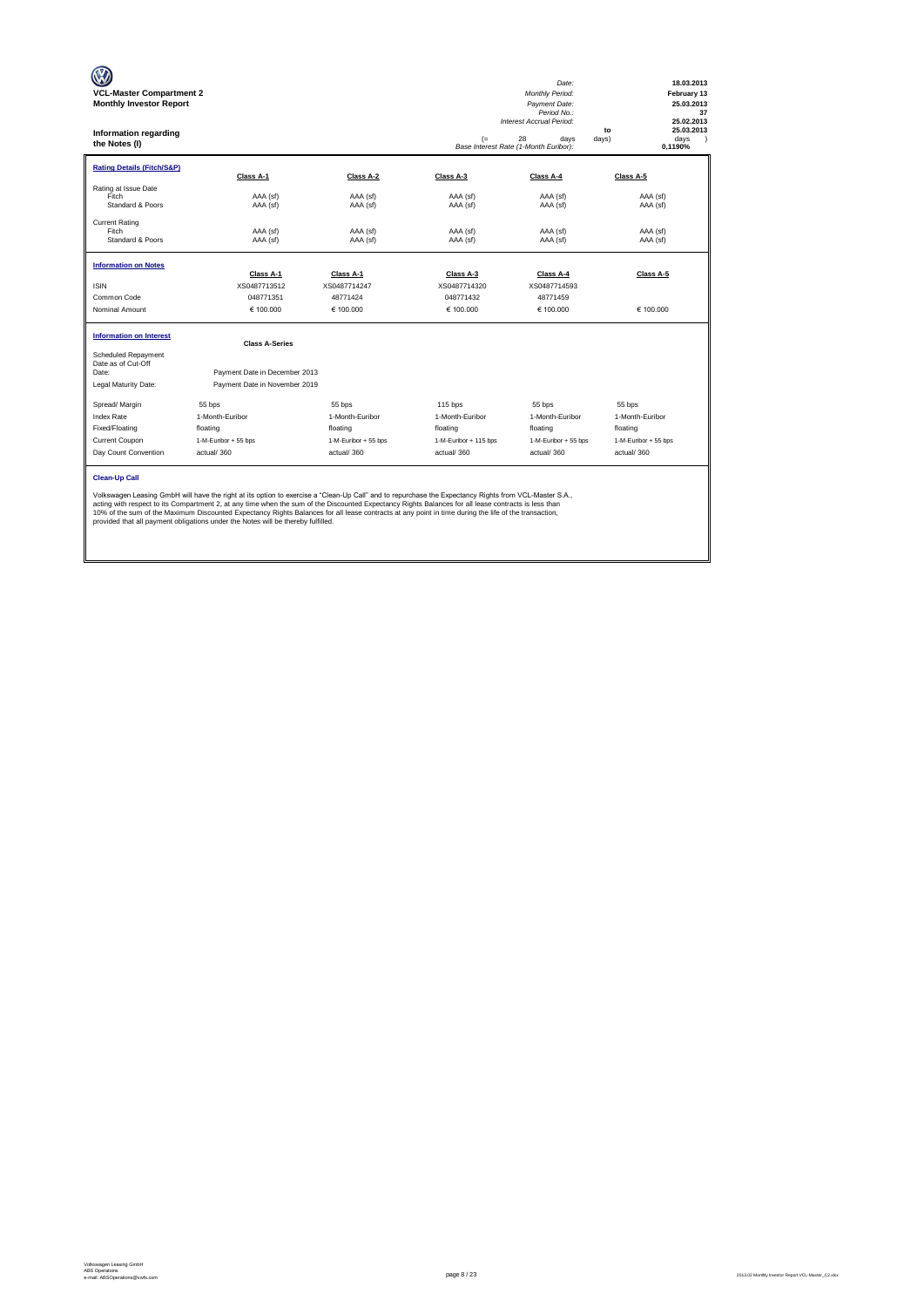| <b>VCL-Master Compartment 2</b><br><b>Monthly Investor Report</b><br>Information regarding<br>the Notes (I)                                                                                                                                                                                                                                                                                                                                                                                                                                                                       |                               |                      | $(=$                  | Date:<br>Monthly Period:<br>Payment Date:<br>Period No.:<br>Interest Accrual Period:<br>28<br>davs<br>Base Interest Rate (1-Month Euribor): | 18.03.2013<br>February 13<br>25.03.2013<br>37<br>25.02.2013<br>25.03.2013<br>to<br>days)<br>days<br>$\lambda$<br>0.1190% |  |  |  |  |
|-----------------------------------------------------------------------------------------------------------------------------------------------------------------------------------------------------------------------------------------------------------------------------------------------------------------------------------------------------------------------------------------------------------------------------------------------------------------------------------------------------------------------------------------------------------------------------------|-------------------------------|----------------------|-----------------------|---------------------------------------------------------------------------------------------------------------------------------------------|--------------------------------------------------------------------------------------------------------------------------|--|--|--|--|
| <b>Rating Details (Fitch/S&amp;P)</b>                                                                                                                                                                                                                                                                                                                                                                                                                                                                                                                                             | Class A-1                     | Class A-2            | Class A-3             | Class A-4                                                                                                                                   | Class A-5                                                                                                                |  |  |  |  |
| Rating at Issue Date<br>Fitch<br>Standard & Poors                                                                                                                                                                                                                                                                                                                                                                                                                                                                                                                                 | AAA (sf)<br>AAA (sf)          | AAA (sf)<br>AAA (sf) | AAA (sf)<br>AAA (sf)  | AAA (sf)<br>AAA (sf)                                                                                                                        | AAA (sf)<br>AAA (sf)                                                                                                     |  |  |  |  |
| <b>Current Rating</b><br>Fitch<br>Standard & Poors                                                                                                                                                                                                                                                                                                                                                                                                                                                                                                                                | AAA (sf)<br>AAA (sf)          | AAA (sf)<br>AAA (sf) | AAA (sf)<br>AAA (sf)  | AAA (sf)<br>AAA (sf)                                                                                                                        | AAA (sf)<br>AAA (sf)                                                                                                     |  |  |  |  |
| <b>Information on Notes</b>                                                                                                                                                                                                                                                                                                                                                                                                                                                                                                                                                       | Class A-1                     | Class A-1            | Class A-3             | Class A-4                                                                                                                                   | Class A-5                                                                                                                |  |  |  |  |
| <b>ISIN</b>                                                                                                                                                                                                                                                                                                                                                                                                                                                                                                                                                                       | XS0487713512                  | XS0487714247         | XS0487714320          | XS0487714593                                                                                                                                |                                                                                                                          |  |  |  |  |
| Common Code                                                                                                                                                                                                                                                                                                                                                                                                                                                                                                                                                                       | 048771351                     | 48771424             | 048771432             | 48771459                                                                                                                                    |                                                                                                                          |  |  |  |  |
| Nominal Amount                                                                                                                                                                                                                                                                                                                                                                                                                                                                                                                                                                    | € 100,000                     | € 100,000            | € 100.000             | € 100,000                                                                                                                                   | € 100.000                                                                                                                |  |  |  |  |
| <b>Information on Interest</b>                                                                                                                                                                                                                                                                                                                                                                                                                                                                                                                                                    | <b>Class A-Series</b>         |                      |                       |                                                                                                                                             |                                                                                                                          |  |  |  |  |
| Scheduled Repayment<br>Date as of Cut-Off                                                                                                                                                                                                                                                                                                                                                                                                                                                                                                                                         |                               |                      |                       |                                                                                                                                             |                                                                                                                          |  |  |  |  |
| Date:                                                                                                                                                                                                                                                                                                                                                                                                                                                                                                                                                                             | Payment Date in December 2013 |                      |                       |                                                                                                                                             |                                                                                                                          |  |  |  |  |
| Legal Maturity Date:                                                                                                                                                                                                                                                                                                                                                                                                                                                                                                                                                              | Payment Date in November 2019 |                      |                       |                                                                                                                                             |                                                                                                                          |  |  |  |  |
| Spread/ Margin                                                                                                                                                                                                                                                                                                                                                                                                                                                                                                                                                                    | 55 bps                        | 55 bps               | $115$ bps             | 55 bps                                                                                                                                      | 55 bps                                                                                                                   |  |  |  |  |
| <b>Index Rate</b>                                                                                                                                                                                                                                                                                                                                                                                                                                                                                                                                                                 | 1-Month-Euribor               | 1-Month-Euribor      | 1-Month-Euribor       | 1-Month-Euribor                                                                                                                             | 1-Month-Euribor                                                                                                          |  |  |  |  |
| Fixed/Floating                                                                                                                                                                                                                                                                                                                                                                                                                                                                                                                                                                    | floating                      | floating             | floating              | floating                                                                                                                                    | floating                                                                                                                 |  |  |  |  |
| Current Coupon                                                                                                                                                                                                                                                                                                                                                                                                                                                                                                                                                                    | 1-M-Euribor + 55 bps          | 1-M-Euribor + 55 bps | 1-M-Euribor + 115 bps | 1-M-Euribor + 55 bps                                                                                                                        | 1-M-Euribor + 55 bos                                                                                                     |  |  |  |  |
| Day Count Convention                                                                                                                                                                                                                                                                                                                                                                                                                                                                                                                                                              | actual/360                    | actual/360           | actual/360            | actual/360                                                                                                                                  | actual/360                                                                                                               |  |  |  |  |
| <b>Clean-Up Call</b><br>Volkswagen Leasing GmbH will have the right at its option to exercise a "Clean-Up Call" and to repurchase the Expectancy Rights from VCL-Master S.A.,<br>acting with respect to its Compartment 2, at any time when the sum of the Discounted Expectancy Rights Balances for all lease contracts is less than<br>10% of the sum of the Maximum Discounted Expectancy Rights Balances for all lease contracts at any point in time during the life of the transaction,<br>provided that all payment obligations under the Notes will be thereby fulfilled. |                               |                      |                       |                                                                                                                                             |                                                                                                                          |  |  |  |  |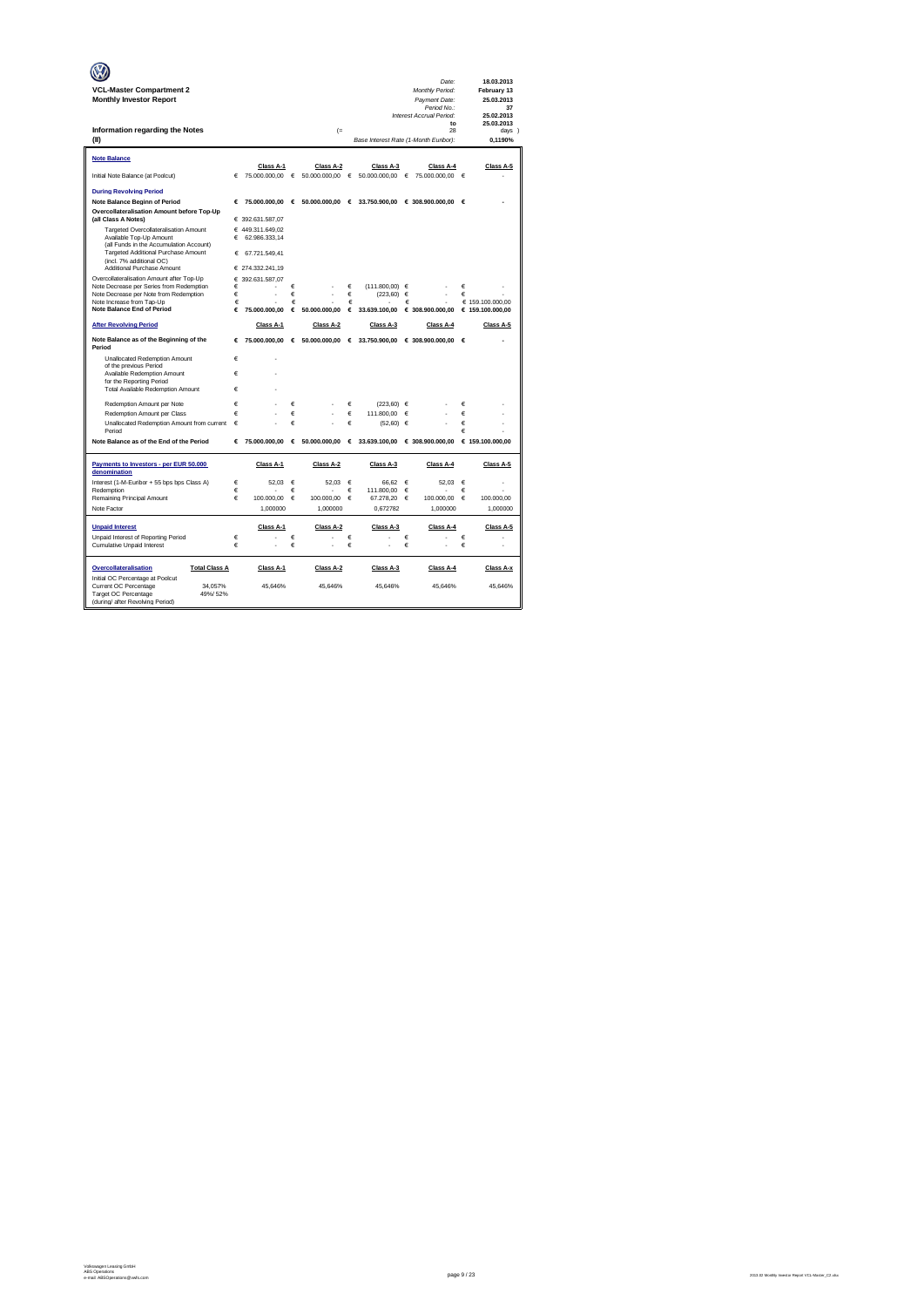|                                                                                    |        |                  |            |                        |            |                                       |   | Date:                            |            | 18.03.2013                |
|------------------------------------------------------------------------------------|--------|------------------|------------|------------------------|------------|---------------------------------------|---|----------------------------------|------------|---------------------------|
| <b>VCL-Master Compartment 2</b><br><b>Monthly Investor Report</b>                  |        |                  |            |                        |            |                                       |   | Monthly Period:<br>Payment Date: |            | February 13<br>25.03.2013 |
|                                                                                    |        |                  |            |                        |            |                                       |   | Period No.:                      |            | 37                        |
|                                                                                    |        |                  |            |                        |            |                                       |   | Interest Accrual Period:         |            | 25.02.2013                |
| Information regarding the Notes                                                    |        |                  |            | $(=$                   |            |                                       |   | to<br>28                         |            | 25.03.2013<br>days 1      |
| (II)                                                                               |        |                  |            |                        |            | Base Interest Rate (1-Month Euribor): |   |                                  |            | 0.1190%                   |
|                                                                                    |        |                  |            |                        |            |                                       |   |                                  |            |                           |
| <b>Note Balance</b>                                                                |        | Class A-1        |            | Class A-2              |            |                                       |   |                                  |            | Class A-5                 |
| Initial Note Balance (at Poolcut)                                                  | €      | 75.000.000,00    | $\epsilon$ | 50.000.000,00          | €          | Class A-3<br>50.000.000,00            | € | Class A-4<br>75.000.000,00       | $\epsilon$ |                           |
|                                                                                    |        |                  |            |                        |            |                                       |   |                                  |            |                           |
| <b>During Revolving Period</b>                                                     |        |                  |            |                        |            |                                       |   |                                  |            |                           |
| <b>Note Balance Beginn of Period</b>                                               | €      | 75,000,000,00    | €          | 50,000,000,00 €        |            | 33,750,900.00                         |   | € 308.900.000.00                 | €          |                           |
| Overcollateralisation Amount before Top-Up<br>(all Class A Notes)                  |        | € 392.631.587,07 |            |                        |            |                                       |   |                                  |            |                           |
| Targeted Overcollateralisation Amount                                              |        | € 449.311.649.02 |            |                        |            |                                       |   |                                  |            |                           |
| Available Top-Up Amount                                                            | €      | 62.986.333,14    |            |                        |            |                                       |   |                                  |            |                           |
| (all Funds in the Accumulation Account)<br>Targeted Additional Purchase Amount     | €      | 67.721.549.41    |            |                        |            |                                       |   |                                  |            |                           |
| (incl. 7% additional OC)                                                           |        |                  |            |                        |            |                                       |   |                                  |            |                           |
| Additional Purchase Amount                                                         |        | € 274.332.241,19 |            |                        |            |                                       |   |                                  |            |                           |
| Overcollateralisation Amount after Top-Up                                          |        | € 392.631.587.07 |            |                        |            |                                       |   |                                  |            |                           |
| Note Decrease per Series from Redemption<br>Note Decrease per Note from Redemption | €<br>€ |                  | €<br>€     |                        | €<br>€     | $(111.800.00)$ $\in$<br>(223, 60)     | € |                                  | €<br>€     |                           |
| Note Increase from Tap-Up                                                          | €      |                  | €          |                        | €          |                                       | € |                                  |            | € 159.100.000.00          |
| <b>Note Balance End of Period</b>                                                  | €      | 75,000,000,00    | €          | 50,000,000.00          | €          | 33.639.100,00                         |   | € 308.900.000,00                 |            | € 159.100.000,00          |
| <b>After Revolving Period</b>                                                      |        | Class A-1        |            | Class A-2              |            | Class A-3                             |   | Class A-4                        |            | Class A-5                 |
| Note Balance as of the Beginning of the                                            | €      | 75.000.000,00    | €          |                        |            | 50.000.000,00 € 33.750.900,00         |   | € 308.900.000,00                 | €          |                           |
| Period                                                                             |        |                  |            |                        |            |                                       |   |                                  |            |                           |
| Unallocated Redemption Amount<br>of the previous Period                            | €      |                  |            |                        |            |                                       |   |                                  |            |                           |
| Available Redemption Amount                                                        | €      |                  |            |                        |            |                                       |   |                                  |            |                           |
| for the Reporting Period                                                           | €      |                  |            |                        |            |                                       |   |                                  |            |                           |
| Total Available Redemption Amount                                                  |        |                  |            |                        |            |                                       |   |                                  |            |                           |
| Redemotion Amount per Note                                                         | €      |                  | €          |                        | €          | $(223.60) \in$                        |   |                                  | €          |                           |
| Redemption Amount per Class                                                        | €      |                  | €          |                        | €          | 111,800.00                            | € |                                  | €          |                           |
| Unallocated Redemption Amount from current<br>Period                               | €      |                  | €          |                        | €          | $(52,60) \in$                         |   |                                  | €<br>€     |                           |
| Note Balance as of the End of the Period                                           | €      | 75.000.000.00    | €          | 50.000.000,00          | €          | 33.639.100,00                         |   | € 308.900.000,00                 |            | € 159.100.000.00          |
|                                                                                    |        |                  |            |                        |            |                                       |   |                                  |            |                           |
| Payments to Investors - per EUR 50.000                                             |        | Class A-1        |            | Class A-2              |            | Class A-3                             |   | Class A-4                        |            | Class A-5                 |
| denomination                                                                       |        |                  |            |                        |            |                                       |   |                                  |            |                           |
| Interest (1-M-Euribor + 55 bps bps Class A)                                        | €      | 52.03            | €          | 52.03                  | $\epsilon$ | 66.62                                 | € | 52.03                            | $\epsilon$ |                           |
| Redemption                                                                         | €<br>€ | 100,000,00       | €          |                        | €          | 111.800,00                            | € | 100,000,00                       | €          |                           |
| Remaining Principal Amount<br>Note Factor                                          |        | 1.000000         | €          | 100,000.00<br>1.000000 | €          | 67.278.20<br>0.672782                 | € | 1.000000                         | €          | 100,000.00<br>1.000000    |
|                                                                                    |        |                  |            |                        |            |                                       |   |                                  |            |                           |
| <b>Unpaid Interest</b>                                                             |        | Class A-1        |            | Class A-2              |            | Class A-3                             |   | Class A-4                        |            | Class A-5                 |
| Unpaid Interest of Reporting Period                                                | €      |                  | €          |                        | €          |                                       | € |                                  | €          |                           |
| <b>Cumulative Unpaid Interest</b>                                                  | €      |                  | €          |                        | €          |                                       | € |                                  | €          | ä,                        |
|                                                                                    |        |                  |            |                        |            |                                       |   |                                  |            |                           |
| Overcollateralisation<br><b>Total Class A</b>                                      |        | Class A-1        |            | Class A-2              |            | Class A-3                             |   | Class A-4                        |            | Class A-x                 |
| Initial OC Percentage at Poolcut<br>Current OC Percentage<br>34.057%               |        | 45.646%          |            | 45.646%                |            | 45.646%                               |   | 45.646%                          |            | 45.646%                   |
| Target OC Percentage<br>49%/52%                                                    |        |                  |            |                        |            |                                       |   |                                  |            |                           |
| (during/ after Revolving Period)                                                   |        |                  |            |                        |            |                                       |   |                                  |            |                           |

e-mail: ABSOperations@vwfs.com page 9 / 23 2013.02 Monthly Investor Report VCL-Master\_C2.xlsx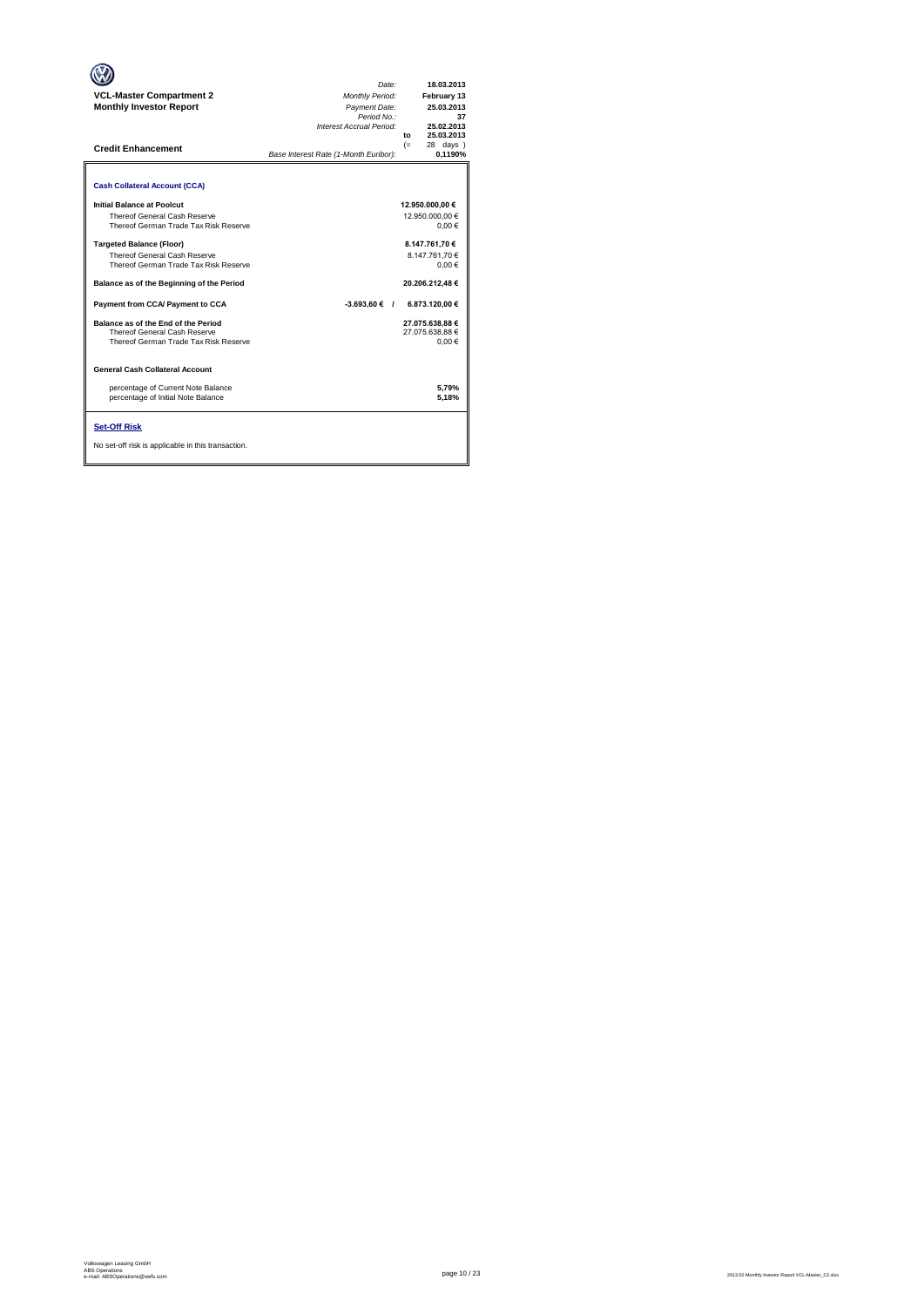| <b>VCL-Master Compartment 2</b><br><b>Monthly Investor Report</b><br><b>Credit Enhancement</b>                                                                                                                                                                                                                                                                                                                                                                                                                                                                                        | Date:<br><b>Monthly Period:</b><br>Payment Date:<br>Period No.:<br>Interest Accrual Period:<br>Base Interest Rate (1-Month Euribor): | $f_{\Omega}$<br>$(=$ | 18.03.2013<br>February 13<br>25.03.2013<br>37<br>25.02.2013<br>25.03.2013<br>28 days )<br>0.1190%                                                                                            |
|---------------------------------------------------------------------------------------------------------------------------------------------------------------------------------------------------------------------------------------------------------------------------------------------------------------------------------------------------------------------------------------------------------------------------------------------------------------------------------------------------------------------------------------------------------------------------------------|--------------------------------------------------------------------------------------------------------------------------------------|----------------------|----------------------------------------------------------------------------------------------------------------------------------------------------------------------------------------------|
| <b>Cash Collateral Account (CCA)</b><br><b>Initial Balance at Poolcut</b><br>Thereof General Cash Reserve<br>Thereof German Trade Tax Risk Reserve<br><b>Targeted Balance (Floor)</b><br>Thereof General Cash Reserve<br>Thereof German Trade Tax Risk Reserve<br>Balance as of the Beginning of the Period<br>Payment from CCA/ Payment to CCA<br>Balance as of the End of the Period<br>Thereof General Cash Reserve<br>Thereof German Trade Tax Risk Reserve<br><b>General Cash Collateral Account</b><br>percentage of Current Note Balance<br>percentage of Initial Note Balance | $-3.693.60 \in$ /                                                                                                                    |                      | 12.950.000,00 €<br>12.950.000.00 €<br>0.00€<br>8.147.761,70 €<br>8.147.761.70€<br>0.00€<br>20.206.212.48€<br>6.873.120,00 €<br>27.075.638.88 €<br>27.075.638.88 €<br>0.00€<br>5.79%<br>5,18% |
| <b>Set-Off Risk</b><br>No set-off risk is applicable in this transaction.                                                                                                                                                                                                                                                                                                                                                                                                                                                                                                             |                                                                                                                                      |                      |                                                                                                                                                                                              |

 $\overline{\phantom{0}}$ 

**. . . .** Trigger Level 1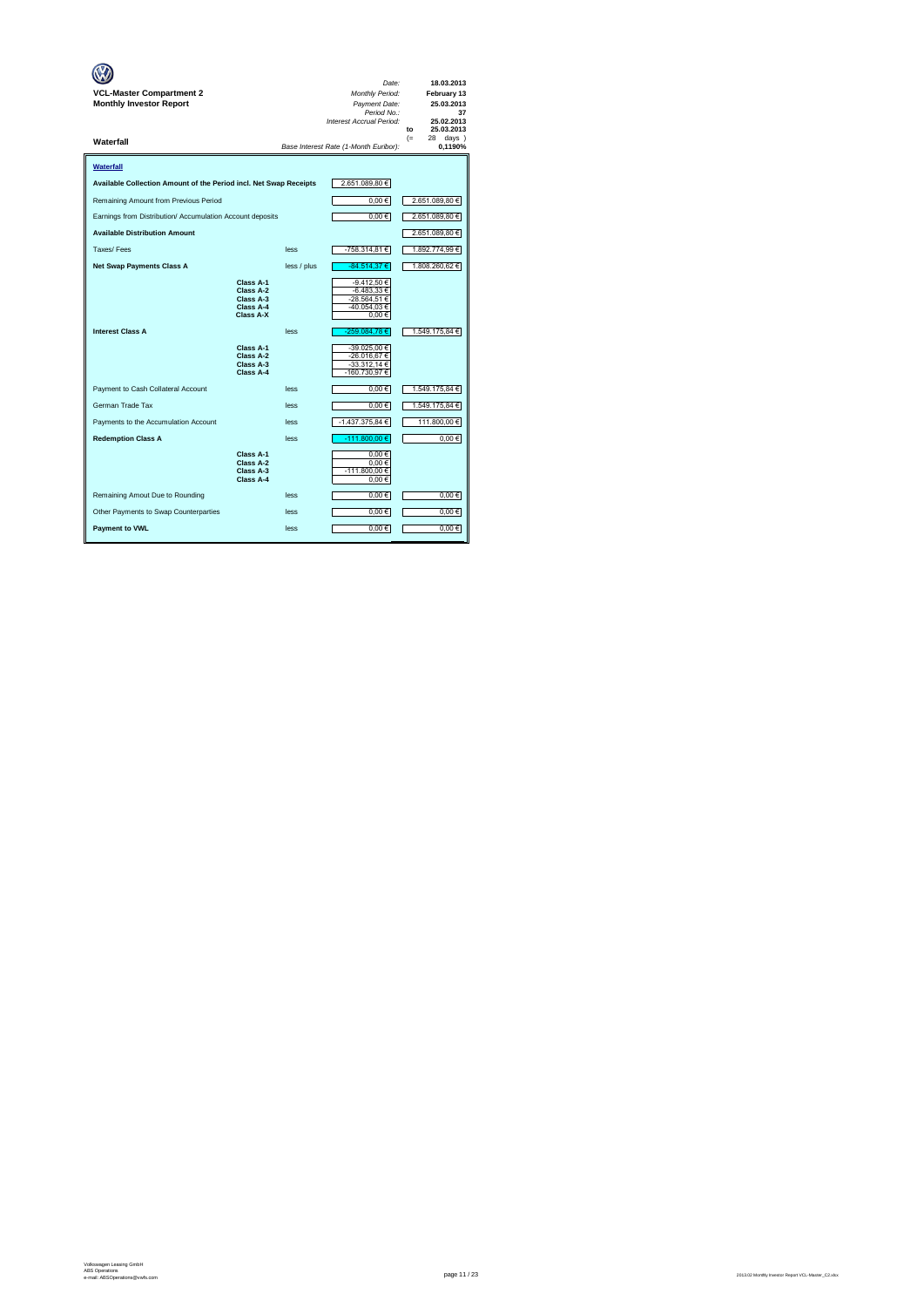| VCL-Master Compartment 2<br><b>Monthly Investor Report</b>        |                                                               |             | Date:<br>Monthly Period:<br>Payment Date:<br>Period No.:<br>Interest Accrual Period: | 18.03.2013<br>February 13<br>25.03.2013<br>37<br>25.02.2013<br>25.03.2013<br>to |
|-------------------------------------------------------------------|---------------------------------------------------------------|-------------|--------------------------------------------------------------------------------------|---------------------------------------------------------------------------------|
| Waterfall                                                         |                                                               |             | Base Interest Rate (1-Month Euribor):                                                | $(=$<br>28<br>$days$ )<br>0.1190%                                               |
| Waterfall                                                         |                                                               |             |                                                                                      |                                                                                 |
| Available Collection Amount of the Period incl. Net Swap Receipts |                                                               |             | 2.651.089,80 €                                                                       |                                                                                 |
| Remaining Amount from Previous Period                             |                                                               |             | $0,00 \in$                                                                           | 2.651.089,80 €                                                                  |
| Earnings from Distribution/ Accumulation Account deposits         |                                                               |             | $0,00 \in$                                                                           | 2.651.089,80 €                                                                  |
| <b>Available Distribution Amount</b>                              |                                                               |             |                                                                                      | 2.651.089,80 €                                                                  |
| Taxes/Fees                                                        |                                                               | less        | -758.314,81 €                                                                        | 1.892.774,99 €                                                                  |
| <b>Net Swap Payments Class A</b>                                  |                                                               | less / plus | -84.514,37 €                                                                         | 1.808.260,62 €                                                                  |
|                                                                   | Class A-1<br>Class A-2<br>Class A-3<br>Class A-4<br>Class A-X |             | -9.412.50 €<br>$-6.483,33 \in$<br>-28.564.51 €<br>-40.054,03€<br>0.00€               |                                                                                 |
| <b>Interest Class A</b>                                           |                                                               | less        | -259.084,78€                                                                         | 1.549.175,84 €                                                                  |
|                                                                   | Class A-1<br>Class A-2<br>Class A-3<br>Class A-4              |             | -39.025,00 €<br>-26.016.67 €<br>$-33.312,14 \in$<br>-160.730,97€                     |                                                                                 |
| Payment to Cash Collateral Account                                |                                                               | less        | $0,00 \in$                                                                           | 1.549.175,84 €                                                                  |
| German Trade Tax                                                  |                                                               | less        | $0,00 \in$                                                                           | 1.549.175,84 €                                                                  |
| Payments to the Accumulation Account                              |                                                               | less        | -1.437.375,84 €                                                                      | 111.800,00 €                                                                    |
| <b>Redemption Class A</b>                                         |                                                               | less        | -111.800,00 €                                                                        | $0,00 \in$                                                                      |
|                                                                   | Class A-1<br>Class A-2<br>Class A-3<br>Class A-4              |             | 0.00€<br>0.00€<br>-111.800,00 €<br>0,00€                                             |                                                                                 |
| Remaining Amout Due to Rounding                                   |                                                               | less        | $0,00 \in$                                                                           | 0.00€                                                                           |
| Other Payments to Swap Counterparties                             |                                                               | less        | $0,00 \in$                                                                           | $0,00$ €                                                                        |
| <b>Payment to VWL</b>                                             |                                                               | less        | $0,00 \in$                                                                           | $0,00$ €                                                                        |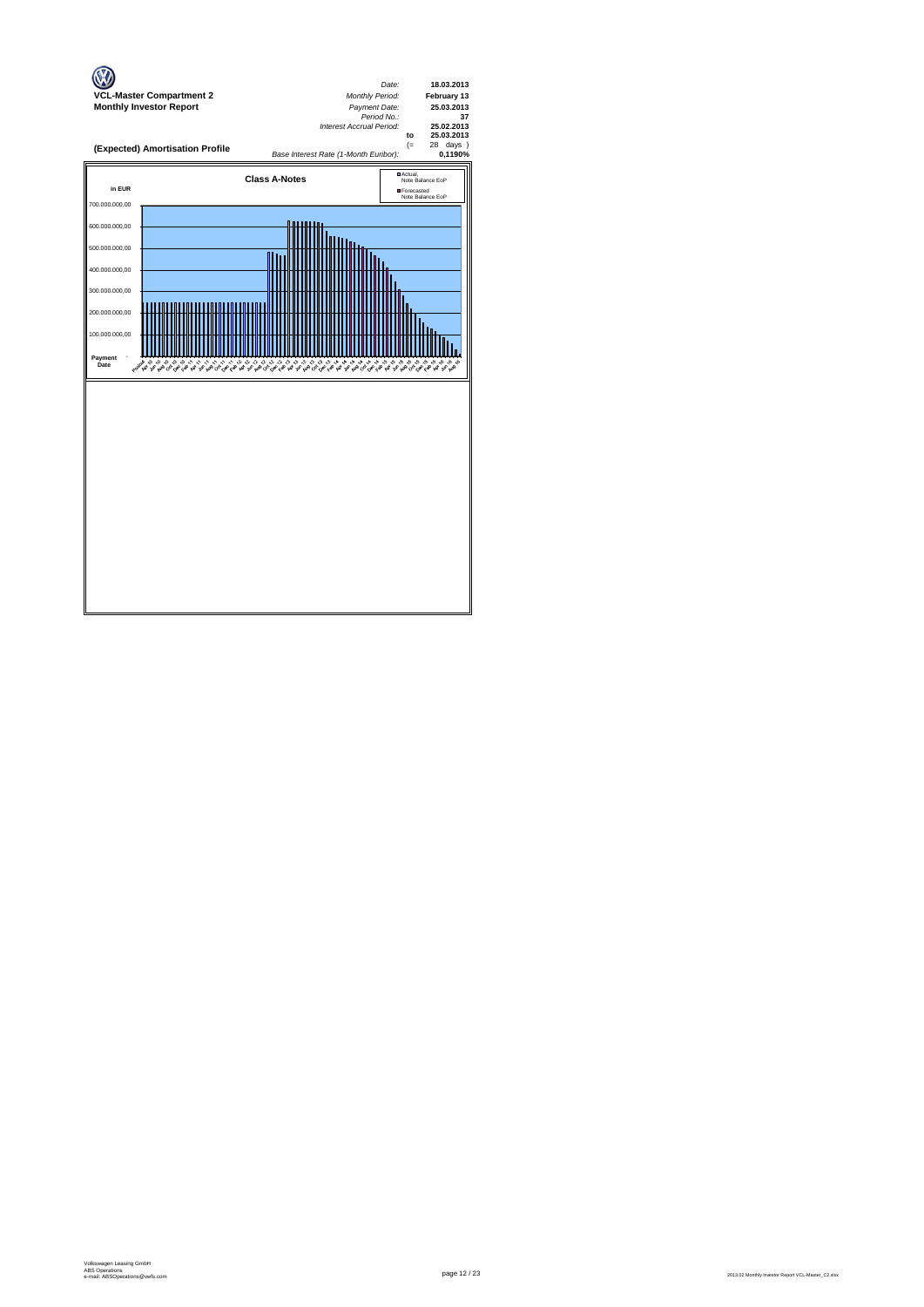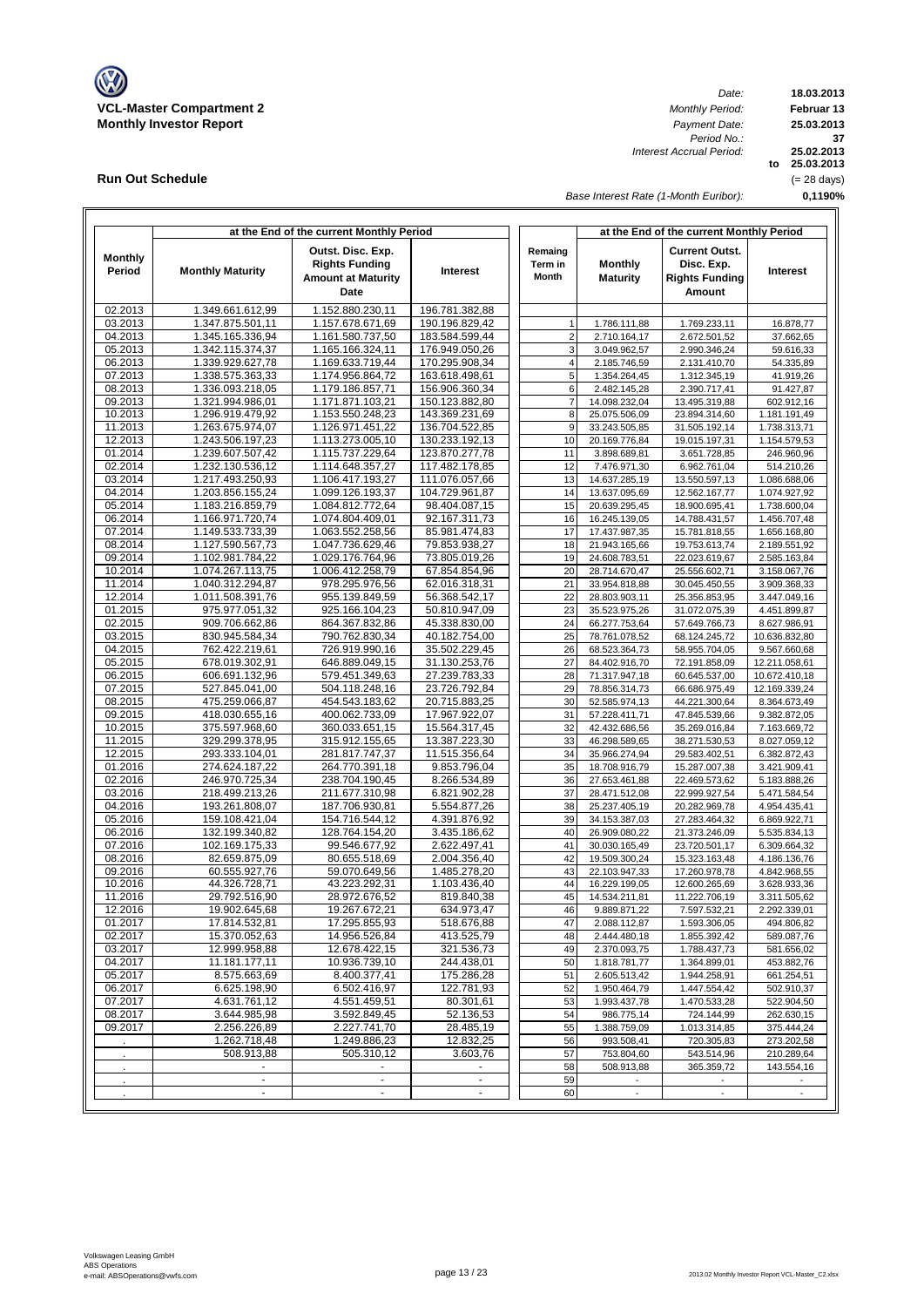

**Run Out Schedule**

*Date: Period No.: Interest Accrual Period:*

**18.03.2013 Februar 13 to 25.03.2013 25.02.2013 0,1190% 37 25.03.2013** (= 28 days)

*Base Interest Rate (1-Month Euribor):*

|                    |                                      | at the End of the current Monthly Period                                        |                                  |                                    | at the End of the current Monthly Period |                                                                        |                                |  |  |  |
|--------------------|--------------------------------------|---------------------------------------------------------------------------------|----------------------------------|------------------------------------|------------------------------------------|------------------------------------------------------------------------|--------------------------------|--|--|--|
| Monthly<br>Period  | <b>Monthly Maturity</b>              | Outst. Disc. Exp.<br><b>Rights Funding</b><br><b>Amount at Maturity</b><br>Date | <b>Interest</b>                  | Remaing<br>Term in<br><b>Month</b> | <b>Monthly</b><br><b>Maturity</b>        | <b>Current Outst.</b><br>Disc. Exp.<br><b>Rights Funding</b><br>Amount | <b>Interest</b>                |  |  |  |
| 02.2013            | 1.349.661.612,99                     | 1.152.880.230,11                                                                | 196.781.382,88                   |                                    |                                          |                                                                        |                                |  |  |  |
| 03.2013            | 1.347.875.501,11                     | 1.157.678.671,69                                                                | 190.196.829,42                   | $\mathbf{1}$                       | 1.786.111,88                             | 1.769.233,11                                                           | 16.878,77                      |  |  |  |
| 04.2013            | 1.345.165.336,94                     | 1.161.580.737,50                                                                | 183.584.599,44                   | $\mathbf 2$                        | 2.710.164,17                             | 2.672.501,52                                                           | 37.662,65                      |  |  |  |
| 05.2013<br>06.2013 | 1.342.115.374,37<br>1.339.929.627,78 | 1.165.166.324,11<br>1.169.633.719,44                                            | 176.949.050,26<br>170.295.908,34 | 3<br>4                             | 3.049.962,57<br>2.185.746,59             | 2.990.346,24<br>2.131.410,70                                           | 59.616,33<br>54.335,89         |  |  |  |
| 07.2013            | 1.338.575.363,33                     | 1.174.956.864,72                                                                | 163.618.498,61                   | $\overline{5}$                     | 1.354.264,45                             | 1.312.345,19                                                           | 41.919,26                      |  |  |  |
| 08.2013            | 1.336.093.218,05                     | 1.179.186.857,71                                                                | 156.906.360,34                   | 6                                  | 2.482.145,28                             | 2.390.717,41                                                           | 91.427,87                      |  |  |  |
| 09.2013            | 1.321.994.986,01                     | 1.171.871.103.21                                                                | 150.123.882,80                   | $\overline{7}$                     | 14.098.232,04                            | 13.495.319,88                                                          | 602.912,16                     |  |  |  |
| 10.2013            | 1.296.919.479,92                     | 1.153.550.248,23                                                                | 143.369.231,69                   | 8                                  | 25.075.506,09                            | 23.894.314,60                                                          | 1.181.191,49                   |  |  |  |
| 11.2013            | 1.263.675.974.07                     | 1.126.971.451,22                                                                | 136.704.522,85                   | 9                                  | 33.243.505,85                            | 31.505.192,14                                                          | 1.738.313,71                   |  |  |  |
| 12.2013            | 1.243.506.197,23                     | 1.113.273.005,10                                                                | 130.233.192,13                   | 10                                 | 20.169.776,84                            | 19.015.197,31                                                          | 1.154.579,53                   |  |  |  |
| 01.2014<br>02.2014 | 1.239.607.507,42<br>1.232.130.536,12 | 1.115.737.229,64<br>1.114.648.357,27                                            | 123.870.277,78<br>117.482.178,85 | 11<br>12                           | 3.898.689,81<br>7.476.971,30             | 3.651.728,85<br>6.962.761,04                                           | 246.960,96<br>514.210,26       |  |  |  |
| 03.2014            | 1.217.493.250,93                     | 1.106.417.193,27                                                                | 111.076.057,66                   | 13                                 | 14.637.285,19                            | 13.550.597,13                                                          | 1.086.688,06                   |  |  |  |
| 04.2014            | 1.203.856.155,24                     | 1.099.126.193,37                                                                | 104.729.961,87                   | 14                                 | 13.637.095,69                            | 12.562.167,77                                                          | 1.074.927,92                   |  |  |  |
| 05.2014            | 1.183.216.859,79                     | 1.084.812.772,64                                                                | 98.404.087,15                    | 15                                 | 20.639.295,45                            | 18.900.695,41                                                          | 1.738.600,04                   |  |  |  |
| 06.2014            | 1.166.971.720,74                     | 1.074.804.409,01                                                                | 92.167.311,73                    | 16                                 | 16.245.139,05                            | 14.788.431,57                                                          | 1.456.707,48                   |  |  |  |
| 07.2014            | 1.149.533.733,39                     | 1.063.552.258,56                                                                | 85.981.474,83                    | 17                                 | 17.437.987,35                            | 15.781.818,55                                                          | 1.656.168,80                   |  |  |  |
| 08.2014            | 1.127.590.567,73                     | 1.047.736.629,46                                                                | 79.853.938,27                    | 18                                 | 21.943.165,66                            | 19.753.613,74                                                          | 2.189.551,92                   |  |  |  |
| 09.2014<br>10.2014 | 1.102.981.784,22<br>1.074.267.113,75 | 1.029.176.764,96<br>1.006.412.258,79                                            | 73.805.019,26<br>67.854.854,96   | 19<br>20                           | 24.608.783,51<br>28.714.670,47           | 22.023.619,67<br>25.556.602,71                                         | 2.585.163,84<br>3.158.067,76   |  |  |  |
| 11.2014            | 1.040.312.294,87                     | 978.295.976,56                                                                  | 62.016.318,31                    | 21                                 | 33.954.818,88                            | 30.045.450,55                                                          | 3.909.368,33                   |  |  |  |
| 12.2014            | 1.011.508.391,76                     | 955.139.849,59                                                                  | 56.368.542,17                    | 22                                 | 28.803.903,11                            | 25.356.853,95                                                          | 3.447.049,16                   |  |  |  |
| 01.2015            | 975.977.051,32                       | 925.166.104,23                                                                  | 50.810.947,09                    | 23                                 | 35.523.975,26                            | 31.072.075,39                                                          | 4.451.899,87                   |  |  |  |
| 02.2015            | 909.706.662,86                       | 864.367.832,86                                                                  | 45.338.830,00                    | 24                                 | 66.277.753,64                            | 57.649.766,73                                                          | 8.627.986,91                   |  |  |  |
| 03.2015            | 830.945.584,34                       | 790.762.830,34                                                                  | 40.182.754,00                    | 25                                 | 78.761.078,52                            | 68.124.245,72                                                          | 10.636.832,80                  |  |  |  |
| 04.2015            | 762.422.219,61                       | 726.919.990,16                                                                  | 35.502.229,45                    | 26                                 | 68.523.364,73                            | 58.955.704,05                                                          | 9.567.660,68                   |  |  |  |
| 05.2015<br>06.2015 | 678.019.302,91<br>606.691.132,96     | 646.889.049,15<br>579.451.349,63                                                | 31.130.253,76<br>27.239.783,33   | 27<br>28                           | 84.402.916,70<br>71.317.947,18           | 72.191.858,09                                                          | 12.211.058,61                  |  |  |  |
| 07.2015            | 527.845.041,00                       | 504.118.248,16                                                                  | 23.726.792,84                    | 29                                 | 78.856.314,73                            | 60.645.537,00<br>66.686.975,49                                         | 10.672.410,18<br>12.169.339,24 |  |  |  |
| 08.2015            | 475.259.066,87                       | 454.543.183,62                                                                  | 20.715.883,25                    | 30                                 | 52.585.974,13                            | 44.221.300,64                                                          | 8.364.673,49                   |  |  |  |
| 09.2015            | 418.030.655,16                       | 400.062.733,09                                                                  | 17.967.922,07                    | 31                                 | 57.228.411,71                            | 47.845.539,66                                                          | 9.382.872,05                   |  |  |  |
| 10.2015            | 375.597.968,60                       | 360.033.651,15                                                                  | 15.564.317,45                    | 32                                 | 42.432.686,56                            | 35.269.016,84                                                          | 7.163.669,72                   |  |  |  |
| 11.2015            | 329.299.378,95                       | 315.912.155,65                                                                  | 13.387.223,30                    | 33                                 | 46.298.589,65                            | 38.271.530,53                                                          | 8.027.059,12                   |  |  |  |
| 12.2015            | 293.333.104,01                       | 281.817.747,37                                                                  | 11.515.356,64                    | 34                                 | 35.966.274,94                            | 29.583.402,51                                                          | 6.382.872,43                   |  |  |  |
| 01.2016            | 274.624.187,22                       | 264.770.391,18                                                                  | 9.853.796,04                     | 35                                 | 18.708.916,79                            | 15.287.007,38                                                          | 3.421.909,41                   |  |  |  |
| 02.2016<br>03.2016 | 246.970.725,34<br>218.499.213,26     | 238.704.190,45<br>211.677.310,98                                                | 8.266.534,89<br>6.821.902,28     | 36<br>37                           | 27.653.461,88<br>28.471.512,08           | 22.469.573,62<br>22.999.927,54                                         | 5.183.888,26<br>5.471.584,54   |  |  |  |
| 04.2016            | 193.261.808,07                       | 187.706.930,81                                                                  | 5.554.877,26                     | 38                                 | 25.237.405,19                            | 20.282.969,78                                                          | 4.954.435,41                   |  |  |  |
| 05.2016            | 159.108.421,04                       | 154.716.544,12                                                                  | 4.391.876,92                     | 39                                 | 34.153.387,03                            | 27.283.464,32                                                          | 6.869.922,71                   |  |  |  |
| 06.2016            | 132.199.340,82                       | 128.764.154,20                                                                  | 3.435.186,62                     | 40                                 | 26.909.080,22                            | 21.373.246,09                                                          | 5.535.834,13                   |  |  |  |
| 07.2016            | 102.169.175,33                       | 99.546.677,92                                                                   | 2.622.497,41                     | 41                                 | 30.030.165,49                            | 23.720.501,17                                                          | 6.309.664,32                   |  |  |  |
| 08.2016            | 82.659.875,09                        | 80.655.518,69                                                                   | 2.004.356,40                     | 42                                 | 19.509.300,24                            | 15.323.163,48                                                          | 4.186.136,76                   |  |  |  |
| 09.2016<br>10.2016 | 60.555.927,76<br>44.326.728,71       | 59.070.649,56<br>43.223.292,31                                                  | 1.485.278,20<br>1.103.436,40     | 43<br>44                           | 22.103.947,33<br>16.229.199,05           | 17.260.978,78<br>12.600.265,69                                         | 4.842.968,55                   |  |  |  |
| 11.2016            | 29.792.516,90                        | 28.972.676,52                                                                   | 819.840,38                       | 45                                 | 14.534.211,81                            | 11.222.706,19                                                          | 3.628.933,36<br>3.311.505,62   |  |  |  |
| 12.2016            | 19.902.645,68                        | 19.267.672,21                                                                   | 634.973,47                       | 46                                 | 9.889.871,22                             | 7.597.532,21                                                           | 2.292.339,01                   |  |  |  |
| 01.2017            | 17.814.532,81                        | 17.295.855,93                                                                   | 518.676,88                       | 47                                 | 2.088.112,87                             | 1.593.306,05                                                           | 494.806,82                     |  |  |  |
| 02.2017            | 15.370.052.63                        | 14.956.526,84                                                                   | 413.525,79                       | 48                                 | 2.444.480,18                             | 1.855.392,42                                                           | 589.087,76                     |  |  |  |
| 03.2017            | 12.999.958,88                        | 12.678.422,15                                                                   | 321.536,73                       | 49                                 | 2.370.093,75                             | 1.788.437,73                                                           | 581.656,02                     |  |  |  |
| 04.2017            | 11.181.177,11                        | 10.936.739,10                                                                   | 244.438,01                       | 50                                 | 1.818.781,77                             | 1.364.899,01                                                           | 453.882.76                     |  |  |  |
| 05.2017            | 8.575.663,69                         | 8.400.377,41                                                                    | 175.286,28<br>122.781,93         | 51                                 | 2.605.513,42                             | 1.944.258,91                                                           | 661.254,51                     |  |  |  |
| 06.2017<br>07.2017 | 6.625.198,90<br>4.631.761,12         | 6.502.416,97<br>4.551.459,51                                                    | 80.301,61                        | 52<br>53                           | 1.950.464,79<br>1.993.437,78             | 1.447.554,42<br>1.470.533,28                                           | 502.910,37<br>522.904,50       |  |  |  |
| 08.2017            | 3.644.985,98                         | 3.592.849,45                                                                    | 52.136,53                        | 54                                 | 986.775,14                               | 724.144,99                                                             | 262.630,15                     |  |  |  |
| 09.2017            | 2.256.226,89                         | 2.227.741,70                                                                    | 28.485,19                        | 55                                 | 1.388.759,09                             | 1.013.314,85                                                           | 375.444,24                     |  |  |  |
|                    | 1.262.718,48                         | 1.249.886,23                                                                    | 12.832,25                        | 56                                 | 993.508,41                               | 720.305,83                                                             | 273.202,58                     |  |  |  |
|                    | 508.913,88                           | 505.310,12                                                                      | 3.603,76                         | 57                                 | 753.804,60                               | 543.514,96                                                             | 210.289,64                     |  |  |  |
|                    |                                      |                                                                                 |                                  | 58                                 | 508.913,88                               | 365.359,72                                                             | 143.554,16                     |  |  |  |
|                    | $\blacksquare$                       | $\blacksquare$                                                                  |                                  | 59                                 |                                          | $\overline{\phantom{a}}$                                               |                                |  |  |  |
|                    |                                      |                                                                                 |                                  | 60                                 |                                          |                                                                        |                                |  |  |  |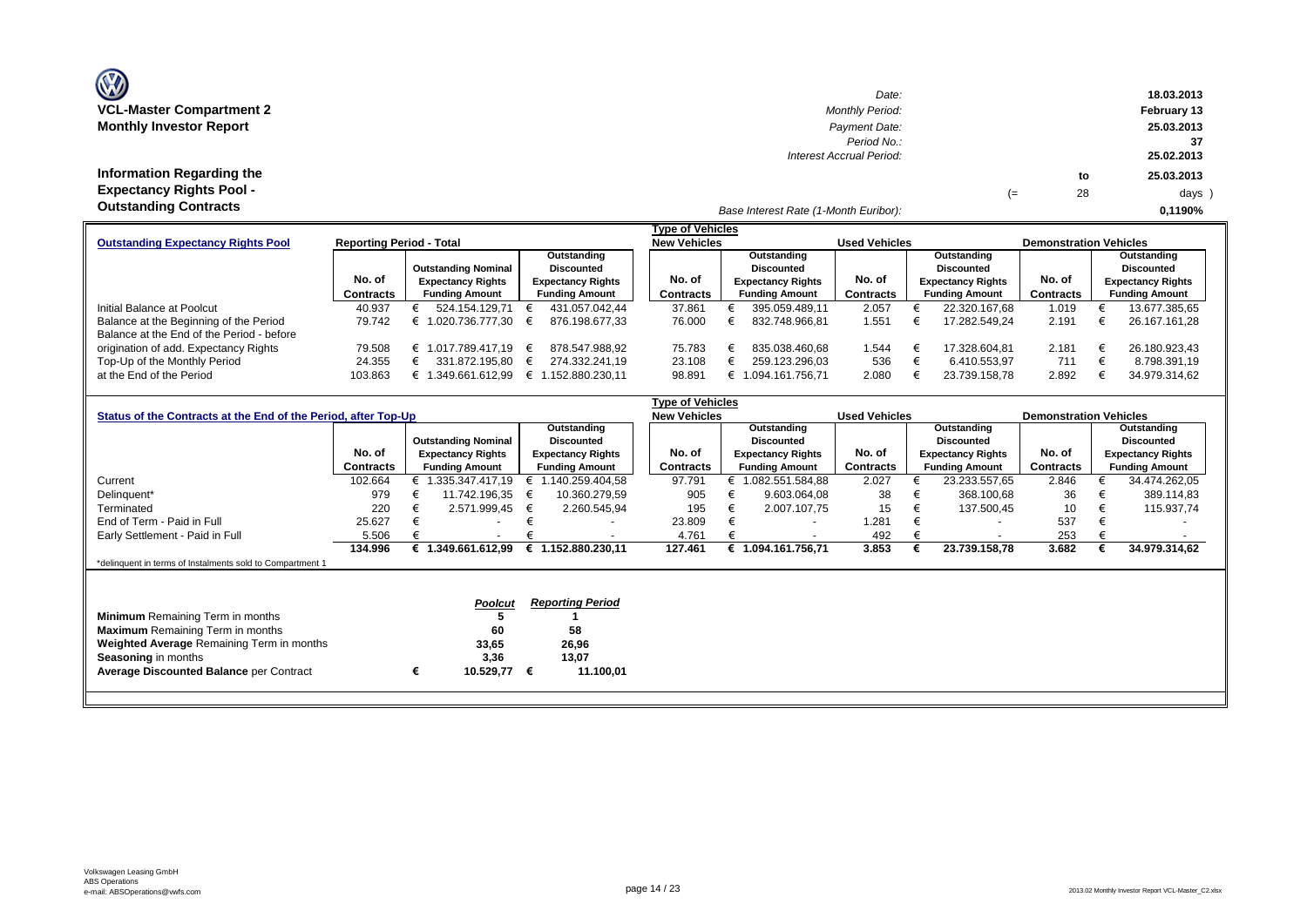| O                                                                                            | Date:                                                    |    |          | 18.03.2013                     |
|----------------------------------------------------------------------------------------------|----------------------------------------------------------|----|----------|--------------------------------|
| <b>VCL-Master Compartment 2</b>                                                              | <b>Monthly Period:</b>                                   |    |          | February 13                    |
| <b>Monthly Investor Report</b>                                                               | Payment Date:<br>Period No.:<br>Interest Accrual Period: |    |          | 25.03.2013<br>37<br>25.02.2013 |
| Information Regarding the<br><b>Expectancy Rights Pool -</b><br><b>Outstanding Contracts</b> | Base Interest Rate (1-Month Euribor):                    | (≕ | to<br>28 | 25.03.2013<br>days<br>0,1190%  |

(28 days )

|                                           |                                 |                            |                          | <b>Type of Vehicles</b> |                          |                      |                          |                               |                          |  |
|-------------------------------------------|---------------------------------|----------------------------|--------------------------|-------------------------|--------------------------|----------------------|--------------------------|-------------------------------|--------------------------|--|
| <b>Outstanding Expectancy Rights Pool</b> | <b>Reporting Period - Total</b> |                            |                          | <b>New Vehicles</b>     |                          | <b>Used Vehicles</b> |                          | <b>Demonstration Vehicles</b> |                          |  |
|                                           |                                 |                            | Outstanding              |                         | Outstanding              |                      | Outstanding              |                               | Outstanding              |  |
|                                           |                                 | <b>Outstanding Nominal</b> | <b>Discounted</b>        |                         | Discounted               |                      | <b>Discounted</b>        |                               | <b>Discounted</b>        |  |
|                                           | No. of                          | <b>Expectancy Rights</b>   | <b>Expectancy Rights</b> | No. of                  | <b>Expectancy Rights</b> | No. of               | <b>Expectancy Rights</b> | No. of                        | <b>Expectancy Rights</b> |  |
|                                           | Contracts                       | <b>Funding Amount</b>      | <b>Funding Amount</b>    | Contracts               | <b>Funding Amount</b>    | Contracts            | <b>Funding Amount</b>    | Contracts                     | <b>Funding Amount</b>    |  |
| Initial Balance at Poolcut                | 40.937                          | 524.154.129.71             | 431.057.042.44           | 37.861                  | 395.059.489.11           | 2.057                | 22.320.167.68            | 1.019                         | 13.677.385,65            |  |
| Balance at the Beginning of the Period    | 79.742                          | .020.736.777.30            | 876.198.677.33           | 76.000                  | 832.748.966.81           | 1.551                | 17.282.549.24            | 2.191                         | 26.167.161.28            |  |
| Balance at the End of the Period - before |                                 |                            |                          |                         |                          |                      |                          |                               |                          |  |
| origination of add. Expectancy Rights     | 79.508                          | 1.017.789.417.19           | 878.547.988.92           | 75.783                  | 835.038.460.68           | 1.544                | 17.328.604.81            | 2.181                         | 26.180.923,43            |  |
| Top-Up of the Monthly Period              | 24.355                          | 331.872.195.80             | 274.332.241.19           | 23.108                  | 259.123.296,03           | 536                  | 6.410.553.97             | 711                           | 8.798.391.19             |  |
| at the End of the Period                  | 103.863                         | .349.661.612.99            | 1.152.880.230.11         | 98.891                  | 1.094.161.756.71         | 2.080                | 23.739.158,78            | 2.892                         | 34.979.314,62            |  |

|                                                                |           |                            |                          | <b>Type of Vehicles</b> |                          |                      |                          |                               |                          |
|----------------------------------------------------------------|-----------|----------------------------|--------------------------|-------------------------|--------------------------|----------------------|--------------------------|-------------------------------|--------------------------|
| Status of the Contracts at the End of the Period, after Top-Up |           |                            |                          | <b>New Vehicles</b>     |                          | <b>Used Vehicles</b> |                          | <b>Demonstration Vehicles</b> |                          |
|                                                                |           |                            | Outstanding              |                         | Outstanding              |                      | Outstanding              |                               | Outstanding              |
|                                                                |           | <b>Outstanding Nominal</b> | <b>Discounted</b>        |                         | <b>Discounted</b>        |                      | <b>Discounted</b>        |                               | <b>Discounted</b>        |
|                                                                | No. of    | <b>Expectancy Rights</b>   | <b>Expectancy Rights</b> | No. of                  | <b>Expectancy Rights</b> | No. of               | <b>Expectancy Rights</b> | No. of                        | <b>Expectancy Rights</b> |
|                                                                | Contracts | <b>Funding Amount</b>      | <b>Funding Amount</b>    | Contracts               | <b>Funding Amount</b>    | Contracts            | <b>Funding Amount</b>    | Contracts                     | <b>Funding Amount</b>    |
| Current                                                        | 102.664   | € 1.335.347.417,19         | € 1.140.259.404,58       | 97.791                  | 082.551.584,88           | 2.027                | 23.233.557,65            | 2.846                         | 34.474.262,05            |
| Delinquent*                                                    | 979       | 11.742.196.35              | 10.360.279,59            | 905                     | 9.603.064,08             | 38                   | 368.100,68               | 36                            | 389.114,83               |
| Terminated                                                     | 220       | 2.571.999,45               | 2.260.545,94<br>€        | 195                     | 2.007.107.75             | 15                   | 137.500,45               | 10                            | 115.937,74<br>€          |
| End of Term - Paid in Full                                     | 25.627    |                            |                          | 23.809                  |                          | 1.281                | $\overline{\phantom{a}}$ | 537                           |                          |
| Early Settlement - Paid in Full                                | 5.506     |                            |                          | 4.761                   |                          | 492                  |                          | 253                           |                          |
|                                                                | 134.996   | € 1.349.661.612,99         | € 1.152.880.230,11       | 127.461                 | € 1.094.161.756,71       | 3.853                | 23.739.158,78            | 3.682                         | 34.979.314,62            |
| *delinquent in terms of Instalments sold to Compartment 1      |           |                            |                          |                         |                          |                      |                          |                               |                          |
|                                                                |           |                            |                          |                         |                          |                      |                          |                               |                          |
|                                                                |           |                            |                          |                         |                          |                      |                          |                               |                          |
|                                                                |           | Poolcut                    | <b>Reporting Period</b>  |                         |                          |                      |                          |                               |                          |
| <b>Minimum</b> Remaining Term in months                        |           |                            |                          |                         |                          |                      |                          |                               |                          |
| <b>Maximum</b> Remaining Term in months                        |           | 60                         | 58                       |                         |                          |                      |                          |                               |                          |
| Weighted Average Remaining Term in months                      |           | 33,65                      | 26,96                    |                         |                          |                      |                          |                               |                          |
| <b>Seasoning in months</b>                                     |           | 3,36                       | 13,07                    |                         |                          |                      |                          |                               |                          |
| <b>Average Discounted Balance per Contract</b>                 |           | 10.529,77<br>€             | 11.100,01<br>€           |                         |                          |                      |                          |                               |                          |
|                                                                |           |                            |                          |                         |                          |                      |                          |                               |                          |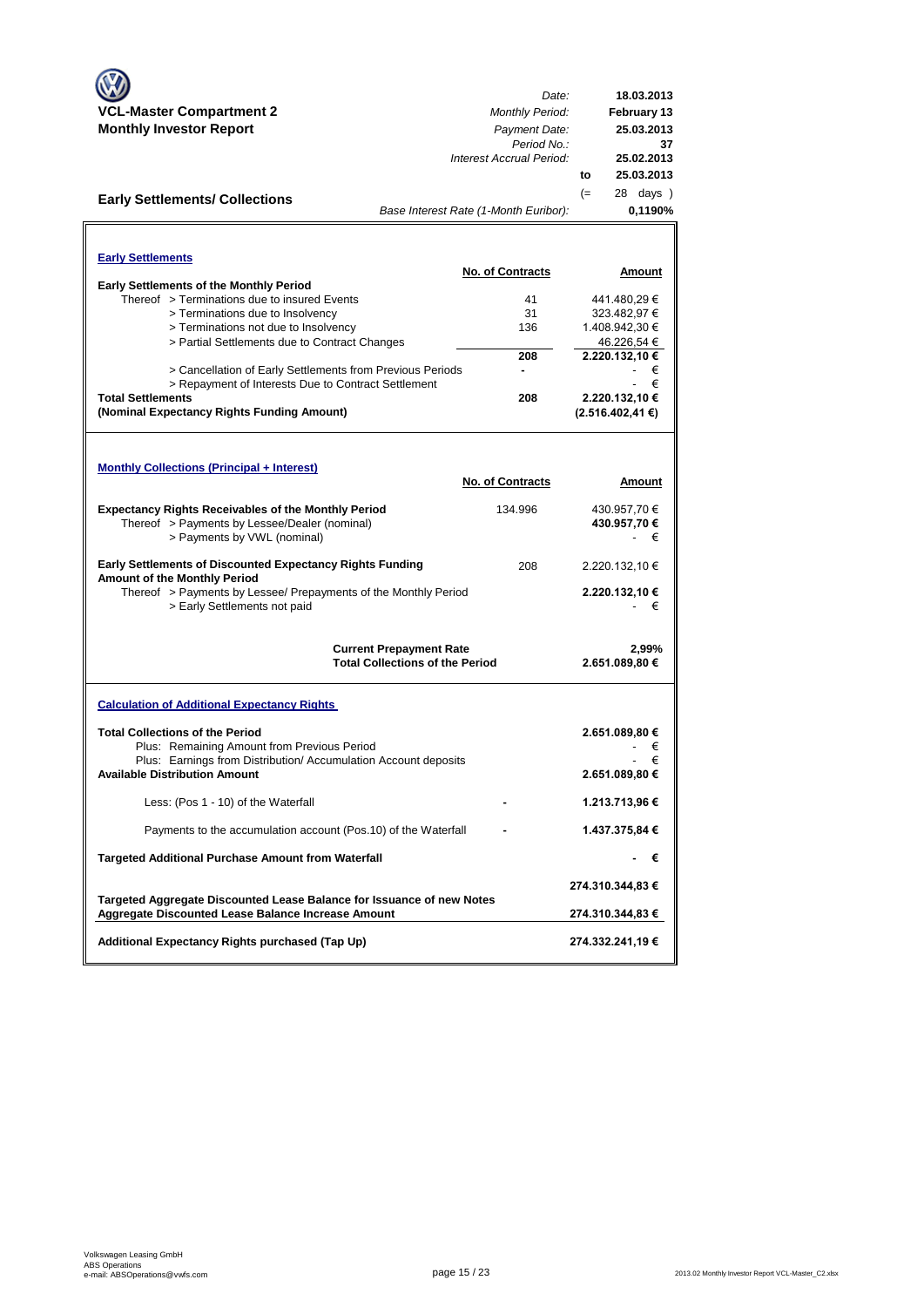|                                                                                                             | Date:                                  | 18.03.2013            |
|-------------------------------------------------------------------------------------------------------------|----------------------------------------|-----------------------|
| <b>VCL-Master Compartment 2</b>                                                                             | <b>Monthly Period:</b>                 | <b>February 13</b>    |
| <b>Monthly Investor Report</b>                                                                              | Payment Date:                          | 25.03.2013            |
|                                                                                                             | Period No.:                            | 37                    |
|                                                                                                             | Interest Accrual Period:               | 25.02.2013            |
|                                                                                                             |                                        | 25.03.2013<br>to      |
| <b>Early Settlements/ Collections</b>                                                                       |                                        | $(=)$<br>28 days)     |
|                                                                                                             | Base Interest Rate (1-Month Euribor):  | 0,1190%               |
|                                                                                                             |                                        |                       |
| <b>Early Settlements</b>                                                                                    |                                        |                       |
|                                                                                                             | <b>No. of Contracts</b>                | Amount                |
| <b>Early Settlements of the Monthly Period</b><br>Thereof > Terminations due to insured Events              | 41                                     | 441.480,29 €          |
| > Terminations due to Insolvency                                                                            | 31                                     | 323.482,97 €          |
| > Terminations not due to Insolvency                                                                        | 136                                    | 1.408.942,30 €        |
| > Partial Settlements due to Contract Changes                                                               |                                        | 46.226,54 €           |
|                                                                                                             | 208                                    | 2.220.132,10 €        |
| > Cancellation of Early Settlements from Previous Periods                                                   |                                        | €                     |
| > Repayment of Interests Due to Contract Settlement                                                         |                                        | €                     |
| <b>Total Settlements</b>                                                                                    | 208                                    | 2.220.132,10 €        |
| (Nominal Expectancy Rights Funding Amount)                                                                  |                                        | $(2.516.402, 41 \t∈)$ |
|                                                                                                             |                                        |                       |
|                                                                                                             |                                        |                       |
| <b>Monthly Collections (Principal + Interest)</b>                                                           |                                        |                       |
|                                                                                                             | <b>No. of Contracts</b>                | Amount                |
|                                                                                                             |                                        |                       |
| <b>Expectancy Rights Receivables of the Monthly Period</b><br>Thereof > Payments by Lessee/Dealer (nominal) | 134.996                                | 430.957,70 €          |
| > Payments by VWL (nominal)                                                                                 |                                        | 430.957,70 €<br>€     |
|                                                                                                             |                                        |                       |
| <b>Early Settlements of Discounted Expectancy Rights Funding</b><br>Amount of the Monthly Period            | 208                                    | 2.220.132,10 €        |
| Thereof > Payments by Lessee/ Prepayments of the Monthly Period                                             |                                        | 2.220.132,10 €        |
| > Early Settlements not paid                                                                                |                                        | €                     |
|                                                                                                             | <b>Current Prepayment Rate</b>         | 2,99%                 |
|                                                                                                             | <b>Total Collections of the Period</b> | 2.651.089,80 €        |
|                                                                                                             |                                        |                       |
| <b>Calculation of Additional Expectancy Rights</b>                                                          |                                        |                       |
| <b>Total Collections of the Period</b>                                                                      |                                        | 2.651.089,80 €        |
| Plus: Remaining Amount from Previous Period                                                                 |                                        | €                     |
| Plus: Earnings from Distribution/Accumulation Account deposits                                              |                                        | €                     |
| <b>Available Distribution Amount</b>                                                                        |                                        | 2.651.089,80 €        |
| Less: (Pos 1 - 10) of the Waterfall                                                                         |                                        | 1.213.713,96 €        |
|                                                                                                             |                                        |                       |
| Payments to the accumulation account (Pos.10) of the Waterfall                                              |                                        | 1.437.375,84 €        |
| <b>Targeted Additional Purchase Amount from Waterfall</b>                                                   |                                        | - €                   |
|                                                                                                             |                                        | 274.310.344,83 €      |
| Targeted Aggregate Discounted Lease Balance for Issuance of new Notes                                       |                                        |                       |
| Aggregate Discounted Lease Balance Increase Amount                                                          |                                        | 274.310.344,83 €      |
| Additional Expectancy Rights purchased (Tap Up)                                                             |                                        | 274.332.241,19 €      |
|                                                                                                             |                                        |                       |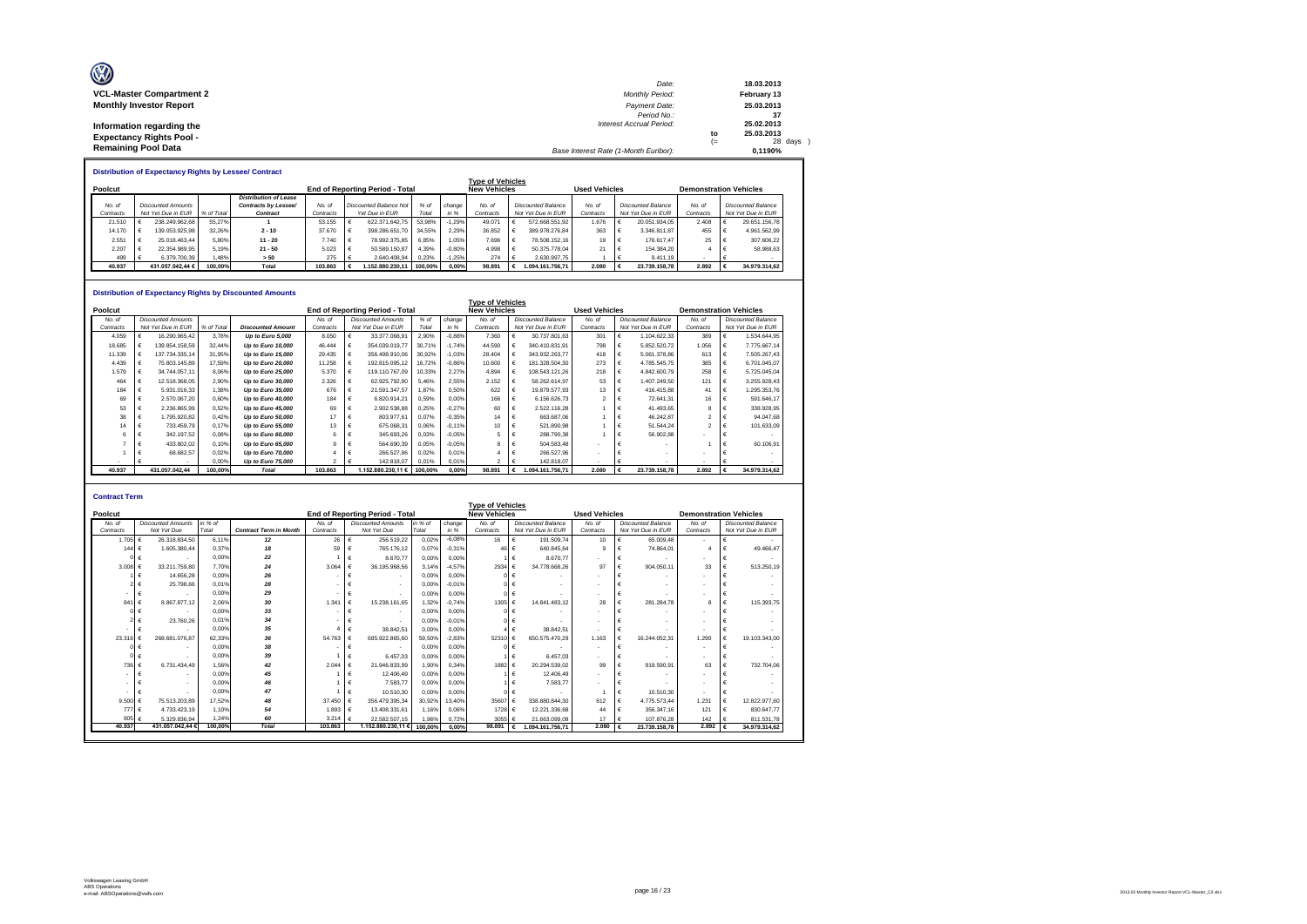| O<br><b>VCL-Master Compartment 2</b> | Date:<br><b>Monthly Period:</b>       |      | 18.03.2013<br>February 13 |
|--------------------------------------|---------------------------------------|------|---------------------------|
|                                      |                                       |      |                           |
| <b>Monthly Investor Report</b>       | Payment Date:                         |      | 25.03.2013                |
|                                      | Period No.:                           |      | 37                        |
| Information regarding the            | <b>Interest Accrual Period:</b>       |      | 25.02.2013                |
| <b>Expectancy Rights Pool -</b>      |                                       | to   | 25.03.2013                |
|                                      |                                       | $(=$ | 28 days                   |
| <b>Remaining Pool Data</b>           | Base Interest Rate (1-Month Euribor): |      | 0.1190%                   |

|           | <b>Distribution of Expectancy Rights by Lessee/ Contract</b> |                    |            |                              |                                                                                                                    |                                                               |                               |         |          |                         |  |                           |        |                                                       |                           |        |  |                           |
|-----------|--------------------------------------------------------------|--------------------|------------|------------------------------|--------------------------------------------------------------------------------------------------------------------|---------------------------------------------------------------|-------------------------------|---------|----------|-------------------------|--|---------------------------|--------|-------------------------------------------------------|---------------------------|--------|--|---------------------------|
|           |                                                              |                    |            |                              |                                                                                                                    |                                                               |                               |         |          | <b>Type of Vehicles</b> |  |                           |        |                                                       |                           |        |  |                           |
| Poolcut   |                                                              |                    |            |                              |                                                                                                                    | <b>New Vehicles</b><br><b>End of Reporting Period - Total</b> |                               |         |          |                         |  |                           |        | <b>Used Vehicles</b><br><b>Demonstration Vehicles</b> |                           |        |  |                           |
|           |                                                              |                    |            | <b>Distribution of Lease</b> |                                                                                                                    |                                                               |                               |         |          |                         |  |                           |        |                                                       |                           |        |  |                           |
| No. of    |                                                              | Discounted Amounts |            | Contracts by Lessee/         | No at                                                                                                              |                                                               | <b>Discounted Balance Not</b> | % of    | change   | No. of                  |  | <b>Discounted Balance</b> | No. of |                                                       | <b>Discounted Balance</b> | No. of |  | <b>Discounted Balance</b> |
| Contracts |                                                              | Not Yet Due in EUR | % of Total | Contract                     | Total<br>Yet Due in EUR<br>Not Yet Due in EUR<br>Contracts<br>Not Yet Due in EUR<br>in %<br>Contracts<br>Contracts |                                                               |                               |         |          | Contracts               |  | Not Yet Due in EUR        |        |                                                       |                           |        |  |                           |
| 21.510    |                                                              | 238.249.962.68     | 55.27%     |                              | 53.155                                                                                                             |                                                               | 622.371.642.75                | 53.98%  | $-1.29%$ | 49.071                  |  | 572.668.551.92            | 1.676  |                                                       | 20.051.934.05             | 2.408  |  | 29.651.156.78             |
| 14.170    |                                                              | 139.053.925.98     | 32.26%     | $2 - 10$                     | 37.670                                                                                                             |                                                               | 398.286.651.70                | 34.55%  | 2.29%    | 36.852                  |  | 389.978.276.84            | 363    |                                                       | 3.346.811.87              | 455    |  | 4.961.562.99              |
| 2.551     |                                                              | 25.018.463.44      | 5.80%      | $11 - 20$                    | 7.740                                                                                                              |                                                               | 78.992.375.85                 | 6.85%   | 1.05%    | 7.696                   |  | 78.508.152.16             | 19     |                                                       | 176,617.47                | 25     |  | 307.606.22                |
| 2.207     |                                                              | 22.354.989.95      | 5.19%      | $21 - 50$                    | 5.023                                                                                                              |                                                               | 50.589.150.87                 | 4.39%   | $-0.80%$ | 4.998                   |  | 50.375.778.04             | 21     |                                                       | 154,384.20                |        |  | 58,988.63                 |
| 499       |                                                              | 6.379.700.39       | .48%       | > 50                         | 275                                                                                                                |                                                               | 2.640.408.94                  | 0.23%   | $-1.25%$ | 274                     |  | 2.630.997.75              |        |                                                       | 9.411.19                  |        |  |                           |
| 40.937    |                                                              | 431.057.042.44 €   | 100.00%    | Total                        | 103.863                                                                                                            |                                                               | .152.880.230.11               | 100.00% | $0.00\%$ | 98.891                  |  | 1.094.161.756.71          | 2.080  |                                                       | 23.739.158.78             | 2.892  |  | 34.979.314.62             |

#### **Distribution of Expectancy Rights by Discounted Amounts**

|           | שווואטווואט שטאטש אט שווואון פארונטשער ושטאט ויט ווטואט<br><b>Type of Vehicles</b> |                           |           |                          |           |  |                                        |         |          |                     |  |                           |                      |                           |                               |   |                           |
|-----------|------------------------------------------------------------------------------------|---------------------------|-----------|--------------------------|-----------|--|----------------------------------------|---------|----------|---------------------|--|---------------------------|----------------------|---------------------------|-------------------------------|---|---------------------------|
| Poolcut   |                                                                                    |                           |           |                          |           |  | <b>End of Reporting Period - Total</b> |         |          | <b>New Vehicles</b> |  |                           | <b>Used Vehicles</b> |                           | <b>Demonstration Vehicles</b> |   |                           |
| No. of    |                                                                                    | <b>Discounted Amounts</b> |           |                          | No. of    |  | <b>Discounted Amounts</b>              | $%$ of  | change I | No. of              |  | <b>Discounted Balance</b> | No. of               | <b>Discounted Balance</b> | No. of                        |   | <b>Discounted Balance</b> |
| Contracts |                                                                                    | Not Yet Due in EUR        | % of Tota | <b>Discounted Amount</b> | Contracts |  | Not Yet Due in EUR                     | Total   | in %     | Contracts           |  | Not Yet Due in EUR        | Contracts            | Not Yet Due in EUR        | Contracts                     |   | Not Yet Due in EUR        |
| 4.059     |                                                                                    | 16.290.965.42             | 3.78%     | Up to Euro 5,000         | 8.050     |  | 33.377.068.91                          | 2.90%   | $-0.88%$ | 7.360               |  | 30.737.801.63             | 301                  | 1.104.622.33              | 389                           |   | 1.534.644.95              |
| 18.685    |                                                                                    | 139.854.158.59            | 32.44%    | Up to Euro 10,000        | 46.444    |  | 354.039.019.77                         | 30.71%  | $-1.74%$ | 44.590              |  | 340.410.831.91            | 798                  | 5.852.520.72              | 1.056                         |   | 7.775.667.14              |
| 11.339    |                                                                                    | 137.734.335.14            | 31.95%    | Up to Euro 15,000        | 29.435    |  | 356.498.910.06                         | 30.92%  | $-1.03%$ | 28.404              |  | 343.932.263.77            | 418                  | 5.061.378.86              | 613                           |   | 7.505.267.43              |
| 4.439     |                                                                                    | 75.803.145.89             | 17.59%    | Up to Euro 20,000        | 11.258    |  | 192.815.095.12                         | 16.72%  | $-0.86%$ | 10,600              |  | 181.328.504.30            | 273                  | 4.785.545.75              | 385                           |   | 6.701.045.07              |
| 1.579     |                                                                                    | 34.744.057.11             | 8.06%     | Up to Euro 25,000        | 5.370     |  | 119.110.767.09                         | 10.33%  | 2.27%    | 4.894               |  | 108.543.121.26            | 218                  | 4.842.600.79              | 258                           |   | 5.725.045.04              |
| 464       |                                                                                    | 12.518.368.05             | 2.90%     | Up to Euro 30,000        | 2.326     |  | 62.925.792.90                          | 5.46%   | 2.55%    | 2.152               |  | 58.262.614.97             | 53                   | 1.407.249,50              | 121                           | € | 3.255.928.43              |
| 184       |                                                                                    | 5.931.016.33              | 1.38%     | Up to Euro 35,000        | 676       |  | 21.591.347,57                          | 1.87%   | 0.50%    | 622                 |  | 19.879.577.93             | 13                   | 416,415.88                | 41                            |   | 1.295.353.76              |
| 69        |                                                                                    | 2.570.067.20              | 0.60%     | Up to Euro 40,000        | 184       |  | 6.820.914.21                           | 0.59%   | 0.00%    | 166                 |  | 6.156.626.73              |                      | 72.641.31                 | 16                            |   | 591.646.17                |
| 53        |                                                                                    | 2.236.865.99              | 0.52%     | Up to Euro 45,000        | 69        |  | 2.902.538.88                           | 0.25%   | $-0.27%$ | 60                  |  | 2.522.116.28              |                      | 41.493.65                 | R                             |   | 338.928.95                |
| 38        |                                                                                    | 1.795.920.82              | 0,42%     | Up to Euro 50,000        | 17        |  | 803.977.61                             | 0,07%   | $-0.35%$ | 14                  |  | 663.687.06                |                      | 46.242.87                 |                               |   | 94.047.68                 |
|           |                                                                                    | 733.459.79                | 0.17%     | Up to Euro 55,000        | 13        |  | 675.068.31                             | 0.06%   | $-0.11%$ | 10                  |  | 521.890.98                |                      | 51.544.24                 |                               |   | 101.633.09                |
|           |                                                                                    | 342.197.52                | 0.08%     | Up to Euro 60,000        |           |  | 345.693,26                             | 0.03%   | $-0.05%$ |                     |  | 288,790.38                |                      | 56,902.88                 |                               |   |                           |
|           |                                                                                    | 433.802.02                | 0.10%     | Up to Euro 65,000        |           |  | 564.690,39                             | 0.05%   | $-0.05%$ |                     |  | 504.583.48                |                      |                           |                               |   | 60.106.91                 |
|           |                                                                                    | 68.682.57                 | 0.02%     | Up to Euro 70,000        |           |  | 266,527.96                             | 0.02%   | 0.01%    |                     |  | 266.527.96                |                      |                           |                               |   |                           |
|           |                                                                                    |                           | 0.00%     | Up to Euro 75,000        |           |  | 142.818.07                             | 0.01%   | 0.01%    |                     |  | 142.818.07                |                      |                           |                               |   |                           |
| 40.937    |                                                                                    | 431.057.042.44            | 100.00%   | <b>Total</b>             | 103.863   |  | 1.152.880.230.11 €                     | 100.00% | 0.00%    | 98.891              |  | 1.094.161.756.71          | 2.080                | 23.739.158.78             | 2.892                         |   | 34.979.314.62             |

| <b>Contract Term</b> |                           |         |                               |           |                                 |         |          |                         |                             |                          |                             |           |                               |
|----------------------|---------------------------|---------|-------------------------------|-----------|---------------------------------|---------|----------|-------------------------|-----------------------------|--------------------------|-----------------------------|-----------|-------------------------------|
|                      |                           |         |                               |           |                                 |         |          | <b>Type of Vehicles</b> |                             |                          |                             |           |                               |
| Poolcut              |                           |         |                               |           | End of Reporting Period - Total |         |          | <b>New Vehicles</b>     |                             | <b>Used Vehicles</b>     |                             |           | <b>Demonstration Vehicles</b> |
| No. of               | <b>Discounted Amounts</b> | in % of |                               | No. of    | <b>Discounted Amounts</b>       | in % of | change   | No. of                  | <b>Discounted Balance</b>   | No. of                   | <b>Discounted Balance</b>   | No. of    | <b>Discounted Balance</b>     |
| Contracts            | Not Yet Due               | Total   | <b>Contract Term in Month</b> | Contracts | Not Yet Due                     | Total   | in %     | Contracts               | Not Yet Due in EUR          | Contracts                | Not Yet Due in EUR          | Contracts | Not Yet Due in EUR            |
| 1.705 €              | 26.318.834.50             | 6.11%   | 12                            | 26        | €<br>256.519,22                 | 0.02%   | $-6.08%$ | 16                      | 191.509.74<br>€             | 10                       | 65.009.48                   | ٠         | $\overline{\phantom{a}}$      |
| 144 $6$              | 1.605.380.44              | 0.37%   | 18                            | 59        | 765.176.12                      | 0.07%   | $-0.31%$ | 46                      | 640.845.64                  | $\mathbf{Q}$             | 74.864.01                   |           | 49.466.47                     |
|                      |                           | 0.00%   | 22                            |           | 8.670.77                        | 0.00%   | 0.00%    |                         | 8.670.77                    | ٠                        |                             |           | €                             |
| $3.008 \in$          | 33.211.759.80             | 7.70%   | 24                            | 3.064     | 36.195.968.56                   | 3.14%   | $-4.57%$ | 2934                    | 34.778.668.26<br>€          | 97                       | 904.050.11                  | 33        | €<br>513,250.19               |
|                      | 14,656.28                 | 0.00%   | 26                            |           | $\overline{\phantom{a}}$        | 0.00%   | 0.00%    |                         |                             | ٠                        |                             |           |                               |
|                      | 25,798.66                 | 0.01%   | 28                            |           | $\overline{\phantom{a}}$        | 0.00%   | $-0.01%$ |                         |                             | ٠                        |                             |           |                               |
| ۰                    | €                         | 0.00%   | 29                            |           | $\overline{\phantom{a}}$        | 0.00%   | 0.00%    | $01 \in$                |                             | ٠                        |                             |           | €<br>$\overline{\phantom{a}}$ |
| 841                  | 8.867.877.12              | 2.06%   | 30                            | 1.341     | 15.238.161.65                   | 1.32%   | $-0.74%$ | 1305 €                  | 14.841.483.12               | 28                       | 281.284.78                  | 8         | 115,393.75                    |
|                      |                           | 0.00%   | 33                            |           | $\overline{\phantom{a}}$        | 0.00%   | 0.00%    |                         | $\overline{\phantom{a}}$    | ٠                        | ٠                           |           |                               |
|                      | 23.760.26                 | 0.01%   | 34                            |           |                                 | 0.00%   | $-0.01%$ |                         |                             | $\sim$                   |                             |           |                               |
|                      |                           | 0.00%   | 35                            |           | 38.842.51                       | 0.00%   | 0.00%    |                         | 38.842.51                   | $\overline{\phantom{a}}$ |                             | $\sim$    | €                             |
| 23.316               | 268.681.076.87            | 62.33%  | 36                            | 54,763    | 685.922.865.60                  | 59.50%  | $-2.83%$ | 52310                   | 650.575.470.29              | 1.163                    | 16.244.052.31               | 1.290     | €<br>19,103,343.00            |
|                      |                           | 0.00%   | 38                            |           |                                 | 0.00%   | 0.00%    |                         |                             | $\overline{\phantom{a}}$ |                             | $\sim$    |                               |
|                      |                           | 0.00%   | 39                            |           | 6,457.03                        | 0.00%   | 0.00%    |                         | 6.457.03<br>$\epsilon$      | $\blacksquare$           |                             |           |                               |
| 736 €                | 6.731.434.49              | 1.56%   | 42                            | 2.044     | 21.946.833.99                   | 1.90%   | 0.34%    | 1882                    | 20.294.539.02<br>$\epsilon$ | 99                       | 919,590.91                  | 63        | 732.704.06                    |
| ۰                    |                           | 0.00%   | 45                            |           | 12.406.49                       | 0.00%   | 0.00%    |                         | 12,406.49                   | $\sim$                   |                             |           |                               |
| ۰                    |                           | 0.00%   | 46                            |           | 7.583.77                        | 0.00%   | 0,00%    |                         | 7.583.77                    | $\overline{\phantom{a}}$ |                             | $\sim$    |                               |
|                      |                           | 0.00%   | 47                            |           | 10.510.30                       | 0.00%   | 0.00%    |                         |                             |                          | 10.510.30                   |           |                               |
| 9.500 $\epsilon$     | 75.513.203.89             | 17.52%  | 48                            | 37 450    | 356.479.395.34                  | 30.92%  | 13.40%   | 35607                   | 338.880.844.30              | 612                      | 4.775.573.44                | 1.231     | €<br>12.822.977.60            |
| 777 €                | 4.733.423.19              | 1.10%   | 54                            | 1.893     | 13.408.331.61<br>€              | 1.16%   | 0.06%    | 1728                    | 12.221.336.68               | 44                       | 356, 347.16                 | 121       | 830.647.77<br>€               |
| 905 $\epsilon$       | 5.329.836.94              | 1.24%   | 60                            | 3.214     | 22.582.507.15                   | 1.96%   | 0.72%    | 3055                    | 21.663.099.09               | 17                       | 107.876.28                  | 142       | 811.531.78                    |
| 40.937               | 431.057.042.44 €          | 100.00% | <b>Total</b>                  | 103,863   | 1.152.880.230.11 €              | 100.00% | 0.00%    | 98.891                  | 1.094.161.756.71            | 2.080                    | 23.739.158.78<br>$\epsilon$ | 2.892     | 34.979.314,62<br>€            |
|                      |                           |         |                               |           |                                 |         |          |                         |                             |                          |                             |           |                               |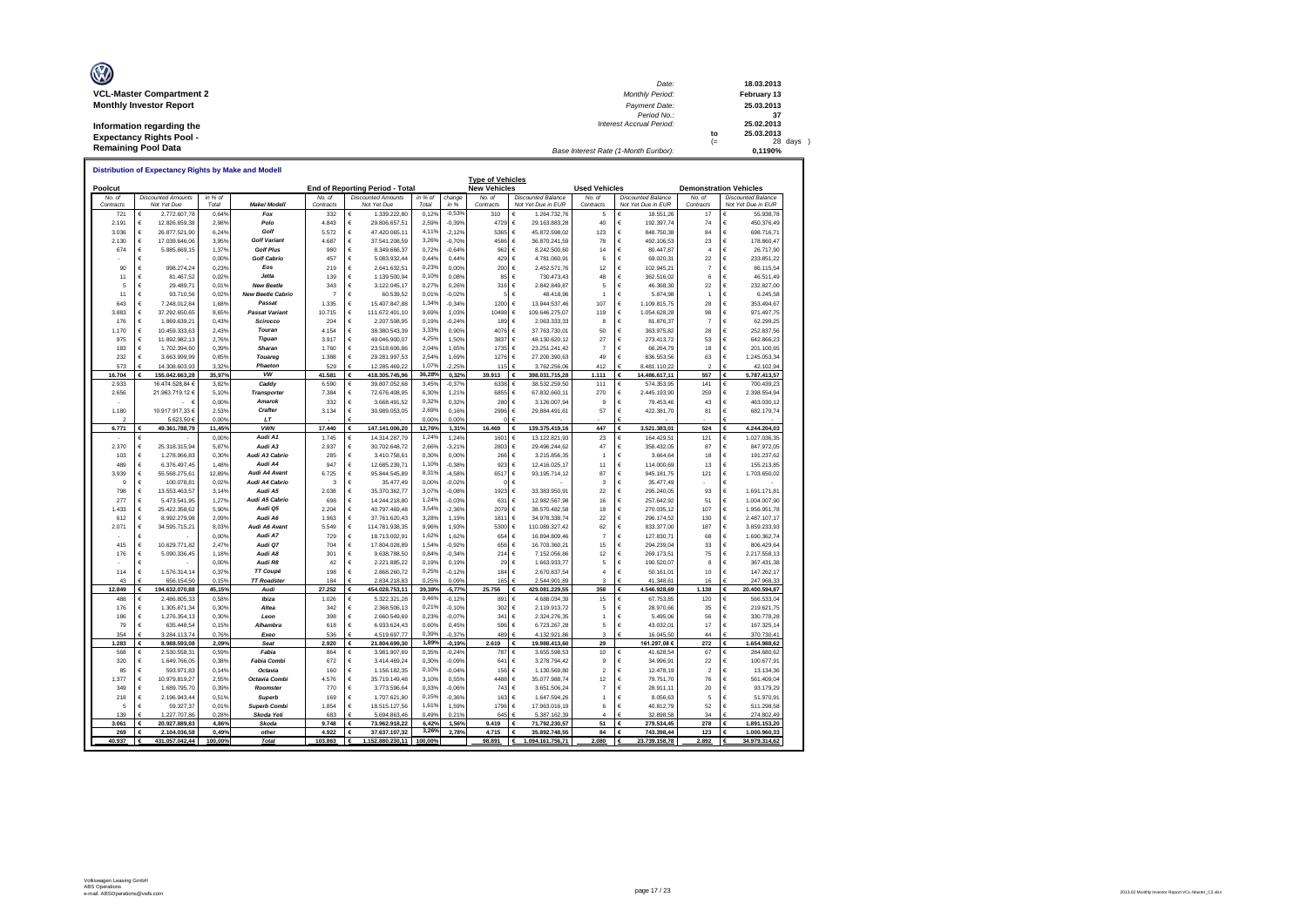| O<br><b>VCL-Master Compartment 2</b> | Date:<br><b>Monthly Period:</b>       |      | 18.03.2013<br>February 13 |
|--------------------------------------|---------------------------------------|------|---------------------------|
|                                      |                                       |      |                           |
| <b>Monthly Investor Report</b>       | Payment Date:                         |      | 25.03.2013                |
|                                      | Period No.:                           |      | 37                        |
| Information regarding the            | <b>Interest Accrual Period:</b>       |      | 25.02.2013                |
| <b>Expectancy Rights Pool -</b>      |                                       | to   | 25.03.2013                |
|                                      |                                       | $(=$ | 28 days                   |
| <b>Remaining Pool Data</b>           | Base Interest Rate (1-Month Euribor): |      | 0.1190%                   |

|                  | <u>Distribution of Expectancy Rights by Make and Modell</u><br><b>Type of Vehicles</b> |                               |                 |                                    |                  |        |                                 |                |                   |                     |                                           |                      |                                    |                          |        |                                 |
|------------------|----------------------------------------------------------------------------------------|-------------------------------|-----------------|------------------------------------|------------------|--------|---------------------------------|----------------|-------------------|---------------------|-------------------------------------------|----------------------|------------------------------------|--------------------------|--------|---------------------------------|
| Poolcut          |                                                                                        |                               |                 |                                    |                  |        | End of Reporting Period - Total |                |                   | <b>New Vehicles</b> |                                           | <b>Used Vehicles</b> | <b>Demonstration Vehicles</b>      |                          |        |                                 |
| No. of           |                                                                                        | <b>Discounted Amounts</b>     | in % of         |                                    | No. of           |        | <b>Discounted Amounts</b>       | in % of        | change            | No. of              | <b>Discounted Balance</b>                 | No. of               | <b>Discounted Balance</b>          | No. of                   |        | <b>Discounted Balance</b>       |
| Contracts<br>721 | €                                                                                      | Not Yet Due<br>2.772.607,78   | Total<br>0,64%  | Make/ Modell<br>Fox                | Contracts<br>332 | €      | Not Yet Due<br>1.339.222,80     | Total<br>0,129 | in %<br>$-0,53%$  | Contracts<br>310    | Not Yet Due in EUR<br>1.264.732,76        | Contracts<br>5       | Not Yet Due in EUR<br>18.551,26    | Contracts<br>17          | €      | Not Yet Due in EUR<br>55.938,78 |
| 2.191            | €                                                                                      | 12.826.659.38                 | 2.98%           | Polo                               | 4.843            | €      | 29.806.657,51                   | 2.59%          | $-0.39%$          | 4729                | €<br>29.163.883.28                        | 40                   | €<br>192.397,74                    | 74                       | €      | 450.376,49                      |
| 3.036            | €                                                                                      | 26.877.521,90                 | 6,24%           | Golf                               | 5.572            | €      | 47.420.065,11                   | 4,11%          | $-2,12%$          | 5365                | €<br>45.872.598,02                        | 123                  | €<br>848.750,38                    | 84                       | €      | 698.716,71                      |
| 2.130            | €                                                                                      | 17.039.646,06                 | 3.95%           | <b>Golf Variant</b>                | 4.687            | €      | 37.541.208,59                   | 3,269          | $-0,70%$          | 4586                | €<br>36.870.241,59                        | 78                   | €<br>492.106,53                    | 23                       | €      | 178.860,47                      |
| 674              | €                                                                                      | 5.885.669,15                  | 1,37%           | <b>Golf Plus</b>                   | 980              | €      | 8.349.666,37                    | 0,729          | $-0,64%$          | 962                 | €<br>8.242.500,60                         | 14                   | €<br>80.447,87                     | $\overline{a}$           | €      | 26.717,90                       |
|                  | €                                                                                      |                               | 0,00%           | <b>Golf Cabrio</b>                 | 457              | €      | 5.083.932,44                    | 0,44%          | 0,44%             | 429                 | €<br>4.781.060,91                         | 6                    | €<br>69.020,31                     | 22                       | €      | 233.851,22                      |
| 90               | €                                                                                      | 998.274,24                    | 0,23%           | Eos                                | 219              | €      | 2.641.632,51                    | 0,23%          | 0,00%             | 200                 | €<br>2.452.571,76                         | 12                   | €<br>102.945,21                    | $\overline{7}$           | €      | 86.115,54                       |
| 11               | €                                                                                      | 81.467,52                     | 0,029           | Jetta                              | 139              | €      | 1.139.500,94                    | 0,10%          | 0,08%             | 85                  | €<br>730.473,43                           | 48                   | €<br>362.516,02                    | 6                        | €      | 46.511,49                       |
| 5                | €                                                                                      | 29.489,71                     | 0,019           | <b>New Beetle</b>                  | 343              | €      | 3.122.045,17                    | 0,27%          | 0,26%             | 316                 | €<br>2.842.849,87                         | 5                    | €<br>46.368,30                     | 22                       | €      | 232.827,00                      |
| 11               | €                                                                                      | 93.710,56                     | 0,029           | <b>New Beetle Cabrio</b><br>Passat | $\overline{7}$   | €      | 60.539,52                       | 0,01%          | $-0,029$          |                     | €<br>48.418,96                            | $\overline{1}$       | €<br>5.874,98<br>€                 | $\overline{1}$           | €<br>€ | 6.245,58                        |
| 643<br>3.883     | €<br>$\epsilon$                                                                        | 7.248.012.84<br>37.292.650,65 | 1.68%<br>8,65%  | <b>Passat Variant</b>              | 1.335<br>10 715  | €<br>€ | 15.407.847.88<br>111.672.401,10 | 1,349<br>9,69% | $-0.34%$<br>1,03% | 1200<br>10498       | €<br>13.944.537.46<br>€<br>109.646.275,07 | 107<br>119           | 1.109.815.75<br>€<br>1.054.628,28  | 28<br>98                 | €      | 353.494.67<br>971.497,75        |
| 176              | €                                                                                      | 1.869.639.21                  | 0.43%           | Scirocco                           | 204              | €      | 2.207.508.95                    | 0.19%          | $-0.24%$          | 189                 | €<br>2.063.333.33                         | 8                    | €<br>81.876.37                     | $\overline{7}$           | €      | 62.299.25                       |
| 1.170            | €                                                                                      | 10.459.333,63                 | 2,43%           | Touran                             | 4.154            | €      | 38.380.543,39                   | 3,33%          | 0,90%             | 4076                | €<br>37.763.730,01                        | 50                   | €<br>363.975,82                    | 28                       | €      | 252.837,56                      |
| 975              | €                                                                                      | 11.892.982.13                 | 2.76%           | Tiguan                             | 3.917            | €      | 49.046.900,07                   | 4.25%          | 1.50%             | 3837                | €<br>48.130.620.12                        | 27                   | €<br>273.413.72                    | 53                       | €      | 642.866.23                      |
| 183              | €                                                                                      | 1.702.394,60                  | 0,399           | Sharan                             | 1.760            | €      | 23.518.606,86                   | 2,04%          | 1,65%             | 1735                | €<br>23.251.241,42                        | $\overline{7}$       | €<br>66.264,79                     | 18                       | €      | 201.100,65                      |
| 232              | $\epsilon$                                                                             | 3.663.999,99                  | 0,85%           | Touared                            | 1.388            | €      | 29.281.997,53                   | 2.54%          | 1,69%             | 1276                | €<br>27.200.390,63                        | 49                   | €<br>836.553,56                    | 63                       | €      | 1.245.053,34                    |
| 573              | €                                                                                      | 14.308.603.93                 | 3.329           | Phaeton                            | 529              | €      | 12.285.469.22                   | 1,07%          | 2.25%             | 115                 | 3.762.256.06                              | 412                  | 8.481.110.22                       | $\overline{\phantom{a}}$ | Ė      | 42.102.94                       |
| 16.704           | €                                                                                      | 155.042.663,28                | 35,97%          | vw                                 | 41.581           | €      | 418.305.745,96                  | 36,289         | 0,32%             | 39.913              | €<br>398.031.715,28                       | 1.111                | €<br>14.486.617,11                 | 557                      | €      | 5.787.413,57                    |
| 2.933            |                                                                                        | 16.474.528.84 €               | 3.82%           | Caddy                              | 6.590            | €      | 39.807.052,68                   | 3.45%          | $-0.379$          | 6338                | €<br>38.532.259.50                        | 111                  | €<br>574.353.95                    | 141                      | €      | 700.439.23                      |
| 2.656            |                                                                                        | 21.963.719,12 €               | 5,10%           | Transportei                        | 7.384            | €      | 72.676.408,95                   | 6,30%          | 1,21%             | 6855                | €<br>67.832.660,11                        | 270                  | €<br>2.445.193,90                  | 259                      | €      | 2.398.554,94                    |
|                  |                                                                                        | - €                           | 0,00%           | <b>Amarok</b>                      | 332              | €      | 3.668.491,52                    | 0,32%          | 0,32%             | 280                 | €<br>3.126.007,94                         | $\mathbf{Q}$         | €<br>79.453,46                     | 43                       | €      | 463.030,12                      |
| 1 180            |                                                                                        | 10.917.917,33 €               | 2,53%           | Crafter<br>LT                      | 3.134            | €      | 30.989.053,05                   | 2,69%<br>0,00% | 0,16%             | 2996                | €<br>29.884.491,61                        | 57                   | €<br>422.381,70                    | 81                       | €      | 682.179,74                      |
| 2<br>6.771       |                                                                                        | 5.623,50 €<br>49.361.788,79   | 0,00%<br>11.45% | <b>VWN</b>                         | 17,440           | €      | 147.141.006.20                  | 12,76%         | 0,00%<br>1.31%    | 16,469              | €<br>139.375.419.16                       | 447                  | 3.521.383.01<br>€                  | 524                      | €      | 4.244.204.03                    |
|                  | €                                                                                      |                               | 0,00%           | Audi A1                            | 1.745            | €      | 14.314.287,79                   | 1,24%          | 1,24%             | 1601                | €<br>13.122.821,93                        | 23                   | €<br>164.429,51                    | 121                      | €      | 1.027.036,35                    |
| 2.370            | €                                                                                      | 25.318.315,94                 | 5,879           | Audi A3                            | 2.937            | €      | 30.702.648,72                   | 2.66%          | $-3,219$          | 2803                | €<br>29.496.244,62                        | 47                   | €<br>358.432,05                    | 87                       | €      | 847.972,05                      |
| 103              | €                                                                                      | 1.278.966,83                  | 0,30%           | Audi A3 Cabrio                     | 285              | €      | 3.410.758,61                    | 0,30%          | 0,00%             | 266                 | €<br>3.215.856,35                         |                      | €<br>3.664,64                      | 18                       | €      | 191.237,62                      |
| 489              | €                                                                                      | 6.376.497,45                  | 1.48%           | Audi A4                            | 947              | €      | 12.685.239,71                   | 1,109          | $-0,38%$          | 923                 | €<br>12.416.025,17                        | 11                   | €<br>114.000,69                    | 13                       | €      | 155.213,85                      |
| 3.939            | €                                                                                      | 55.568.275,61                 | 12,89%          | Audi A4 Avant                      | 6725             | €      | 95.844.545,89                   | 8,319          | $-4.589$          | 6517                | €<br>93.195.714,12                        | 87                   | €<br>945.181,75                    | 121                      | €      | 1.703.650,02                    |
| 9                | €                                                                                      | 100.078,81                    | 0,029           | Audi A4 Cabrio                     | 3                | €      | 35.477,49                       | 0,00%          | $-0,029$          | $^{\circ}$          | €                                         | 3                    | €<br>35.477,49                     |                          | €      |                                 |
| 798              | €                                                                                      | 13.553.463,57                 | 3,14%           | Audi A5                            | 2.038            | €      | 35.370.362,77                   | 3,07%          | $-0,089$          | 1923                | €<br>33.383.950,91                        | 22                   | €<br>295.240,05                    | 93                       | €      | 1.691.171,81                    |
| 277              | €                                                                                      | 5.473.541,95                  | 1,27%           | Audi A5 Cabrio                     | 698              | €      | 14.244.218,80                   | 1,249          | $-0,039$          | 631                 | €<br>12.982.567,98                        | 16                   | €<br>257.642,92                    | 51                       | €      | 1.004.007,90                    |
| 1.433            | €                                                                                      | 25.422.358,62                 | 5.90%           | Audi Q5<br>Audi A6                 | 2.204            | €      | 40.797.469,48                   | 3,54%          | $-2,369$          | 2079                | €<br>38.570.482,58                        | 18                   | €<br>270.035,12                    | 107                      | €      | 1.956.951,78                    |
| 612<br>2.071     | €<br>€                                                                                 | 8.992.279,98<br>34.595.715,21 | 2.09%<br>8,03%  | Audi A6 Avant                      | 1.963<br>5.549   | €<br>€ | 37.761.620,43<br>114.781.938,35 | 3,28%<br>9,96% | 1,19%<br>1,93%    | 1811<br>5300        | €<br>34.978.338,74<br>€<br>110.089.327,42 | 22<br>62             | €<br>296.174,52<br>€<br>833.377,00 | 130<br>187               | €<br>€ | 2.487.107,17<br>3.859.233,93    |
|                  | €                                                                                      |                               | 0,00%           | Audi A7                            | 729              | €      | 18.713.002,91                   | 1,62%          | 1,62%             | 654                 | €<br>16.894.809,46                        | $\overline{7}$       | €<br>127.830,71                    | 68                       | €      | 1.690.362,74                    |
| 415              | €                                                                                      | 10.629.771.82                 | 2.47%           | Audi Q7                            | 704              | €      | 17.804.028.89                   | 1,549          | $-0.92%$          | 656                 | €<br>16.703.360.21                        | 15                   | €<br>294.239.04                    | 33                       | €      | 806.429.64                      |
| 176              | $\epsilon$                                                                             | 5.090.336,45                  | 1,18%           | Audi A8                            | 301              | €      | 9.638.788,50                    | 0,84%          | $-0,349$          | 214                 | €<br>7.152.056,86                         | 12                   | €<br>269.173,51                    | 75                       | €      | 2.217.558,13                    |
|                  | €                                                                                      |                               | 0.00%           | Audi R8                            | 42               | €      | 2.221.885,22                    | 0,19%          | 0,19%             | 29                  | €<br>1.663.933,77                         | 5                    | $\in$<br>190.520,07                | 8                        | €      | 367.431,38                      |
| 114              | €                                                                                      | 1.576.314.14                  | 0.37%           | TT Coupé                           | 198              | €      | 2.868.260,72                    | 0,25%          | $-0,129$          | 184                 | €<br>2.670.837,54                         | $\overline{4}$       | €<br>50.161,01                     | 10                       | €      | 147.262,17                      |
| 43               | €                                                                                      | 656.154.50                    | 0.15%           | <b>TT Roadster</b>                 | 184              | €      | 2.834.218.83                    | 0.25%          | 0.09%             | 165                 | €<br>2.544.901.89                         | $\overline{3}$       | 41.348.61<br>€                     | 16                       | Ë      | 247.968.33                      |
| 12,849           | €                                                                                      | 194.632.070.88                | 45.15%          | Audi                               | 27.252           | €      | 454.028.753.11                  | 39,389         | $-5.77%$          | 25.756              | €<br>429.081.229.55                       | 358                  | €<br>4.546.928.69                  | 1.138                    | €      | 20.400.594.87                   |
| 488              | €                                                                                      | 2.486.805,33                  | 0,58%           | Ibiza                              | 1.026            | €      | 5.322.321.28                    | 0,46           | $-0,129$          | 891                 | €<br>4.688.034,39                         | 15                   | €<br>67.753,85                     | 120                      | €      | 566.533,04                      |
| 176              | €                                                                                      | 1.305.871,34                  | 0.30%           | Altea                              | 342<br>398       | €<br>€ | 2.368.506.13                    | 0.21%<br>0,23% | $-0.10%$          | 302<br>341          | €<br>2.119.913,72<br>€                    | 5<br>1               | €<br>28.970.66<br>€                | 35                       | €<br>€ | 219.621,75                      |
| 186<br>79        | €<br>€                                                                                 | 1.276.354,13<br>635.448,54    | 0,30%<br>0,15%  | Leon<br>Alhambra                   | 618              | €      | 2.660.549,69<br>6.933.624,43    | 0.60%          | $-0,07%$<br>0,45% | 596                 | 2.324.276,35<br>€<br>6.723.267,28         | 5                    | 5.495,06<br>€<br>43.032,01         | 56<br>17                 | €      | 330.778,28<br>167.325,14        |
| 354              | €                                                                                      | 3.284.113.74                  | 0,769           | Exec                               | 536              | €      | 4.519.697.77                    | 0.39%          | $-0.379$          | 489                 | 4.132.921,86<br>€                         | $\overline{3}$       | 16.045,50                          | 44                       | Ë      | 370.730.41                      |
| 1.283            | €                                                                                      | 8.988.593,08                  | 2,09%           | Seat                               | 2.920            | €      | 21.804.699,30                   | 1,899          | $-0,19%$          | 2.619               | €<br>19.988.413,60                        | 29                   | 161.297,08 €                       | 272                      | €      | 1.654.988,62                    |
| 568              | €                                                                                      | 2.530.558.31                  | 0.59%           | Fabia                              | 864              | €      | 3.981.907,69                    | 0.35%          | $-0.249$          | 787                 | €<br>3.655.598,53                         | 10                   | €<br>41.628.54                     | 67                       | €      | 284.680.62                      |
| 320              | €                                                                                      | 1.649.766,05                  | 0,38%           | <b>Fabia Combi</b>                 | 672              | €      | 3.414.469,24                    | 0,30%          | $-0,09%$          | 641                 | €<br>3.278.794,42                         | 9                    | €<br>34.996,91                     | 22                       | €      | 100.677,91                      |
| 85               | €                                                                                      | 593.971,83                    | 0,14%           | Octavia                            | 160              | €      | 1.156.182,35                    | 0.10%          | $-0,04%$          | 156                 | €<br>1.130.569,80                         | $\overline{2}$       | €<br>12.478,19                     | $\overline{\phantom{a}}$ | €      | 13.134,36                       |
| 1.377            | €                                                                                      | 10.979.819,27                 | 2,55%           | Octavia Comb                       | 4576             | €      | 35.719.149,48                   | 3,10%          | 0,55%             | 4488                | €<br>35.077.988,74                        | 12                   | 79.751,70<br>€                     | 76                       | €      | 561.409,04                      |
| 349              | €                                                                                      | 1.689.795,70                  | 0,399           | Roomster                           | 770              | €      | 3.773.596,64                    | 0,339          | $-0,069$          | 743                 | €<br>3.651.506,24                         | $\overline{7}$       | €<br>28.911,11                     | 20                       | €      | 93.179,29                       |
| 218              | €                                                                                      | 2.196.943,44                  | 0,519           | <b>Superb</b>                      | 169              | €      | 1.707.621,80                    | 0,15%          | $-0.36%$          | 163                 | €<br>1.647.594,26                         | $\overline{1}$       | €<br>8.056,63                      | 5                        | €      | 51.970,91                       |
| 5                | €                                                                                      | 59.327,37                     | 0,019           | <b>Superb Combi</b>                | 1.854            | €      | 18.515.127,56                   | 1,61%          | 1,59%             | 1796                | €<br>17.963.016,19                        | 6                    | €<br>40.812,79                     | 52                       | €      | 511.298,58                      |
| 139              | €<br>€                                                                                 | 1.227.707,86                  | 0,28%           | Skoda Yeti                         | 683              | €<br>€ | 5.694.863,46                    | 0,49%          | 0,219             | 645                 | 5.387.162,39<br>c<br>€                    | $\overline{a}$<br>51 | €<br>32.898,58<br>€                | 34                       | Ë<br>€ | 274.802,49                      |
| 3.061<br>269     | €                                                                                      | 20.927.889,83<br>2.104.036.58 | 4,86%<br>0.49%  | Skoda<br>other                     | 9.748<br>4.922   | €      | 73.962.918,22<br>37.637.107,32  | 6,42<br>3,26   | 1,56%<br>2.78%    | 9.419<br>4.715      | 71.792.230,57<br>€<br>35.892.748,55       | 84                   | 279.534,45<br>€<br>743.398.44      | 278<br>123               | €      | 1.891.153,20<br>1.000.960,33    |
| 40.937           | €                                                                                      | 431.057.042,44                | 100,00%         | Total                              | 103.863          | €      | 1.152.880.230,11                | 100.00%        |                   | 98.891              | 1.094.161.756,71                          | 2.080                | 23.739.158,78                      | 2.892                    |        | 34.979.314,62                   |
|                  |                                                                                        |                               |                 |                                    |                  |        |                                 |                |                   |                     |                                           |                      |                                    |                          |        |                                 |

г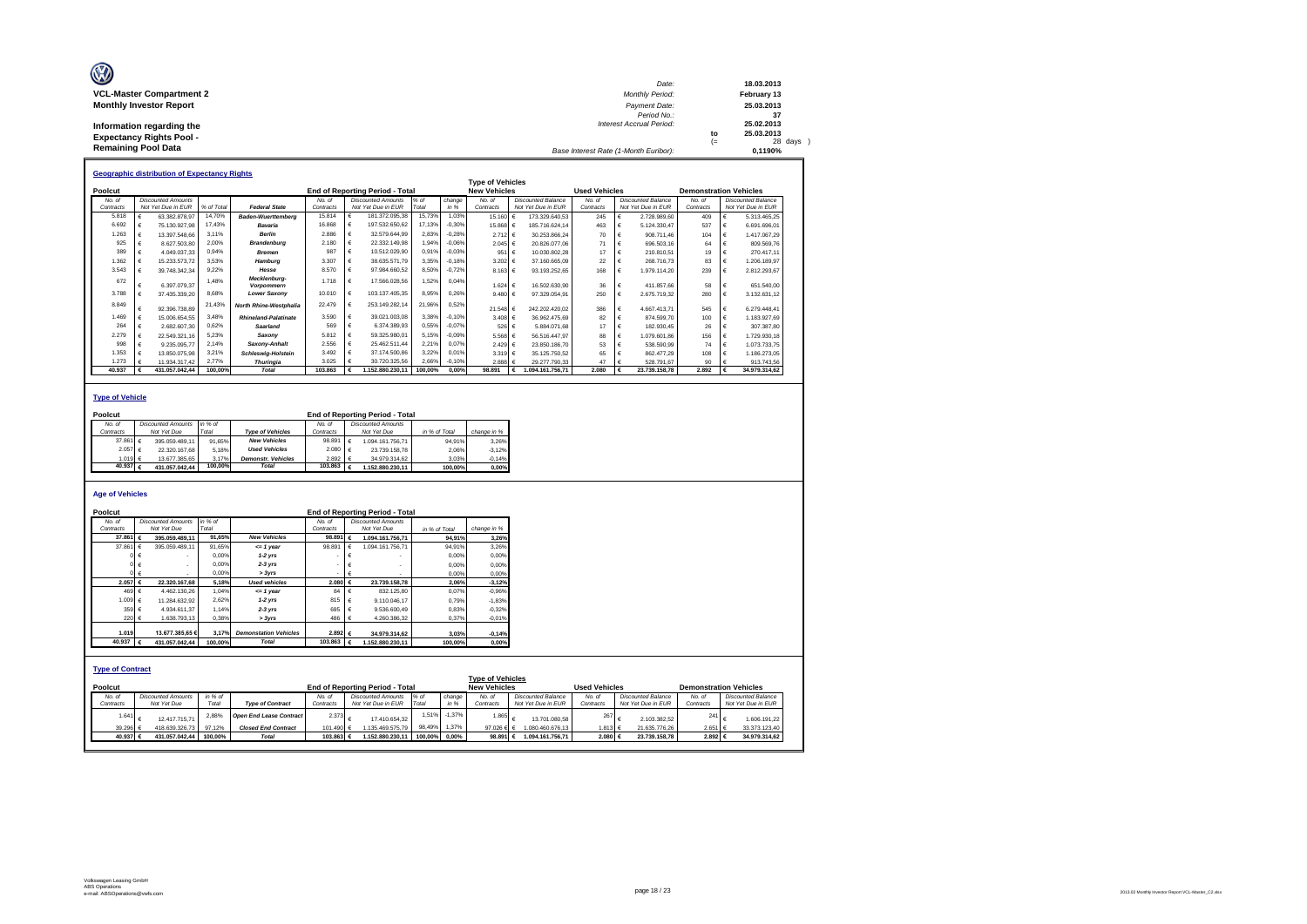| O                               | Date:                                 |     | 18.03.2013  |
|---------------------------------|---------------------------------------|-----|-------------|
| <b>VCL-Master Compartment 2</b> | <b>Monthly Period:</b>                |     | February 13 |
| <b>Monthly Investor Report</b>  | Payment Date:                         |     | 25.03.2013  |
|                                 | Period No.:                           |     | -37         |
| Information regarding the       | Interest Accrual Period:              |     | 25.02.2013  |
| <b>Expectancy Rights Pool -</b> |                                       | to  | 25.03.2013  |
|                                 |                                       | $=$ | 28 days     |
| <b>Remaining Pool Data</b>      | Base Interest Rate (1-Month Euribor): |     | 0.1190%     |

|           | <b>Geographic distribution of Expectancy Rights</b> |                           |            |                             |           |   |                                        |         |          |                         |                    |                      |            |                           |                               |                           |
|-----------|-----------------------------------------------------|---------------------------|------------|-----------------------------|-----------|---|----------------------------------------|---------|----------|-------------------------|--------------------|----------------------|------------|---------------------------|-------------------------------|---------------------------|
|           |                                                     |                           |            |                             |           |   |                                        |         |          | <b>Type of Vehicles</b> |                    |                      |            |                           |                               |                           |
| Poolcut   |                                                     |                           |            |                             |           |   | <b>End of Reporting Period - Total</b> |         |          | <b>New Vehicles</b>     |                    | <b>Used Vehicles</b> |            |                           | <b>Demonstration Vehicles</b> |                           |
| No. of    |                                                     | <b>Discounted Amounts</b> |            |                             | No. of    |   | <b>Discounted Amounts</b>              | % of    | change   | No. of                  | Discounted Balance | No. of               |            | <b>Discounted Balance</b> | No. of                        | <b>Discounted Balance</b> |
| Contracts |                                                     | Not Yet Due in EUR        | % of Total | <b>Federal State</b>        | Contracts |   | Not Yet Due in EUR                     | Total   | in %     | Contracts               | Not Yet Due in EUR | Contracts            |            | Not Yet Due in EUR        | Contracts                     | Not Yet Due in EUR        |
| 5.818     |                                                     | 63 382 878 97             | 14,70%     | <b>Baden-Wuerttemberg</b>   | 15.814    |   | 181.372.095.38                         | 15,73%  | 1.03%    | 15.160                  | 173.329.640.53     | 245                  |            | 2.728.989.60              | 409                           | 5.313.465.25              |
| 6.692     |                                                     | 75.130.927.98             | 17.43%     | Bavaria                     | 16.868    |   | 197.532.650.62                         | 17.13%  | $-0.30%$ | 15,868 €                | 185.716.624.14     | 463                  |            | 5.124.330.47              | 537                           | 6.691.696.01              |
| 1.263     |                                                     | 13.397.548.66             | 3.11%      | <b>Berlin</b>               | 2.886     |   | 32.579.644.99                          | 2,83%   | $-0.28%$ | 2.712 €                 | 30.253.866.24      | 70                   |            | 908.711.46                | 104                           | 1.417.067.29              |
| 925       |                                                     | 8.627.503.80              | 2.00%      | <b>Brandenburg</b>          | 2.180     |   | 22.332.149,98                          | 1,94%   | $-0.06%$ | $2.045$ €               | 20.826.077.06      | 71                   |            | 696,503.16                | 64                            | 809.569.76                |
| 389       |                                                     | 4.049.037.33              | 0.94%      | <b>Bremen</b>               | 987       |   | 10.512.029.90                          | 0,91%   | $-0.03%$ | 951                     | 10.030.802.28      | 17                   |            | 210.810.51                | 19                            | 270.417.11                |
| 1.362     |                                                     | 15.233.573.72             | 3.53%      | Hamburg                     | 3.307     |   | 38.635.571.79                          | 3,35%   | $-0.18%$ | 3.202 €                 | 37.160.665.09      | 22                   |            | 268.716.73                | 83                            | 1.206.189.97              |
| 3.543     |                                                     | 39.748.342.34             | 9,22%      | Hesse                       | 8.570     |   | 97.984.660.52                          | 8,50%   | $-0,72%$ | 8.163 €                 | 93.193.252.65      | 168                  | €          | 1.979.114.20              | 239                           | 2.812.293.67              |
| 672       |                                                     | 6.397.079.37              | 1.48%      | Mecklenburg-<br>Vorpommern  | 1.718     | € | 17.566.028.56                          | 1,52%   | 0.04%    | $1.624$ €               | 16,502,630.90      | 36                   |            | 411.857.66                | 58                            | 651.540.00                |
| 3.788     |                                                     | 37.435.339.20             | 8,68%      | <b>Lower Saxony</b>         | 10.010    |   | 103.137.405.35                         | 8,95%   | 0.26%    | 9.480 $\in$             | 97.329.054.91      | 250                  |            | 2.675.719.32              | 280                           | 3.132.631.12              |
| 8.849     |                                                     | 92.396.738.89             | 21,43%     | North Rhine-Westphalia      | 22.479    |   | 253.149.282.14                         | 21,96%  | 0,52%    | 21.548 €                | 242.202.420.02     | 386                  |            | 4 667 413 71              | 545                           | 6.279.448.41              |
| 1.469     |                                                     | 15.006.654.55             | 3.48%      | <b>Rhineland-Palatinate</b> | 3.590     |   | 39.021.003.08                          | 3.38%   | $-0.10%$ | 3.408 €                 | 36.962.475.69      | 82                   |            | 874.599.70                | 100                           | 1.183.927.69              |
| 264       |                                                     | 2.682.607.30              | 0.62%      | Saarland                    | 569       |   | 6.374.389.93                           | 0,55%   | $-0.07%$ | 526                     | 5.884.071.68       | 17                   | €          | 182.930.45                | 26                            | 307.387.80                |
| 2.279     |                                                     | 22.549.321.16             | 5.23%      | Saxonv                      | 5.812     |   | 59.325.980.01                          | 5,15%   | $-0.09%$ | $5.568 \in$             | 56.516.447.97      | 88                   |            | 1.079.601.86              | 156                           | 1.729.930.18              |
| 998       |                                                     | 9.235.095.77              | 2.14%      | Saxony-Anhalt               | 2.556     |   | 25.462.511.44                          | 2,21%   | 0.07%    | 2.429 ∈                 | 23.850.186.70      | 53                   |            | 538,590.99                | 74                            | 1.073.733.75              |
| 1.353     |                                                     | 13.850.075.98             | 3,21%      | <b>Schleswig-Holstein</b>   | 3.492     |   | 37.174.500.86                          | 3,22%   | 0.01%    | 3.319 €                 | 35.125.750.52      | 65                   |            | 862.477.29                | 108                           | 1.186.273.05              |
| 1.273     |                                                     | 11.934.317.42             | 2.77%      | <b>Thuringia</b>            | 3.025     |   | 30.720.325.56                          | 2,66%   | $-0.10%$ | 2.888 $\in$             | 29.277.790.33      | 47                   |            | 528.791.67                | 90                            | 913.743,56                |
| 40.937    |                                                     | 431.057.042.44            | 100.00%    | Total                       | 103.863   |   | 1.152.880.230.11                       | 100.00% | 0.00%    | 98.891                  | 1.094.161.756.71   | 2.080                | $\epsilon$ | 23.739.158.78             | 2.892                         | 34.979.314.62             |

### **Type of Vehicle**

| Poolcut   |                   |                           |         |                           | <b>End of Reporting Period - Total</b> |  |                           |               |             |  |  |  |
|-----------|-------------------|---------------------------|---------|---------------------------|----------------------------------------|--|---------------------------|---------------|-------------|--|--|--|
| No. of    |                   | <b>Discounted Amounts</b> | in % of |                           | No of                                  |  | <b>Discounted Amounts</b> |               |             |  |  |  |
| Contracts |                   | Not Yet Due               | Total   | <b>Type of Vehicles</b>   | Contracts                              |  | Not Yet Due               | in % of Total | change in % |  |  |  |
|           | 37.861 $\in$      | 395.059.489.11            | 91.65%  | <b>New Vehicles</b>       | 98.891 $\epsilon$                      |  | 1.094.161.756.71          | 94.91%        | 3.26%       |  |  |  |
|           | 2.057 €           | 22.320.167.68             | 5.18%   | <b>Used Vehicles</b>      | $2.080$ €                              |  | 23,739,158.78             | 2.06%         | $-3.12%$    |  |  |  |
|           | 1.019 $\in$       | 13.677.385.65             | 3.17%   | <b>Demonstr.</b> Vehicles | $2.892 \div 6$                         |  | 34.979.314.62             | 3.03%         | $-0.14%$    |  |  |  |
|           | 40.937 $\epsilon$ | 431.057.042.44            | 100.00% | <b>Total</b>              | 103.863 $\epsilon$                     |  | 1.152.880.230.11          | 100.00%       | 0.00%       |  |  |  |

#### **Age of Vehicles**

| Poolcut                            |                           |         |                                |                   |            | <b>End of Reporting Period - Total</b> |               |          |                                                |   |                    |                      |                    |                               |  |
|------------------------------------|---------------------------|---------|--------------------------------|-------------------|------------|----------------------------------------|---------------|----------|------------------------------------------------|---|--------------------|----------------------|--------------------|-------------------------------|--|
| No. of                             | <b>Discounted Amounts</b> | in % of |                                | No. of            |            | <b>Discounted Amounts</b>              |               |          |                                                |   |                    |                      |                    |                               |  |
| Contracts                          | Not Yet Due               | Total   |                                | Contracts         |            | Not Yet Due                            | in % of Total |          | change in %                                    |   |                    |                      |                    |                               |  |
| 37,861                             | 395.059.489.11<br>€       | 91.65%  | <b>New Vehicles</b>            | 98.891 $\epsilon$ |            | 1.094.161.756.71                       |               | 94.91%   | 3.26%                                          |   |                    |                      |                    |                               |  |
| 37,861                             | 395.059.489.11<br>€       | 91.65%  | $= 1$ year                     | 98.891            | $\epsilon$ | 1.094.161.756.71                       |               | 94.91%   | 3.26%                                          |   |                    |                      |                    |                               |  |
|                                    | ог€                       | 0.00%   | $1-2$ vrs                      |                   | €          |                                        |               | 0.00%    | 0,00%                                          |   |                    |                      |                    |                               |  |
|                                    |                           | 0.00%   | $2-3$ yrs                      |                   | €          |                                        |               | 0.00%    | 0,00%                                          |   |                    |                      |                    |                               |  |
|                                    | $0 \in$                   | 0.00%   | > 3yrs                         |                   | €          |                                        |               | 0.00%    | 0.00%                                          |   |                    |                      |                    |                               |  |
| 2.057                              | 22.320.167.68             | 5.18%   | <b>Used vehicles</b>           | 2.080 €           |            | 23.739.158,78                          |               | 2.06%    | $-3,12%$                                       |   |                    |                      |                    |                               |  |
| 469 €                              | 4.462.130.26              | 1.04%   | $= 1$ year                     | 84                | €          | 832.125.80                             |               | 0.07%    | $-0,96%$                                       |   |                    |                      |                    |                               |  |
| 1.009 €                            | 11.284.632.92             | 2,62%   | $1-2$ yrs                      | 815               | $\epsilon$ | 9.110.046.17                           |               | 0,79%    | $-1,83%$                                       |   |                    |                      |                    |                               |  |
| 359 €                              | 4.934.611.37              | 1.14%   | $2-3$ yrs                      | 695               | €          | 9.536.600.49                           |               | 0,83%    | $-0,32%$                                       |   |                    |                      |                    |                               |  |
| $220 \text{ } f$                   | 1.638.793.13              | 0.38%   | > 3vrs                         | 486               | $\vdash$   | 4.260.386.32                           |               | 0.37%    | $-0.01%$                                       |   |                    |                      |                    |                               |  |
|                                    |                           |         |                                |                   |            |                                        |               |          |                                                |   |                    |                      |                    |                               |  |
| 1.019                              | 13,677,385,65 €           | 3.17%   | <b>Demonstation Vehicles</b>   | 2.892 €           |            | 34.979.314.62                          |               | 3,03%    | $-0,14%$                                       |   |                    |                      |                    |                               |  |
| 40.937                             | 431.057.042.44            | 100.00% | <b>Total</b>                   | 103,863           | $\epsilon$ | 1.152.880.230.11                       |               | 100.00%  | 0,00%                                          |   |                    |                      |                    |                               |  |
| <b>Type of Contract</b><br>Poolcut |                           |         |                                |                   |            | End of Reporting Period - Total        |               |          | <b>Type of Vehicles</b><br><b>New Vehicles</b> |   |                    | <b>Used Vehicles</b> |                    | <b>Demonstration Vehicles</b> |  |
| No. of                             | <b>Discounted Amounts</b> | in % of |                                | No. of            |            | <b>Discounted Amounts</b>              | $%$ of        | change   | No. of                                         |   | Discounted Balance | No. of               | Discounted Balance | No. of                        |  |
| Contracts                          | Not Yet Due               | Total   | <b>Type of Contract</b>        | Contracts         |            | Not Yet Due in EUR                     | Total         | in %     | Contracts                                      |   | Not Yet Due in EUR | Contracts            | Not Yet Due in EUR | Contracts                     |  |
| 1.641                              | 12.417.715.71             | 2,88%   | <b>Open End Lease Contract</b> | 2.373             | $\epsilon$ | 17.410.654.32                          | 1.51%         | $-1,37%$ | 1.865                                          | € | 13,701,080.58      | 267                  | 2.103.382.52<br>€  | 241                           |  |
| 39.296                             | 418.639.326,73            | 97.12%  | <b>Closed End Contract</b>     | 101.490 €         |            | 1.135.469.575.79                       | 98.49%        | 1.37%    | 97.026 € €                                     |   | 1.080.460.676.13   | 1.813 €              | 21.635.776.26      | 2.651 €                       |  |
| 40.937 €                           | 431.057.042.44            | 100.00% | <b>Total</b>                   | 103,863 €         |            | 1.152.880.230.11                       | 100.00%       | $0.00\%$ | 98.891 €                                       |   | 1.094.161.756.71   | 2.080 €              | 23.739.158.78      | 2.892 €                       |  |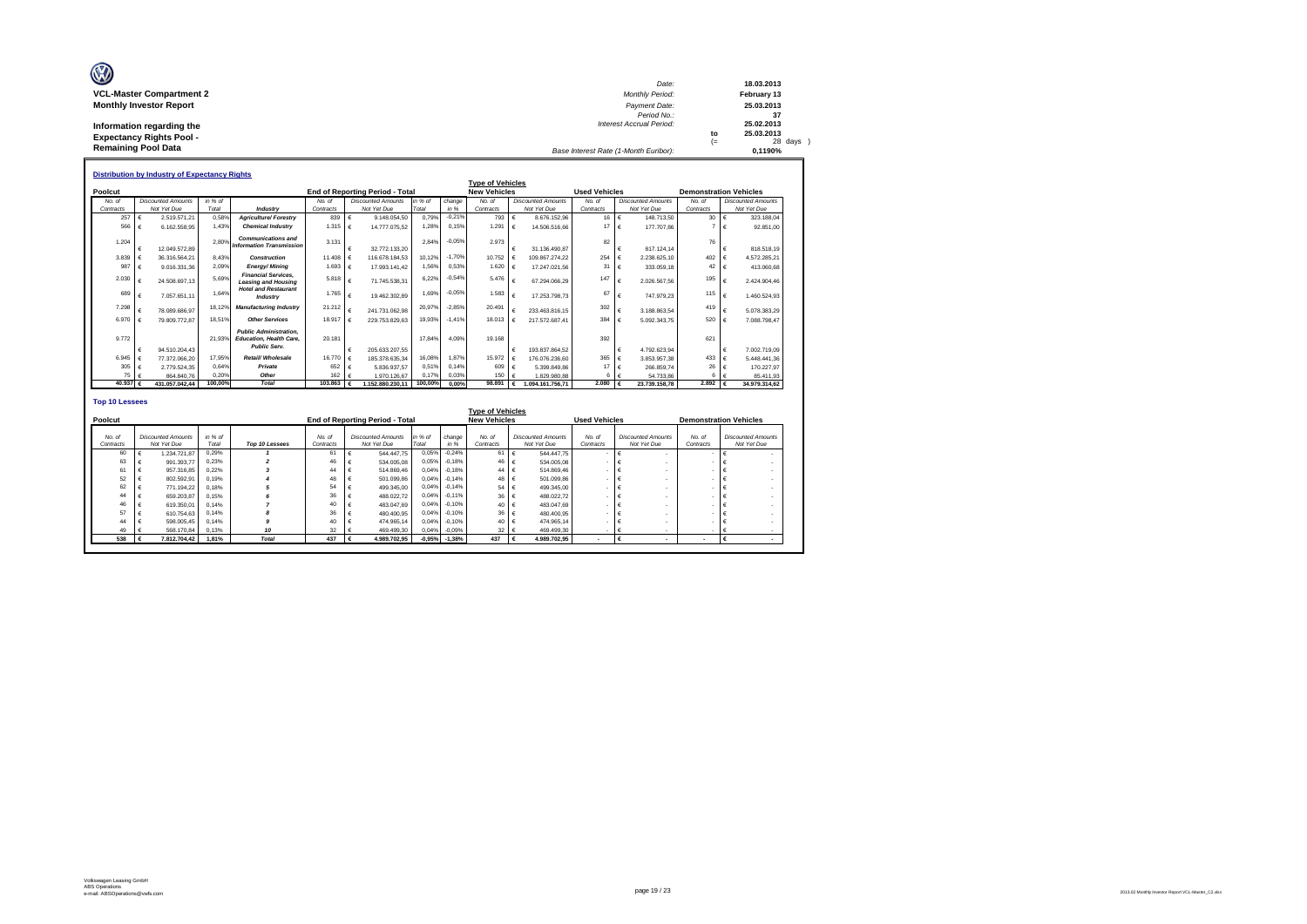| O                               | Date:                                 |     | 18.03.2013  |
|---------------------------------|---------------------------------------|-----|-------------|
| <b>VCL-Master Compartment 2</b> | <b>Monthly Period:</b>                |     | February 13 |
| <b>Monthly Investor Report</b>  | Payment Date:                         |     | 25.03.2013  |
|                                 | Period No.:                           |     | -37         |
| Information regarding the       | Interest Accrual Period:              |     | 25.02.2013  |
| <b>Expectancy Rights Pool -</b> |                                       | to  | 25.03.2013  |
|                                 |                                       | $=$ | 28 days     |
| <b>Remaining Pool Data</b>      | Base Interest Rate (1-Month Euribor): |     | 0.1190%     |

|                       | <b>Distribution by Industry of Expectancy Rights</b> |                                          |                  |                                                                                        |                     |            |                                          |                  |                |                         |            |                                          |                      |              |                                          |                               |                                          |
|-----------------------|------------------------------------------------------|------------------------------------------|------------------|----------------------------------------------------------------------------------------|---------------------|------------|------------------------------------------|------------------|----------------|-------------------------|------------|------------------------------------------|----------------------|--------------|------------------------------------------|-------------------------------|------------------------------------------|
|                       |                                                      |                                          |                  |                                                                                        |                     |            |                                          |                  |                | <b>Type of Vehicles</b> |            |                                          |                      |              |                                          |                               |                                          |
| Poolcut               |                                                      |                                          |                  |                                                                                        |                     |            | <b>End of Reporting Period - Total</b>   |                  |                | <b>New Vehicles</b>     |            |                                          | <b>Used Vehicles</b> |              |                                          | <b>Demonstration Vehicles</b> |                                          |
| No. of<br>Contracts   |                                                      | <b>Discounted Amounts</b><br>Not Yet Due | in % of<br>Total | Industry                                                                               | No. of<br>Contracts |            | <b>Discounted Amounts</b><br>Not Yet Due | in % of<br>Total | change<br>in % | No. of<br>Contracts     |            | <b>Discounted Amounts</b><br>Not Yet Due | No. of<br>Contracts  |              | <b>Discounted Amounts</b><br>Not Yet Due | No. of<br>Contracts           | <b>Discounted Amounts</b><br>Not Yet Due |
| 257                   | $\epsilon$                                           | 2.519.571.21                             | 0.58%            | <b>Agriculture/Forestrv</b>                                                            | 839                 | €          | 9.148.054.50                             | 0.79%            | $-0.21%$       | 793                     | $\epsilon$ | 8.676.152.96                             | $16 \text{ } \in$    |              | 148,713.50                               | 30                            | 323,188.04                               |
| 566                   | $\epsilon$                                           |                                          | 1.43%            | <b>Chemical Industry</b>                                                               | 1.315               |            |                                          | 1.28%            | 0.15%          | 1.291                   |            |                                          | $17 \quad \in$       |              |                                          |                               |                                          |
|                       |                                                      | 6.162.558.95                             |                  |                                                                                        |                     | $\epsilon$ | 14,777,075.52                            |                  |                |                         | $\epsilon$ | 14.506.516.66                            |                      |              | 177,707.86                               |                               | 92.851.00                                |
| 1.204                 |                                                      |                                          | 2.80%            | <b>Communications and</b>                                                              | 3.131               |            |                                          | 2.84%            | $-0.059$       | 2.973                   |            |                                          | 82                   |              |                                          | 76                            |                                          |
|                       | $\epsilon$                                           | 12.049.572.89                            |                  | <b>Information Transmission</b>                                                        |                     |            | 32.772.133.20                            |                  |                |                         |            | 31.136.490.87                            |                      | €            | 817.124.14                               |                               | 818,518.19                               |
| 3.839                 |                                                      | 36.316.564.21                            | 8.43%            | Construction                                                                           | 11.408              |            | 116.678.184.53                           | 10.12%           | $-1.70%$       | 10.752                  |            | 109.867.274.22                           | 254                  | $\mathbf{f}$ | 2.238.625.10                             | 402                           | 4.572.285.21                             |
| 987                   | $\epsilon$                                           | 9.016.331.36                             | 2.09%            | <b>Energy/Mining</b>                                                                   | 1.693               | €          | 17.993.141.42                            | 1.56%            | 0.53%          | 1.620                   |            | 17.247.021.56                            | 31                   | $\epsilon$   | 333.059.18                               | 42                            | 413.060.68                               |
| 2.030                 |                                                      | 24.508.697.13                            | 5.69%            | <b>Financial Services.</b><br><b>Leasing and Housing</b>                               | 5.818               | €          | 71.745.538.31                            | 6.22%            | $-0.54%$       | 5.476                   | €          | 67.294.066.29                            | 147                  | €            | 2.026.567.56                             | 195                           | 2.424.904.46                             |
| 689                   | €                                                    | 7.057.651.11                             | 1.64%            | <b>Hotel and Restaurant</b><br>Industry                                                | 1.765               | €          | 19.462.302.89                            | 1.69%            | $-0.059$       | 1.583                   | €          | 17.253.798.73                            | 67                   | €            | 747.979.23                               | 115                           | 1.460.524.93                             |
| 7.298                 |                                                      | 78.089.686.97                            | 18.129           | <b>Manufacturing Industry</b>                                                          | 21.212              |            | 241.731.062.98                           | 20.97%           | $-2.85%$       | 20.491                  |            | 233.463.816.15                           | 302                  |              | 3.188.863.54                             | 419                           | 5.078.383.29                             |
| 6.970                 |                                                      | 79.809.772.87                            | 18.51%           | <b>Other Services</b>                                                                  | 18,917              |            | 229.753.829.63                           | 19.93%           | $-1.41%$       | 18.013                  |            | 217.572.687.41                           | 384                  |              | 5.092.343.75                             | 520                           | 7.088.798,47                             |
| 9.772                 | $\epsilon$                                           |                                          | 21.93%           | <b>Public Administration.</b><br><b>Education, Health Care.</b><br><b>Public Serv.</b> | 20.181              |            |                                          | 17.84%           | 4.09%          | 19.168                  | €          |                                          | 392                  | €            |                                          | 621                           |                                          |
|                       |                                                      | 94.510.204.43                            |                  | Retail/ Wholesale                                                                      | 16,770              |            | 205.633.207.55<br>185, 378, 635, 34      |                  | 1.87%          | 15.972                  |            | 193.837.864.52                           |                      |              | 4.792.623.94                             |                               | 7.002.719.09                             |
| 6.945                 | €<br>$\epsilon$                                      | 77.372.066.20                            | 17.95%           |                                                                                        |                     |            |                                          | 16.08%           | 0.14%          |                         |            | 176.076.236.60                           | 365 €<br>17          |              | 3.853.957.38                             | 433                           | 5.448.441.36                             |
| 305<br>75             |                                                      | 2.779.524.35<br>864.840.76               | 0.64%<br>0.20%   | Private<br>Other                                                                       | 652<br>162          |            | 5.836.937.57<br>1.970.126.67             | 0.51%<br>0.17%   | 0.03%          | 609<br>150              |            | 5.399.849.86<br>1.829.980.88             | 6                    | I€           | 266.859.74<br>54.733.86                  | 26                            | 170.227.97                               |
| 40.937 $\epsilon$     |                                                      | 431.057.042.44                           | 100.00%          | <b>Total</b>                                                                           | 103,863             |            | 1.152.880.230.11                         | 100,00%          | 0.00%          | 98.891                  | €          | 1.094.161.756.71                         | 2.080                |              | 23.739.158.78                            | 2.892                         | 85.411.93<br>34.979.314,62               |
|                       |                                                      |                                          |                  |                                                                                        |                     |            |                                          |                  |                |                         |            |                                          |                      |              |                                          |                               |                                          |
| <b>Top 10 Lessees</b> |                                                      |                                          |                  |                                                                                        |                     |            |                                          |                  |                | .                       |            |                                          |                      |              |                                          |                               |                                          |

|                     | <b>Type of Vehicles</b> |                                          |                  |                |                     |                                          |                  |                |                     |                                          |                      |                                          |                          |                                          |
|---------------------|-------------------------|------------------------------------------|------------------|----------------|---------------------|------------------------------------------|------------------|----------------|---------------------|------------------------------------------|----------------------|------------------------------------------|--------------------------|------------------------------------------|
| Poolcut             |                         |                                          |                  |                |                     | End of Reporting Period - Total          |                  |                | <b>New Vehicles</b> |                                          | <b>Used Vehicles</b> |                                          |                          | <b>Demonstration Vehicles</b>            |
| No. of<br>Contracts |                         | <b>Discounted Amounts</b><br>Not Yet Due | in % of<br>Total | Top 10 Lessees | No. of<br>Contracts | <b>Discounted Amounts</b><br>Not Yet Due | in % of<br>Total | change<br>in % | No. of<br>Contracts | <b>Discounted Amounts</b><br>Not Yet Due | No. of<br>Contracts  | <b>Discounted Amounts</b><br>Not Yet Due | No. of<br>Contracts      | <b>Discounted Amounts</b><br>Not Yet Due |
|                     | 60                      | 1.234.721.87                             | 0.29%            |                | 61                  | 544, 447, 75                             | 0.05%            | $-0.24%$       | 61                  | 544.447.75                               |                      |                                          |                          |                                          |
|                     | 63                      | 991.393.77                               | 0.23%            |                | 46                  | 534.005.08                               | 0.05%            | $-0.18%$       | 46                  | 534,005.08                               |                      |                                          |                          |                                          |
|                     |                         | 957.316.85                               | 0.22%            |                | 44                  | 514.869.46                               | 0.04%            | $-0.18%$       | 44                  | 514,869.46                               |                      |                                          |                          |                                          |
|                     | 52                      | 802.592.91                               | 0.19%            |                | 48                  | 501.099.86                               | 0.04%            | $-0.14%$       | 48                  | 501.099.86                               |                      |                                          |                          |                                          |
|                     | 62                      | 771.194.22                               | 0.18%            |                | 54                  | 499.345.00                               | 0.04%            | $-0.14%$       | 54                  | 499.345.00                               |                      |                                          |                          |                                          |
|                     | 44                      | 659,203.8                                | 0.15%            |                | 36                  | 488.022.72                               | 0.04%            | $-0.11%$       | 36                  | 488.022.72                               |                      |                                          |                          |                                          |
|                     | 46                      | 619,350.01                               | 0.14%            |                | 40                  | 483.047.69                               | 0.04%            | $-0.10%$       | 40                  | 483.047.69                               |                      |                                          |                          |                                          |
|                     | 57                      | 610.754.63                               | 0.14%            |                | 36                  | 480.400.95                               | 0.04%            | $-0.10%$       | 36                  | 480,400.95                               |                      |                                          |                          |                                          |
|                     | 44                      | 598,005.45                               | 0.14%            |                | 40                  | 474.965.14                               | 0.04%            | $-0.10%$       | 40                  | 474.965.14                               |                      |                                          |                          |                                          |
|                     | 49                      | 568.170.84                               | 0.13%            | 10             | 32                  | 469.499.30                               | 0,04%            | $-0.09%$       | 32                  | 469,499.30                               |                      |                                          |                          |                                          |
|                     | 538                     | 7.812.704.42                             | 1.81%            | <b>Total</b>   | 437                 | 4.989.702.95                             | $-0,95%$         | $-1,38%$       | 437                 | 4.989.702.95                             |                      |                                          | $\overline{\phantom{a}}$ |                                          |
|                     |                         |                                          |                  |                |                     |                                          |                  |                |                     |                                          |                      |                                          |                          |                                          |

Г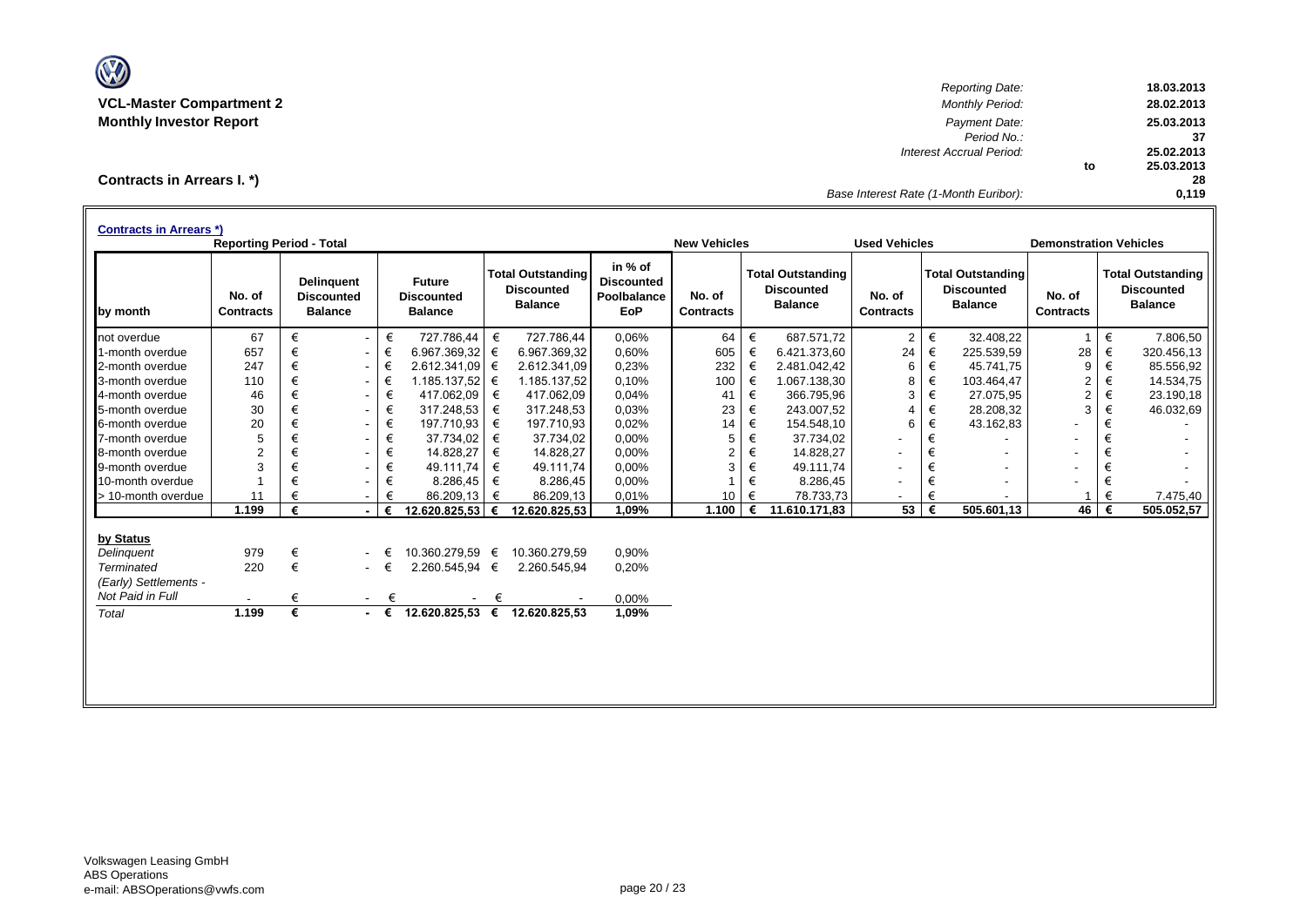

*Reporting Date:* **18.03.2013 VCL-Master Compartment 2** *Monthly Period:* **28.02.2013 Monthly Investor Report** *Payment Date:* **25.03.2013** *Period No.:* **37** *Interest Accrual Period:* **25.02.2013 to 25.03.2013 28** *Base Interest Rate (1-Month Euribor):* **0,119**

**Contracts in Arrears I. \*)**

| <b>Contracts in Arrears *)</b> | <b>Reporting Period - Total</b> |   |                                                          |     |                                                      |   |                                                                 |                                                           | <b>New Vehicles</b>        |   |                                                                 | <b>Used Vehicles</b>       |   |                                                                 | <b>Demonstration Vehicles</b> |   |                                                                 |
|--------------------------------|---------------------------------|---|----------------------------------------------------------|-----|------------------------------------------------------|---|-----------------------------------------------------------------|-----------------------------------------------------------|----------------------------|---|-----------------------------------------------------------------|----------------------------|---|-----------------------------------------------------------------|-------------------------------|---|-----------------------------------------------------------------|
| by month                       | No. of<br><b>Contracts</b>      |   | <b>Delinquent</b><br><b>Discounted</b><br><b>Balance</b> |     | <b>Future</b><br><b>Discounted</b><br><b>Balance</b> |   | <b>Total Outstanding</b><br><b>Discounted</b><br><b>Balance</b> | in % of<br><b>Discounted</b><br><b>Poolbalance</b><br>EoP | No. of<br><b>Contracts</b> |   | <b>Total Outstanding</b><br><b>Discounted</b><br><b>Balance</b> | No. of<br><b>Contracts</b> |   | <b>Total Outstanding</b><br><b>Discounted</b><br><b>Balance</b> | No. of<br><b>Contracts</b>    |   | <b>Total Outstanding</b><br><b>Discounted</b><br><b>Balance</b> |
| not overdue                    | 67                              | € | $\sim$                                                   | €   | 727.786,44                                           | € | 727.786,44                                                      | 0,06%                                                     | 64                         | € | 687.571,72                                                      | $\overline{2}$             | € | 32.408,22                                                       |                               | € | 7.806,50                                                        |
| 1-month overdue                | 657                             | € | $\sim$                                                   | €   | 6.967.369,32                                         | € | 6.967.369.32                                                    | 0,60%                                                     | 605                        | € | 6.421.373.60                                                    | 24                         | € | 225.539,59                                                      | 28                            | € | 320.456,13                                                      |
| 2-month overdue                | 247                             | € | $\sim$                                                   | €   | 2.612.341,09                                         | € | 2.612.341.09                                                    | 0,23%                                                     | 232                        | € | 2.481.042,42                                                    | 6                          | € | 45.741,75                                                       | 9                             | € | 85.556,92                                                       |
| 3-month overdue                | 110                             | € | $\sim$                                                   | €   | 1.185.137,52                                         | € | 1.185.137,52                                                    | 0.10%                                                     | 100                        | € | 1.067.138,30                                                    | 8                          | € | 103.464,47                                                      | 2                             | € | 14.534,75                                                       |
| 4-month overdue                | 46                              | € | $\sim$                                                   | €   | 417.062,09                                           | € | 417.062.09                                                      | 0,04%                                                     | 41                         | € | 366.795,96                                                      | 3                          | € | 27.075,95                                                       | $\overline{c}$                | € | 23.190,18                                                       |
| 5-month overdue                | 30                              | € | $\overline{\phantom{a}}$                                 | €   | 317.248,53                                           | € | 317.248,53                                                      | 0.03%                                                     | 23                         | € | 243.007.52                                                      | $\overline{4}$             | € | 28.208,32                                                       | 3                             | € | 46.032,69                                                       |
| 6-month overdue                | 20                              | € | $\blacksquare$                                           | €   | 197.710,93                                           | € | 197.710,93                                                      | 0,02%                                                     | 14                         | € | 154.548,10                                                      | 6                          | € | 43.162,83                                                       |                               | € |                                                                 |
| 7-month overdue                | 5                               |   | $\overline{\phantom{a}}$                                 | €   | 37.734,02                                            | € | 37.734,02                                                       | 0,00%                                                     | 5                          | € | 37.734,02                                                       |                            | € |                                                                 | $\overline{\phantom{a}}$      |   |                                                                 |
| 8-month overdue                | $\overline{2}$                  | € | $\blacksquare$                                           | €   | 14.828,27                                            | € | 14.828,27                                                       | 0,00%                                                     | $\overline{2}$             | € | 14.828,27                                                       | ۰                          | € |                                                                 | $\overline{\phantom{a}}$      | € |                                                                 |
| 9-month overdue                | 3                               | € | $\overline{\phantom{a}}$                                 | €   | 49.111,74                                            | € | 49.111,74                                                       | 0,00%                                                     | 3                          | € | 49.111,74                                                       | $\overline{\phantom{a}}$   | € |                                                                 |                               | € |                                                                 |
| 10-month overdue               |                                 |   | $\overline{\phantom{a}}$                                 | €   | 8.286,45                                             | € | 8.286,45                                                        | 0,00%                                                     |                            | € | 8.286,45                                                        | $\overline{\phantom{a}}$   | € | $\overline{\phantom{a}}$                                        |                               | € |                                                                 |
| > 10-month overdue             | 11                              |   | $\overline{\phantom{a}}$                                 | €   | 86.209,13                                            | € | 86.209,13                                                       | 0,01%                                                     | 10                         | € | 78.733,73                                                       |                            | € |                                                                 |                               | € | 7.475,40                                                        |
|                                | 1.199                           | € | $\overline{a}$                                           | €   | 12.620.825,53                                        | € | 12.620.825,53                                                   | 1,09%                                                     | 1.100                      | € | 11.610.171,83                                                   | 53                         | € | 505.601,13                                                      | 46                            | € | 505.052,57                                                      |
| by Status                      |                                 |   |                                                          |     |                                                      |   |                                                                 |                                                           |                            |   |                                                                 |                            |   |                                                                 |                               |   |                                                                 |
| Delinguent                     | 979                             | € | $\overline{\phantom{a}}$                                 |     | 10.360.279.59 €                                      |   | 10.360.279,59                                                   | 0,90%                                                     |                            |   |                                                                 |                            |   |                                                                 |                               |   |                                                                 |
| Terminated                     | 220                             | € | $\sim$                                                   | €   | 2.260.545,94 €                                       |   | 2.260.545,94                                                    | 0,20%                                                     |                            |   |                                                                 |                            |   |                                                                 |                               |   |                                                                 |
| (Early) Settlements -          |                                 |   |                                                          |     |                                                      |   |                                                                 |                                                           |                            |   |                                                                 |                            |   |                                                                 |                               |   |                                                                 |
| Not Paid in Full               |                                 | € | $\sim$                                                   | €   |                                                      | € |                                                                 | 0,00%                                                     |                            |   |                                                                 |                            |   |                                                                 |                               |   |                                                                 |
| Total                          | 1.199                           | € |                                                          | - € | 12.620.825,53 €                                      |   | 12.620.825,53                                                   | 1,09%                                                     |                            |   |                                                                 |                            |   |                                                                 |                               |   |                                                                 |
|                                |                                 |   |                                                          |     |                                                      |   |                                                                 |                                                           |                            |   |                                                                 |                            |   |                                                                 |                               |   |                                                                 |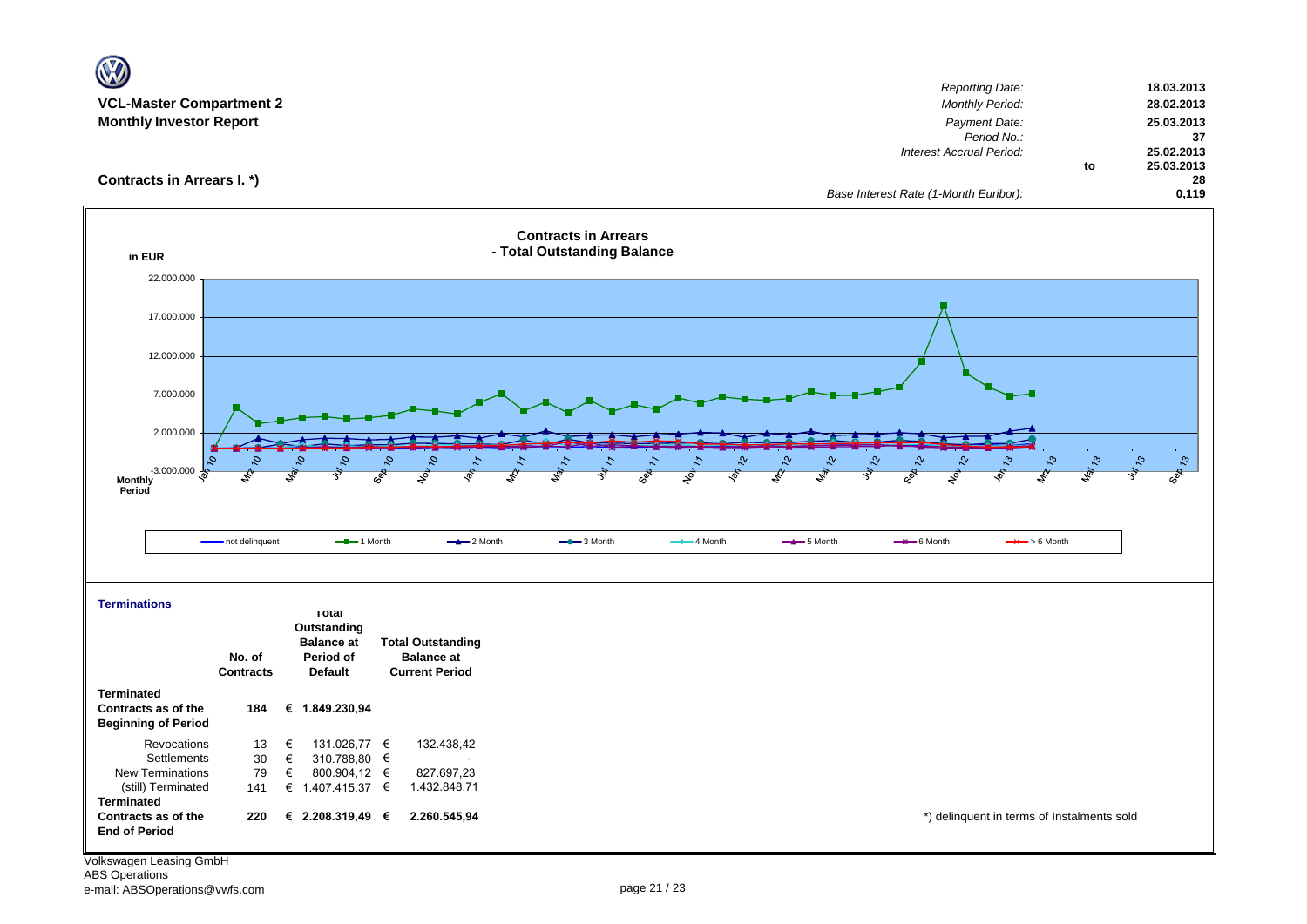| W                                       |                                                           |                                                            |                                                            |               |             |                                                  |               |                  |
|-----------------------------------------|-----------------------------------------------------------|------------------------------------------------------------|------------------------------------------------------------|---------------|-------------|--------------------------------------------------|---------------|------------------|
|                                         |                                                           |                                                            |                                                            |               |             | <b>Reporting Date:</b>                           |               | 18.03.2013       |
| <b>VCL-Master Compartment 2</b>         |                                                           |                                                            |                                                            |               |             | <b>Monthly Period:</b>                           |               | 28.02.2013       |
| <b>Monthly Investor Report</b>          |                                                           |                                                            |                                                            |               |             | Payment Date:                                    |               | 25.03.2013       |
|                                         |                                                           |                                                            |                                                            |               |             | Period No.:<br>Interest Accrual Period:          |               | 37<br>25.02.2013 |
|                                         |                                                           |                                                            |                                                            |               |             |                                                  | to            | 25.03.2013       |
| Contracts in Arrears I. *)              |                                                           |                                                            |                                                            |               |             |                                                  |               | 28               |
|                                         |                                                           |                                                            |                                                            |               |             | Base Interest Rate (1-Month Euribor):            |               | 0,119            |
| in EUR                                  |                                                           |                                                            | <b>Contracts in Arrears</b><br>- Total Outstanding Balance |               |             |                                                  |               |                  |
| 22.000.000                              |                                                           |                                                            |                                                            |               |             |                                                  |               |                  |
|                                         |                                                           |                                                            |                                                            |               |             |                                                  |               |                  |
| 17.000.000                              |                                                           |                                                            |                                                            |               |             |                                                  |               |                  |
|                                         |                                                           |                                                            |                                                            |               |             |                                                  |               |                  |
| 12.000.000                              |                                                           |                                                            |                                                            |               |             |                                                  |               |                  |
|                                         |                                                           |                                                            |                                                            |               |             |                                                  |               |                  |
| 7.000.000                               |                                                           |                                                            |                                                            |               |             |                                                  |               |                  |
|                                         |                                                           |                                                            |                                                            |               |             |                                                  |               |                  |
| 2.000.000                               |                                                           |                                                            |                                                            |               |             |                                                  |               |                  |
|                                         | 0,                                                        | $\mathcal{S}_{\mathcal{L}}$<br>$\mathcal{S}_{\mathcal{A}}$ |                                                            | $\mathcal{C}$ |             | Ą<br>᠊ᡐ<br>స<br>$\mathcal{L}^{\circ}$            | $\mathcal{E}$ | $\mathcal{L}$    |
| $-3.000.000$<br><b>Monthly</b>          |                                                           | Sep<br>$\mathcal{S}$                                       |                                                            |               |             |                                                  |               | Sep 13           |
| Period                                  |                                                           |                                                            |                                                            |               |             |                                                  |               |                  |
|                                         |                                                           |                                                            |                                                            |               |             |                                                  |               |                  |
|                                         | - not delinquent<br>$-$ -1 Month                          | $-2$ Month                                                 | $-$ 3 Month                                                | $-$ 4 Month   | $-$ 5 Month | $\rightarrow$ 6 Month<br>$\rightarrow$ > 6 Month |               |                  |
|                                         |                                                           |                                                            |                                                            |               |             |                                                  |               |                  |
|                                         |                                                           |                                                            |                                                            |               |             |                                                  |               |                  |
|                                         |                                                           |                                                            |                                                            |               |             |                                                  |               |                  |
| <b>Terminations</b>                     | <b>Total</b>                                              |                                                            |                                                            |               |             |                                                  |               |                  |
|                                         | Outstanding                                               |                                                            |                                                            |               |             |                                                  |               |                  |
|                                         | <b>Balance at</b>                                         | <b>Total Outstanding</b>                                   |                                                            |               |             |                                                  |               |                  |
|                                         | No. of<br>Period of<br><b>Contracts</b><br><b>Default</b> | <b>Balance at</b><br><b>Current Period</b>                 |                                                            |               |             |                                                  |               |                  |
| <b>Terminated</b>                       |                                                           |                                                            |                                                            |               |             |                                                  |               |                  |
| Contracts as of the                     | € 1.849.230,94<br>184                                     |                                                            |                                                            |               |             |                                                  |               |                  |
| <b>Beginning of Period</b>              |                                                           |                                                            |                                                            |               |             |                                                  |               |                  |
| Revocations                             | €<br>131.026,77 €<br>13                                   | 132.438,42                                                 |                                                            |               |             |                                                  |               |                  |
| Settlements                             | 30<br>€<br>310.788,80 €                                   |                                                            |                                                            |               |             |                                                  |               |                  |
| New Terminations                        | 79<br>€<br>800.904,12 €                                   | 827.697,23                                                 |                                                            |               |             |                                                  |               |                  |
| (still) Terminated<br><b>Terminated</b> | € 1.407.415,37 €<br>141                                   | 1.432.848,71                                               |                                                            |               |             |                                                  |               |                  |
| Contracts as of the                     | € 2.208.319,49 €<br>220                                   | 2.260.545,94                                               |                                                            |               |             | *) delinquent in terms of Instalments sold       |               |                  |
| <b>End of Period</b>                    |                                                           |                                                            |                                                            |               |             |                                                  |               |                  |
|                                         |                                                           |                                                            |                                                            |               |             |                                                  |               |                  |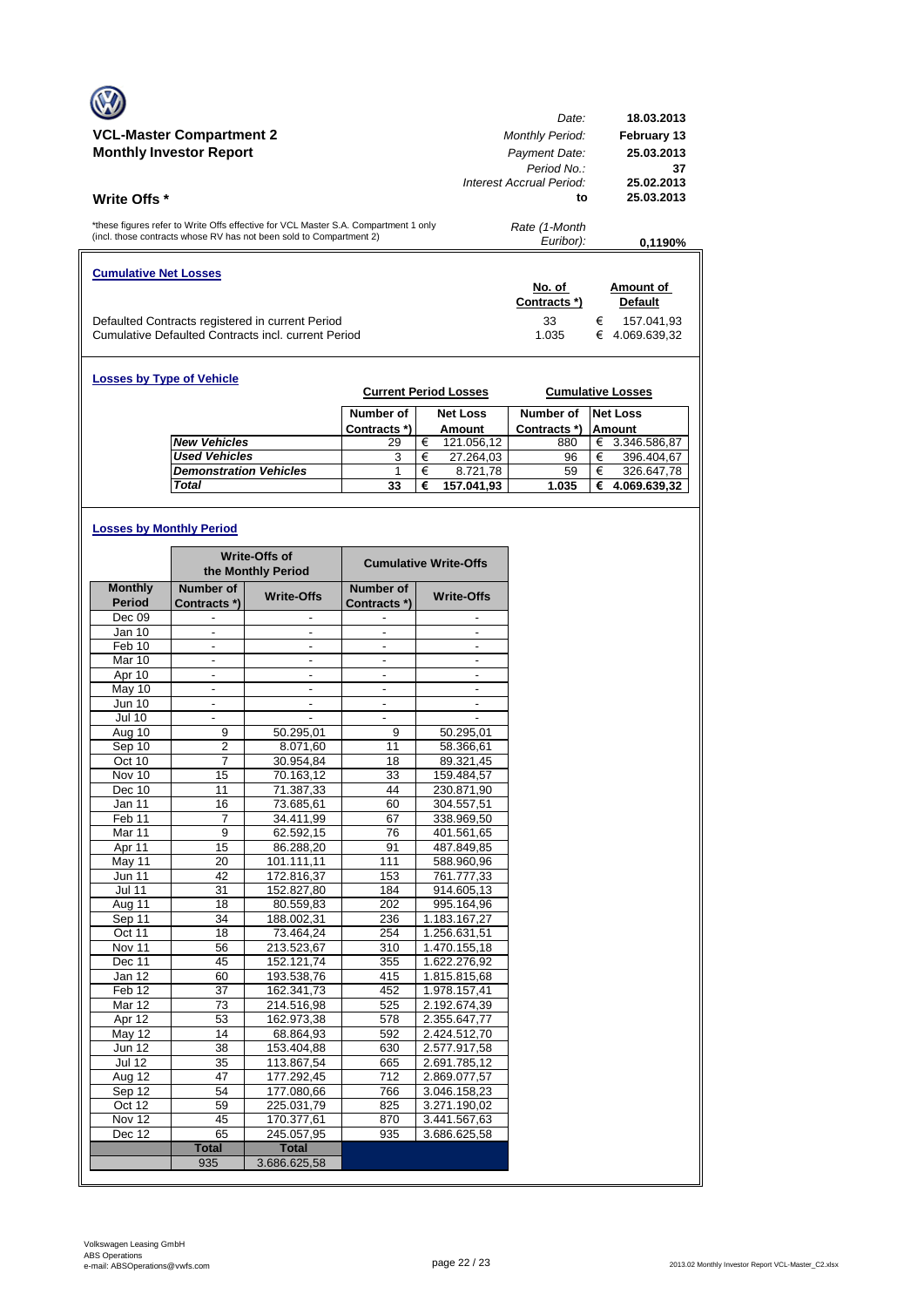|                                                                                                                                                            | Date:                    | 18.03.2013        |
|------------------------------------------------------------------------------------------------------------------------------------------------------------|--------------------------|-------------------|
| <b>VCL-Master Compartment 2</b>                                                                                                                            | <b>Monthly Period:</b>   | February 13       |
| <b>Monthly Investor Report</b>                                                                                                                             | Payment Date:            | 25.03.2013        |
|                                                                                                                                                            | Period No.               | 37                |
|                                                                                                                                                            | Interest Accrual Period: | 25.02.2013        |
| <b>Write Offs</b> *                                                                                                                                        | to                       | 25.03.2013        |
| *these figures refer to Write Offs effective for VCL Master S.A. Compartment 1 only<br>(incl. those contracts whose RV has not been sold to Compartment 2) | Rate (1-Month            |                   |
|                                                                                                                                                            | Euribor):                | 0.1190%           |
| <b>Cumulative Net Losses</b>                                                                                                                               |                          |                   |
|                                                                                                                                                            | No. of                   | Amount of         |
|                                                                                                                                                            | Contracts *)             | <b>Default</b>    |
| Defaulted Contracts registered in current Period                                                                                                           | 33                       | €<br>157.041,93   |
| Cumulative Defaulted Contracts incl. current Period                                                                                                        | 1.035                    | €<br>4.069.639.32 |

| <b>Losses by Type of Vehicle</b> |              |   | <b>Current Period Losses</b> |              |   | <b>Cumulative Losses</b> |
|----------------------------------|--------------|---|------------------------------|--------------|---|--------------------------|
|                                  | Number of    |   | <b>Net Loss</b>              | Number of    |   | Net Loss                 |
|                                  | Contracts *) |   | Amount                       | Contracts *) |   | <b>Amount</b>            |
| <b>New Vehicles</b>              | 29           | € | 121.056,12                   | 880          | € | 3.346.586,87             |
| <b>Used Vehicles</b>             | 3            | € | 27.264,03                    | 96           | € | 396.404.67               |
| <b>Demonstration Vehicles</b>    |              | € | 8.721.78                     | 59           | € | 326.647,78               |
| <b>Total</b>                     | 33           | € | 157.041,93                   | 1.035        | € | 4.069.639,32             |

## **Losses by Monthly Period**

|                   | <b>Write-Offs of</b><br>the Monthly Period |                          | <b>Cumulative Write-Offs</b> |                          |
|-------------------|--------------------------------------------|--------------------------|------------------------------|--------------------------|
| <b>Monthly</b>    | Number of                                  | <b>Write-Offs</b>        | Number of                    | <b>Write-Offs</b>        |
| <b>Period</b>     | Contracts *)                               |                          | Contracts *)                 |                          |
| Dec 09            |                                            |                          |                              |                          |
| Jan 10            |                                            |                          |                              |                          |
| Feb 10            | $\overline{\phantom{0}}$                   | $\frac{1}{2}$            | $\overline{a}$               | $\overline{\phantom{0}}$ |
| Mar 10            | ä,                                         | $\overline{\phantom{a}}$ | ÷,                           | $\overline{a}$           |
| Apr 10            |                                            |                          |                              |                          |
| May 10            | $\overline{\phantom{a}}$                   | $\overline{\phantom{a}}$ |                              | $\overline{\phantom{a}}$ |
| <b>Jun 10</b>     | $\frac{1}{2}$                              | $\overline{\phantom{a}}$ | $\overline{\phantom{a}}$     | $\overline{\phantom{a}}$ |
| <b>Jul 10</b>     |                                            |                          |                              |                          |
| Aug 10            | 9                                          | 50.295,01                | 9                            | 50.295,01                |
| Sep 10            | $\overline{\mathbf{c}}$                    | 8.071,60                 | 11                           | 58.366,61                |
| Oct 10            | 7                                          | 30.954,84                | 18                           | 89.321,45                |
| Nov 10            | 15                                         | 70.163.12                | 33                           | 159.484,57               |
| Dec 10            | 11                                         | 71.387,33                | 44                           | 230.871,90               |
| Jan 11            | 16                                         | 73.685,61                | 60                           | 304.557,51               |
| Feb <sub>11</sub> | 7                                          | 34.411,99                | 67                           | 338.969,50               |
| Mar 11            | 9                                          | 62.592,15                | 76                           | 401.561,65               |
| Apr 11            | 15                                         | 86.288,20                | 91                           | 487.849,85               |
| May 11            | 20                                         | 101.111,11               | 111                          | 588.960,96               |
| <b>Jun 11</b>     | 42                                         | 172.816,37               | 153                          | 761.777,33               |
| <b>Jul 11</b>     | 31                                         | 152.827,80               | 184                          | 914.605,13               |
| Aug 11            | 18                                         | 80.559,83                | 202                          | 995.164,96               |
| Sep 11            | 34                                         | 188.002,31               | 236                          | 1.183.167,27             |
| Oct 11            | 18                                         | 73.464,24                | 254                          | 1.256.631,51             |
| Nov 11            | 56                                         | 213.523,67               | 310                          | 1.470.155,18             |
| Dec 11            | 45                                         | 152.121,74               | 355                          | 1.622.276,92             |
| Jan 12            | 60                                         | 193.538,76               | 415                          | 1.815.815,68             |
| Feb <sub>12</sub> | 37                                         | 162.341,73               | 452                          | 1.978.157,41             |
| Mar 12            | 73                                         | 214.516,98               | 525                          | 2.192.674,39             |
| Apr 12            | 53                                         | 162.973,38               | 578                          | 2.355.647,77             |
| $M$ ay 12         | 14                                         | 68.864.93                | 592                          | 2.424.512.70             |
| <b>Jun 12</b>     | 38                                         | 153.404,88               | 630                          | 2.577.917,58             |
| <b>Jul 12</b>     | 35                                         | 113.867,54               | 665                          | 2.691.785,12             |
| Aug 12            | 47                                         | 177.292,45               | 712                          | 2.869.077,57             |
| Sep 12            | 54                                         | 177.080,66               | 766                          | 3.046.158,23             |
| Oct 12            | 59                                         | 225.031,79               | 825                          | 3.271.190,02             |
| Nov 12            | 45                                         | 170.377,61               | 870                          | 3.441.567,63             |
| Dec 12            | 65                                         | 245.057,95               | 935                          | 3.686.625,58             |
|                   | <b>Total</b>                               | <b>Total</b>             |                              |                          |
|                   | 935                                        | 3.686.625,58             |                              |                          |
|                   |                                            |                          |                              |                          |